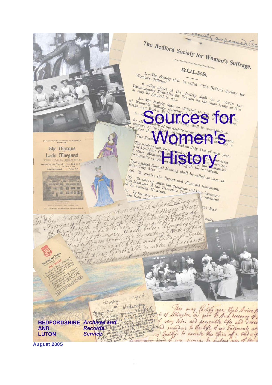cult as passed Ge The Bedford Society for Women's Suffrage. RULES. Women's Suffrage." shall be called "The Bedford Society for any be granted to men. Women on the best for  $\frac{3.7}{\sqrt{2}}$ . and be granted to men. Society shall be seen to the Society of Women's context of the Society of the Society of the Society of the Society of the Berks, and Bucks, Federations, and to  $t - T$  on the Society shall be affiliat  $\int_{\Omega_{n_{\eta}}}$ approve of its object and ubscription of  $\overbrace{ }^{\text{constitutional.}}$ The Finan an pmen Bedford County Federation of Glomen's The Society shall  $\begin{array}{c} \left\{ \begin{array}{l} \text{the Society shall} \\ \text{of President, } \text{Cher} \\ \text{the } \text{an } \text{mean}, \\ \text{re annually } \text{in } \text{max} \end{array} \right. \\ \left\{ \begin{array}{l} \text{the number of } \text{mean}, \\ \text{the number of } \text{mean} \end{array} \right. \\ \text{where} \quad \left\{ \begin{array}{l} \text{the sum of the number of } \text{mean} \\ \text{the sum of the number of } \text{mean} \end{array} \right. \\ \text{where} \quad \left\{ \begin{array}{l} \text{the sum of the number of } \text{mean} \\ \text$ **Ghe Masque** of each  $year$ . re annually in rota Lady Margaret THE PARK, BEDFORD,  $\begin{array}{l} \mbox{HSE-Dequation} \\ \mbox{HSE} \\ \mbox{HSE} \\ \mbox{HSE} \\ \mbox{HSE} \\ \mbox{HSE} \\ \mbox{HSE} \\ \mbox{HSE} \\ \mbox{HSE} \\ \mbox{HSE} \\ \mbox{HSE} \\ \mbox{HSE} \\ \mbox{HSE} \\ \mbox{HSE} \\ \mbox{HSE} \\ \mbox{HSE} \\ \mbox{HSE} \\ \mbox{HSE} \\ \mbox{HSE} \\ \mbox{HSE} \\ \mbox{HSE} \\ \mbox{HSE} \\ \mbox{HSE} \\ \mbox{HSE$ mmittee ecretary  $\begin{array}{l} \n \text{after} \quad \text{Annual} \quad \text{Genen} \n \text{after} \quad \text{July} \quad \text{Stenen} \n \text{if} \quad \text{if} \quad \text{if} \quad \text{if} \quad \text{if} \quad \text{if} \quad \text{if} \quad \text{if} \quad \text{if} \quad \text{if} \quad \text{if} \quad \text{if} \quad \text{if} \quad \text{if} \quad \text{if} \quad \text{if} \quad \text{if} \quad \text{if} \quad \text{if} \quad \text{if} \quad \text{if} \quad \text{if} \quad \text{if} \quad \text{if}$ Committee (a)  $T_0$  receive the Report and Financial Statement.<br>
(b)  $T_0$  receive the Report and Financial Statement.<br>  $\begin{array}{c} \text{for } s_1 \text{ is a } s_1 \text{ is a } s_2 \text{ is a } s_3 \text{ is a } s_4 \text{ is a } s_5 \text{ is a } s_6 \text{ is a } s_7 \text{ is a } s_7 \text{ is a } s_8 \text{ is a } s_9 \text{ is a$ (a) To receive the Report and Financial Statement.<br>
(b) To elect by ballot the President and Financial Statement.<br>
(c) To transact of the Executive Computer of the President and H. Treasurer<br>
(c) To transact any the execu  $\frac{a}{a}$  and  $\frac{a}{a}$ also Members of the Exercise of the Exercise of the Exercise of the Exercise of the Exercise of the Exercise of the Exercise of the Exercise of the Exercise of the Exercise of the Bandwick of the Bandwick of the Bandwick o of the fill that our  $\begin{array}{cc} \langle c\rangle & \text{refiring} & M\text{em} \ \hline \text{has} & \text{transact} & \text{an} \ \text{has} & \text{been} & \text{on} \ \end{array}$ **MAR manm** The light Just Dary By ut  $b$  tht days' men Halfieto In Geathlin Boy which go Larch flesh must en ofa all flesh must ghe Mat all flesh marche & Declarois  $191^{6}$ Diary Widanday  $m$ to of Lillington in goin I Arch Descours of morning? he  $24$ tray. made beds abusy **BEDFORDSHIRE Archives and Records The Property of the fight of the life and diverse AND**<br> **AND** Records be a line with a company to the light of air Indyments we<br> **August 2005**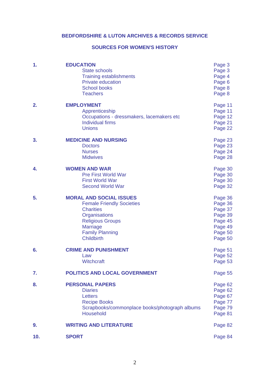# **BEDFORDSHIRE & LUTON ARCHIVES & RECORDS SERVICE**

# **SOURCES FOR WOMEN'S HISTORY**

| 1.  | <b>EDUCATION</b><br><b>State schools</b><br><b>Training establishments</b><br><b>Private education</b><br><b>School books</b><br><b>Teachers</b>                                                     | Page 3<br>Page 3<br>Page 4<br>Page 6<br>Page 8<br>Page 8                             |
|-----|------------------------------------------------------------------------------------------------------------------------------------------------------------------------------------------------------|--------------------------------------------------------------------------------------|
| 2.  | <b>EMPLOYMENT</b><br>Apprenticeship<br>Occupations - dressmakers, lacemakers etc<br><b>Individual firms</b><br><b>Unions</b>                                                                         | Page 11<br>Page 11<br>Page 12<br>Page 21<br>Page 22                                  |
| 3.  | <b>MEDICINE AND NURSING</b><br><b>Doctors</b><br><b>Nurses</b><br><b>Midwives</b>                                                                                                                    | Page 23<br>Page 23<br>Page 24<br>Page 28                                             |
| 4.  | <b>WOMEN AND WAR</b><br><b>Pre First World War</b><br><b>First World War</b><br><b>Second World War</b>                                                                                              | Page 30<br>Page 30<br>Page 30<br>Page 32                                             |
| 5.  | <b>MORAL AND SOCIAL ISSUES</b><br><b>Female Friendly Societies</b><br><b>Charities</b><br>Organisations<br><b>Religious Groups</b><br><b>Marriage</b><br><b>Family Planning</b><br><b>Childbirth</b> | Page 36<br>Page 36<br>Page 37<br>Page 39<br>Page 45<br>Page 49<br>Page 50<br>Page 50 |
| 6.  | <b>CRIME AND PUNISHMENT</b><br>Law<br><b>Witchcraft</b>                                                                                                                                              | Page 51<br>Page 52<br>Page 53                                                        |
| 7.  | <b>POLITICS AND LOCAL GOVERNMENT</b>                                                                                                                                                                 | Page 55                                                                              |
| 8.  | <b>PERSONAL PAPERS</b><br><b>Diaries</b><br>Letters<br><b>Recipe Books</b><br>Scrapbooks/commonplace books/photograph albums<br><b>Household</b>                                                     | Page 62<br>Page 62<br>Page 67<br>Page 77<br>Page 79<br>Page 81                       |
| 9.  | <b>WRITING AND LITERATURE</b>                                                                                                                                                                        | Page 82                                                                              |
| 10. | <b>SPORT</b>                                                                                                                                                                                         | Page 84                                                                              |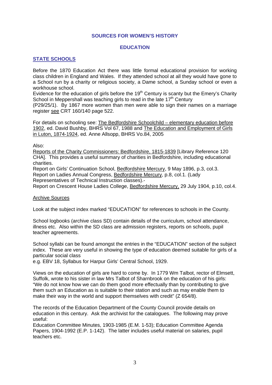#### **SOURCES FOR WOMEN'S HISTORY**

#### **EDUCATION**

## **STATE SCHOOLS**

Before the 1870 Education Act there was little formal educational provision for working class children in England and Wales. If they attended school at all they would have gone to a School run by a charity or religious society, a Dame school, a Sunday school or even a workhouse school.

Evidence for the education of girls before the  $19<sup>th</sup>$  Century is scanty but the Emery's Charity School in Meppershall was teaching girls to read in the late  $17<sup>th</sup>$  Century

(P29/25/1). By 1867 more women than men were able to sign their names on a marriage register see CRT 160/140 page 522.

For details on schooling see: The Bedfordshire Schoolchild – elementary education before 1902, ed. David Bushby, BHRS Vol 67, 1988 and The Education and Employment of Girls in Luton, 1874-1924, ed. Anne Allsopp, BHRS Vo.84, 2005

Also:

Reports of the Charity Commissioners: Bedfordshire, 1815-1839 [Library Reference 120 CHA]. This provides a useful summary of charities in Bedfordshire, including educational charities.

Report on Girls' Continuation School, Bedfordshire Mercury, 9 May 1896, p.3, col.3. Report on Ladies Annual Congress, Bedfordshire Mercury, p.8, col.1. (Lady

Representatives of Technical Instruction classes).-

Report on Crescent House Ladies College, Bedfordshire Mercury, 29 July 1904, p.10, col.4.

#### Archive Sources

Look at the subject index marked "EDUCATION" for references to schools in the County.

School logbooks (archive class SD) contain details of the curriculum, school attendance, illness etc. Also within the SD class are admission registers, reports on schools, pupil teacher agreements.

School syllabi can be found amongst the entries in the "EDUCATION" section of the subject index. These are very useful in showing the type of education deemed suitable for girls of a particular social class

e.g. EBV 18, Syllabus for Harpur Girls' Central School, 1929.

Views on the education of girls are hard to come by. In 1779 Wm Talbot, rector of Elmsett, Suffolk, wrote to his sister in law Mrs Talbot of Sharnbrook on the education of his girls: "We do not know how we can do them good more effectually than by contributing to give them such an Education as is suitable to their station and such as may enable them to make their way in the world and support themselves with credit" (Z 654/8).

The records of the Education Department of the County Council provide details on education in this century. Ask the archivist for the catalogues. The following may prove useful:

Education Committee Minutes, 1903-1985 (E.M. 1-53); Education Committee Agenda Papers, 1904-1992 (E.P. 1-142). The latter includes useful material on salaries, pupil teachers etc.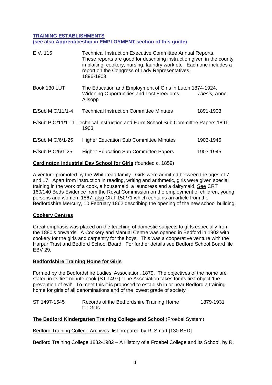## **TRAINING ESTABLISHMENTS (see also Apprenticeship in EMPLOYMENT section of this guide)**

| E.V. 115           | <b>Technical Instruction Executive Committee Annual Reports.</b><br>These reports are good for describing instruction given in the county<br>in plaiting, cookery, nursing, laundry work etc. Each one includes a<br>report on the Congress of Lady Representatives.<br>1896-1903 |              |
|--------------------|-----------------------------------------------------------------------------------------------------------------------------------------------------------------------------------------------------------------------------------------------------------------------------------|--------------|
| Book 130 LUT       | The Education and Employment of Girls in Luton 1874-1924,<br><b>Widening Opportunities and Lost Freedoms</b><br>Allsopp                                                                                                                                                           | Thesis, Anne |
| $E/Sub M O/11/1-4$ | <b>Technical Instruction Committee Minutes</b>                                                                                                                                                                                                                                    | 1891-1903    |
|                    | E/Sub P O/11/1-11 Technical Instruction and Farm School Sub Committee Papers.1891-<br>1903                                                                                                                                                                                        |              |
| $E/Sub M O/6/1-25$ | <b>Higher Education Sub Committee Minutes</b>                                                                                                                                                                                                                                     | 1903-1945    |
| E/Sub P O/6/1-25   | <b>Higher Education Sub Committee Papers</b>                                                                                                                                                                                                                                      | 1903-1945    |
|                    |                                                                                                                                                                                                                                                                                   |              |

# **Cardington Industrial Day School for Girls** (founded c. 1859)

A venture promoted by the Whitbread family. Girls were admitted between the ages of 7 and 17. Apart from instruction in reading, writing and arithmetic, girls were given special training in the work of a cook, a housemaid, a laundress and a dairymaid. See CRT 160/140 Beds Evidence from the Royal Commission on the employment of children, young persons and women, 1867; also CRT 150/71 which contains an article from the Bedfordshire Mercury, 10 February 1862 describing the opening of the new school building.

# **Cookery Centres**

Great emphasis was placed on the teaching of domestic subjects to girls especially from the 1880's onwards. A Cookery and Manual Centre was opened in Bedford in 1902 with cookery for the girls and carpentry for the boys. This was a cooperative venture with the Harpur Trust and Bedford School Board. For further details see Bedford School Board file EBV 29.

## **Bedfordshire Training Home for Girls**

Formed by the Bedfordshire Ladies' Association, 1879. The objectives of the home are stated in its first minute book (ST 1497) "The Association takes for its first object 'the prevention of evil'. To meet this it is proposed to establish in or near Bedford a training home for girls of all denominations and of the lowest grade of society".

| ST 1497-1545 | Records of the Bedfordshire Training Home | 1879-1931 |
|--------------|-------------------------------------------|-----------|
|              | for Girls                                 |           |

# **The Bedford Kindergarten Training College and School** (Froebel System)

Bedford Training College Archives, list prepared by R. Smart [130 BED]

Bedford Training College 1882-1982 – A History of a Froebel College and its School, by R.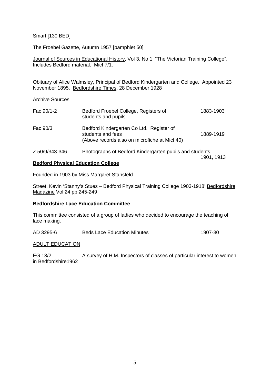### Smart [130 BED]

The Froebel Gazette, Autumn 1957 [pamphlet 50]

Journal of Sources in Educational History, Vol 3, No 1. "The Victorian Training College". Includes Bedford material. Micf 7/1.

Obituary of Alice Walmsley, Principal of Bedford Kindergarten and College. Appointed 23 November 1895. Bedfordshire Times, 28 December 1928

#### Archive Sources

| Fac 90/1-2     | Bedford Froebel College, Registers of<br>students and pupils                                                   | 1883-1903  |
|----------------|----------------------------------------------------------------------------------------------------------------|------------|
| Fac 90/3       | Bedford Kindergarten Co Ltd. Register of<br>students and fees<br>(Above records also on microfiche at Micf 40) | 1889-1919  |
| Z 50/9/343-346 | Photographs of Bedford Kindergarten pupils and students                                                        | 1901, 1913 |

# **Bedford Physical Education College**

Founded in 1903 by Miss Margaret Stansfeld

Street, Kevin 'Stanny's Stues – Bedford Physical Training College 1903-1918' Bedfordshire Magazine Vol 24 pp.245-249

#### **Bedfordshire Lace Education Committee**

This committee consisted of a group of ladies who decided to encourage the teaching of lace making.

AD 3295-6 Beds Lace Education Minutes 1907-30

#### ADULT EDUCATION

EG 13/2 A survey of H.M. Inspectors of classes of particular interest to women in Bedfordshire1962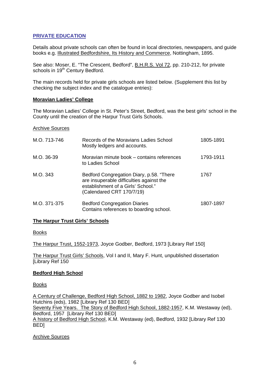# **PRIVATE EDUCATION**

Details about private schools can often be found in local directories, newspapers, and guide books e.g. Illustrated Bedfordshire, Its History and Commerce, Nottingham, 1895.

See also: Moser, E. "The Crescent, Bedford", **B.H.R.S. Vol 72**, pp. 210-212, for private schools in 19<sup>th</sup> Century Bedford.

The main records held for private girls schools are listed below. (Supplement this list by checking the subject index and the catalogue entries):

#### **Moravian Ladies' College**

The Moravian Ladies' College in St. Peter's Street, Bedford, was the best girls' school in the County until the creation of the Harpur Trust Girls Schools.

#### Archive Sources

| M.O. 713-746 | Records of the Moravians Ladies School<br>Mostly ledgers and accounts.                                                                                  | 1805-1891 |
|--------------|---------------------------------------------------------------------------------------------------------------------------------------------------------|-----------|
| M.O. 36-39   | Moravian minute book – contains references<br>to Ladies School                                                                                          | 1793-1911 |
| M.O. 343     | Bedford Congregation Diary, p.58. "There<br>are insuperable difficulties against the<br>establishment of a Girls' School."<br>(Calendared CRT 170/7/19) | 1767      |
| M.O. 371-375 | <b>Bedford Congregation Diaries</b><br>Contains references to boarding school.                                                                          | 1807-1897 |

#### **The Harpur Trust Girls' Schools**

Books

The Harpur Trust, 1552-1973, Joyce Godber, Bedford, 1973 [Library Ref 150]

The Harpur Trust Girls' Schools, Vol I and II, Mary F. Hunt, unpublished dissertation [Library Ref 150

## **Bedford High School**

Books

A Century of Challenge, Bedford High School, 1882 to 1982, Joyce Godber and Isobel Hutchins (eds), 1982 [Library Ref 130 BED] Seventy Five Years. The Story of Bedford High School, 1882-1957, K.M. Westaway (ed), Bedford, 1957 [Library Ref 130 BED] A history of Bedford High School, K.M. Westaway (ed), Bedford, 1932 [Library Ref 130 BED]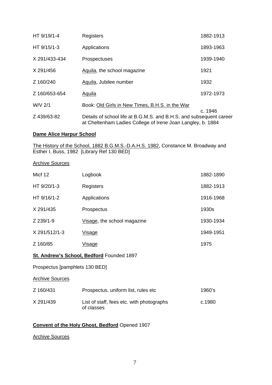| HT 9/19/1-4   | Registers                                                                                                                          | 1882-1913 |
|---------------|------------------------------------------------------------------------------------------------------------------------------------|-----------|
| HT 9/15/1-3   | Applications                                                                                                                       | 1893-1963 |
| X 291/433-434 | <b>Prospectuses</b>                                                                                                                | 1939-1940 |
| X 291/456     | Aquila, the school magazine                                                                                                        | 1921      |
| Z 160/240     | Aquila, Jubilee number                                                                                                             | 1932      |
| Z 160/653-654 | <b>Aquila</b>                                                                                                                      | 1972-1973 |
| W/V 2/1       | Book: Old Girls in New Times, B.H.S. in the War                                                                                    |           |
| Z 439/63-82   | Details of school life at B.G.M.S. and B.H.S. and subsequent career<br>at Cheltenham Ladies College of Irene Joan Langley, b. 1884 | c. 1946   |

# **Dame Alice Harpur School**

The History of the School, 1882 B.G.M.S.-D.A.H.S. 1982, Constance M. Broadway and Esther I. Buss, 1982 [Library Ref 130 BED]

#### Archive Sources

| Micf 12       | Logbook                     | 1882-1890 |
|---------------|-----------------------------|-----------|
| HT 9/20/1-3   | Registers                   | 1882-1913 |
| HT 9/16/1-2   | Applications                | 1916-1968 |
| X 291/435     | Prospectus                  | 1930s     |
| Z 239/1-9     | Visage, the school magazine | 1930-1934 |
| X 291/512/1-3 | Visage                      | 1949-1951 |
| Z 160/85      | <u>Visage</u>               | 1975      |

## **St. Andrew's School, Bedford** Founded 1897

Prospectus [pamphlets 130 BED]

#### Archive Sources

| Z 160/431 | Prospectus, uniform list, rules etc                     | 1960's |
|-----------|---------------------------------------------------------|--------|
| X 291/439 | List of staff, fees etc. with photographs<br>of classes | c.1980 |

# **Convent of the Holy Ghost, Bedford** Opened 1907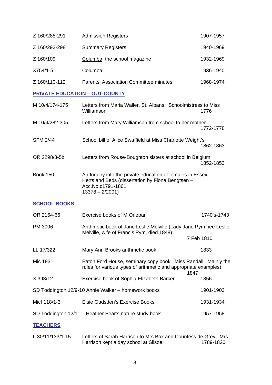| Z 160/288-291 | <b>Admission Registers</b>                    | 1907-1957 |
|---------------|-----------------------------------------------|-----------|
| Z 160/292-298 | <b>Summary Registers</b>                      | 1940-1969 |
| Z 160/109     | Columba, the school magazine                  | 1932-1969 |
| X754/1-5      | Columba                                       | 1936-1940 |
| Z 160/110-112 | <b>Parents' Association Committee minutes</b> | 1968-1974 |

# **PRIVATE EDUCATION – OUT-COUNTY**

| M 10/4/174-175  | Letters from Maria Waller, St. Albans. Schoolmistress to Miss<br>Williamson                                                                             | 1776      |
|-----------------|---------------------------------------------------------------------------------------------------------------------------------------------------------|-----------|
| M 10/4/282-305  | Letters from Mary Williamson from school to her mother                                                                                                  | 1772-1778 |
| <b>SFM 2/44</b> | School bill of Alice Swaffield at Miss Charlotte Weight's                                                                                               | 1862-1863 |
| OR 2298/3-5b    | Letters from Rouse-Boughton sisters at school in Belgium                                                                                                | 1852-1853 |
| <b>Book 150</b> | An Inquiry into the private education of females in Essex,<br>Herts and Beds (dissertation by Fiona Bengtsen -<br>Acc.No.c1791-1861<br>$13378 - 2/2001$ |           |

# **SCHOOL BOOKS**

| OR 2164-66          | Exercise books of M Orlebar                                                                                                               | 1740's-1743 |
|---------------------|-------------------------------------------------------------------------------------------------------------------------------------------|-------------|
| PM 3006             | Arithmetic book of Jane Leslie Melville (Lady Jane Pym nee Leslie<br>Melville, wife of Francis Pym, died 1848)                            |             |
|                     |                                                                                                                                           | 7 Feb 1810  |
| LL 17/322           | Mary Ann Brooks arithmetic book                                                                                                           | 1833        |
| Mic 193             | Eaton Ford House, seminary copy book. Miss Randall. Mainly the<br>rules for various types of arithmetic and appropriate examples)<br>1847 |             |
| X 393/12            | Exercise book of Sophia Elizabeth Barker                                                                                                  | 1856        |
|                     | SD Toddington 12/9-10 Annie Walker - homework books                                                                                       | 1901-1903   |
| Micf 118/1-3        | Elsie Gadsden's Exercise Books                                                                                                            | 1931-1934   |
| SD Toddington 12/11 | Heather Pear's nature study book                                                                                                          | 1957-1958   |
| <b>TEACHERS</b>     |                                                                                                                                           |             |

L 30/11/133/1-15 Letters of Sarah Harrison to Mrs Box and Countess de Grey. Mrs<br>Harrison kept a day school at Silsoe 1789-1820 Harrison kept a day school at Silsoe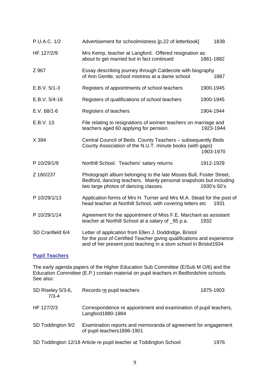| P.U.A.C. 1/2     | Advertisement for schoolmistress [p.22 of letterbook]                                                                                                                                                | 1838        |
|------------------|------------------------------------------------------------------------------------------------------------------------------------------------------------------------------------------------------|-------------|
| HF 127/2/9       | Mrs Kemp, teacher at Langford. Offered resignation as<br>about to get married but in fact continued                                                                                                  | 1881-1882   |
| Z 967            | Essay describing journey through Caldecote with biography<br>of Ann Gentle, school mistress at a dame school                                                                                         | 1887        |
| $E.B.V. 5/1-3$   | Registers of appointments of school teachers                                                                                                                                                         | 1900-1945   |
| $E.B.V. 5/4-16$  | Registers of qualifications of school teachers                                                                                                                                                       | 1900-1945   |
| $E.V. 68/1-6$    | Registers of teachers                                                                                                                                                                                | 1904-1944   |
| E.B.V. 13        | File relating to resignations of women teachers on marriage and<br>teachers aged 60 applying for pension.                                                                                            | 1923-1944   |
| X 394            | Central Council of Beds. County Teachers - subsequently Beds<br>County Association of the N.U.T. minute books (with gaps)                                                                            | 1903-1970   |
| P 10/29/1/9      | Northill School. Teachers' salary returns                                                                                                                                                            | 1912-1929   |
| Z 160/237        | Photograph album belonging to the late Misses Bull, Foster Street,<br>Bedford, dancing teachers. Mainly personal snapshots but including<br>two large photos of dancing classes.                     | 1930's-50's |
| P 10/29/1/13     | Application forms of Mrs H. Turner and Mrs M.A. Stead for the post of<br>head teacher at Northill School, with covering letters etc                                                                  | 1931        |
| P 10/29/1/14     | Agreement for the appointment of Miss F.E. Marchant as assistant<br>teacher at Northill School at a salary of _95 p.a.                                                                               | 1932        |
| SD Cranfield 6/4 | Letter of application from Ellen J. Doddridge, Bristol<br>for the post of Certified Teacher giving qualifications and experience<br>and of her present post teaching in a slum school in Bristol1934 |             |

# **Pupil Teachers**

The early agenda papers of the Higher Education Sub Committee (E/Sub M O/6) and the Education Committee (E.P.) contain material on pupil teachers in Bedfordshire schools. See also:

| SD Riseley 5/3-6,<br>$7/3 - 4$ | Records re pupil teachers                                                                    | 1875-1903 |
|--------------------------------|----------------------------------------------------------------------------------------------|-----------|
| HF 127/2/3                     | Correspondence re appointment and examination of pupil teachers,<br>Langford1880-1884        |           |
| SD Toddington 9/2              | Examination reports and memoranda of agreement for engagement<br>of pupil teachers 1896-1901 |           |
|                                | SD Toddington 12/18 Article re pupil teacher at Toddington School                            | 1976      |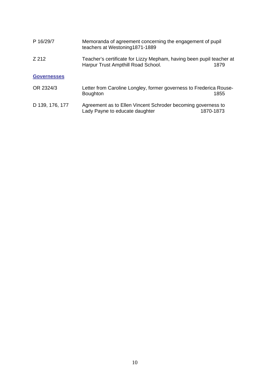| P 16/29/7          | Memoranda of agreement concerning the engagement of pupil<br>teachers at Westoning1871-1889                |           |
|--------------------|------------------------------------------------------------------------------------------------------------|-----------|
| Z 212              | Teacher's certificate for Lizzy Mepham, having been pupil teacher at<br>Harpur Trust Ampthill Road School. | 1879      |
| <b>Governesses</b> |                                                                                                            |           |
| OR 2324/3          | Letter from Caroline Longley, former governess to Frederica Rouse-<br><b>Boughton</b>                      | 1855      |
| D 139, 176, 177    | Agreement as to Ellen Vincent Schroder becoming governess to<br>Lady Payne to educate daughter             | 1870-1873 |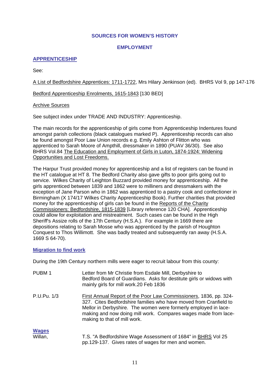#### **SOURCES FOR WOMEN'S HISTORY**

#### **EMPLOYMENT**

# **APPRENTICESHIP**

See:

A List of Bedfordshire Apprentices: 1711-1722, Mrs Hilary Jenkinson (ed). BHRS Vol 9, pp 147-176

Bedford Apprenticeship Enrolments, 1615-1843 [130 BED]

#### Archive Sources

See subject index under TRADE AND INDUSTRY: Apprenticeship.

The main records for the apprenticeship of girls come from Apprenticeship Indentures found amongst parish collections (black catalogues marked P). Apprenticeship records can also be found amongst Poor Law Union records e.g. Emily Ashton of Flitton who was apprenticed to Sarah Moore of Ampthill, dressmaker in 1890 (PUAV 36/30). See also BHRS Vol.84 The Education and Employment of Girls in Luton, 1874-1924: Widening Opportunities and Lost Freedoms.

The Harpur Trust provided money for apprenticeship and a list of registers can be found in the HT catalogue at HT 8. The Bedford Charity also gave gifts to poor girls going out to service. Wilkes Charity of Leighton Buzzard provided money for apprenticeship. All the girls apprenticed between 1839 and 1862 were to milliners and dressmakers with the exception of Jane Parson who in 1862 was apprenticed to a pastry cook and confectioner in Birmingham (X 174/17 Wilkes Charity Apprenticeship Book). Further charities that provided money for the apprenticeship of girls can be found in the Reports of the Charity Commissioners: Bedfordshire, 1815-1839 [Library reference 120 CHA]. Apprenticeship could allow for exploitation and mistreatment. Such cases can be found in the High Sheriff's Assize rolls of the 17th Century (H.S.A.). For example in 1669 there are depositions relating to Sarah Mosse who was apprenticed by the parish of Houghton Conquest to Thos Willimott. She was badly treated and subsequently ran away (H.S.A. 1669 S 64-70).

#### **Migration to find work**

During the 19th Century northern mills were eager to recruit labour from this county:

| PUBM <sub>1</sub> | Letter from Mr Christie from Esdale Mill, Derbyshire to<br>Bedford Board of Guardians. Asks for destitute girls or widows with<br>mainly girls for mill work.20 Feb 1836                                                                                                                                    |
|-------------------|-------------------------------------------------------------------------------------------------------------------------------------------------------------------------------------------------------------------------------------------------------------------------------------------------------------|
| P.U.Pu. 1/3       | First Annual Report of the Poor Law Commissioners, 1836, pp. 324-<br>327. Cites Bedfordshire families who have moved from Cranfield to<br>Mellor in Derbyshire. The women were formerly employed in lace-<br>making and now doing mill work. Compares wages made from lace-<br>making to that of mill work. |
| <b>Wages</b>      |                                                                                                                                                                                                                                                                                                             |
| Willan,           | T.S. "A Bedfordshire Wage Assessment of 1684" in <b>BHRS Vol 25</b><br>pp.129-137. Gives rates of wages for men and women.                                                                                                                                                                                  |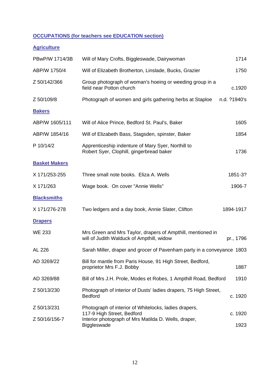# **OCCUPATIONS (for teachers see EDUCATION section)**

# **Agriculture**

| PBwP/W 1714/3B       | Will of Mary Crofts, Biggleswade, Dairywoman                                                             | 1714         |
|----------------------|----------------------------------------------------------------------------------------------------------|--------------|
| ABP/W 1750/4         | Will of Elizabeth Brotherton, Linslade, Bucks, Grazier                                                   | 1750         |
| Z 50/142/366         | Group photograph of woman's hoeing or weeding group in a<br>field near Potton church                     | c.1920       |
| Z 50/109/8           | Photograph of women and girls gathering herbs at Staploe                                                 | n.d. ?1940's |
| <b>Bakers</b>        |                                                                                                          |              |
| ABP/W 1605/111       | Will of Alice Prince, Bedford St. Paul's, Baker                                                          | 1605         |
| ABP/W 1854/16        | Will of Elizabeth Bass, Stagsden, spinster, Baker                                                        | 1854         |
| P 10/14/2            | Apprenticeship indenture of Mary Syer, Northill to<br>Robert Syer, Clophill, gingerbread baker           | 1736         |
| <b>Basket Makers</b> |                                                                                                          |              |
| X 171/253-255        | Three small note books. Eliza A. Wells                                                                   | 1851-3?      |
| X 171/263            | Wage book. On cover "Annie Wells"                                                                        | 1906-7       |
| <b>Blacksmiths</b>   |                                                                                                          |              |
| X 171/276-278        | Two ledgers and a day book, Annie Slater, Clifton                                                        | 1894-1917    |
| <b>Drapers</b>       |                                                                                                          |              |
| <b>WE 233</b>        | Mrs Green and Mrs Taylor, drapers of Ampthill, mentioned in<br>will of Judith Walduck of Ampthill, widow | pr., 1796    |
| AL 226               | Sarah Miller, draper and grocer of Pavenham party in a conveyance 1803                                   |              |
| AD 3269/22           | Bill for mantle from Paris House, 91 High Street, Bedford,<br>proprietor Mrs F.J. Bobby                  | 1887         |
| AD 3269/88           | Bill of Mrs J.H. Prole, Modes et Robes, 1 Ampthill Road, Bedford                                         | 1910         |
| Z 50/13/230          | Photograph of interior of Dusts' ladies drapers, 75 High Street,<br><b>Bedford</b>                       | c. 1920      |
| Z 50/13/231          | Photograph of interior of Whitelocks, ladies drapers,<br>117-9 High Street, Bedford                      | c. 1920      |
| Z 50/16/156-7        | Interior photograph of Mrs Matilda D. Wells, draper,                                                     |              |
|                      | Biggleswade                                                                                              | 1923         |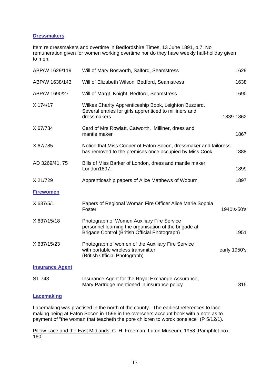## **Dressmakers**

Item re dressmakers and overtime in Bedfordshire Times, 13 June 1891, p.7. No remuneration given for women working overtime nor do they have weekly half-holiday given to men.

| ABP/W 1629/119         | Will of Mary Bosworth, Salford, Seamstress                                                                                                           | 1629         |
|------------------------|------------------------------------------------------------------------------------------------------------------------------------------------------|--------------|
| ABP/W 1638/143         | Will of Elizabeth Wilson, Bedford, Seamstress                                                                                                        | 1638         |
| ABP/W 1690/27          | Will of Margt. Knight, Bedford, Seamstress                                                                                                           | 1690         |
| X 174/17               | Wilkes Charity Apprenticeship Book, Leighton Buzzard.<br>Several entries for girls apprenticed to milliners and<br>dressmakers                       | 1839-1862    |
| X 67/784               | Card of Mrs Rowlatt, Catworth. Milliner, dress and<br>mantle maker                                                                                   | 1867         |
| X 67/785               | Notice that Miss Cooper of Eaton Socon, dressmaker and tailoress<br>has removed to the premises once occupied by Miss Cook                           | 1888         |
| AD 3269/41, 75         | Bills of Miss Barker of London, dress and mantle maker,<br>London1897;                                                                               | 1899         |
| X 21/729               | Apprenticeship papers of Alice Matthews of Woburn                                                                                                    | 1897         |
| <b>Firewomen</b>       |                                                                                                                                                      |              |
| X 637/5/1              | Papers of Regional Woman Fire Officer Alice Marie Sophia<br>Foster                                                                                   | 1940's-50's  |
| X 637/15/18            | Photograph of Women Auxiliary Fire Service<br>personnel learning the organisation of the brigade at<br>Brigade Control (British Official Photograph) | 1951         |
| X 637/15/23            | Photograph of women of the Auxiliary Fire Service<br>with portable wireless transmitter<br>(British Official Photograph)                             | early 1950's |
| <b>Insurance Agent</b> |                                                                                                                                                      |              |
| ST 743                 | Insurance Agent for the Royal Exchange Assurance,<br>Mary Partridge mentioned in insurance policy                                                    | 1815         |

#### **Lacemaking**

Lacemaking was practised in the north of the county. The earliest references to lace making being at Eaton Socon in 1596 in the overseers account book with a note as to payment of "the woman that teacheth the pore children to worck bonelace" (P 5/12/1).

Pillow Lace and the East Midlands, C. H. Freeman, Luton Museum, 1958 [Pamphlet box 160]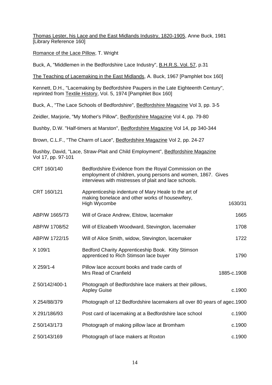Thomas Lester, his Lace and the East Midlands Industry, 1820-1905, Anne Buck, 1981 [Library Reference 160]

Romance of the Lace Pillow, T. Wright

Buck, A, "Middlemen in the Bedfordshire Lace Industry", B.H.R.S. Vol. 57, p.31

The Teaching of Lacemaking in the East Midlands, A. Buck, 1967 [Pamphlet box 160]

Kennett, D.H., "Lacemaking by Bedfordshire Paupers in the Late Eighteenth Century", reprinted from Textile History, Vol. 5, 1974 [Pamphlet Box 160]

Buck, A., "The Lace Schools of Bedfordshire", Bedfordshire Magazine Vol 3, pp. 3-5

Zeidler, Marjorie, "My Mother's Pillow", Bedfordshire Magazine Vol 4, pp. 79-80

Bushby, D.W. "Half-timers at Marston", Bedfordshire Magazine Vol 14, pp 340-344

Brown, C.L.F., "The Charm of Lace", Bedfordshire Magazine Vol 2, pp. 24-27

Bushby, David, "Lace, Straw-Plait and Child Employment", Bedfordshire Magazine Vol 17, pp. 97-101

| CRT 160/140    | Bedfordshire Evidence from the Royal Commission on the<br>employment of children, young persons and women, 1867. Gives<br>interviews with mistresses of plait and lace schools. |             |
|----------------|---------------------------------------------------------------------------------------------------------------------------------------------------------------------------------|-------------|
| CRT 160/121    | Apprenticeship indenture of Mary Heale to the art of<br>making bonelace and other works of housewifery,<br>High Wycombe                                                         | 1630/31     |
| ABP/W 1665/73  | Will of Grace Andrew, Elstow, lacemaker                                                                                                                                         | 1665        |
| ABP/W 1708/52  | Will of Elizabeth Woodward, Stevington, lacemaker                                                                                                                               | 1708        |
| ABP/W 1722/15  | Will of Alice Smith, widow, Stevington, lacemaker                                                                                                                               | 1722        |
| X 109/1        | Bedford Charity Apprenticeship Book. Kitty Stimson<br>apprenticed to Rich Stimson lace buyer                                                                                    | 1790        |
| X 259/1-4      | Pillow lace account books and trade cards of<br><b>Mrs Read of Cranfield</b>                                                                                                    | 1885-c.1908 |
| Z 50/142/400-1 | Photograph of Bedfordshire lace makers at their pillows,<br><b>Aspley Guise</b>                                                                                                 | c.1900      |
| X 254/88/379   | Photograph of 12 Bedfordshire lacemakers all over 80 years of agec. 1900                                                                                                        |             |
| X 291/186/93   | Post card of lacemaking at a Bedfordshire lace school                                                                                                                           | c.1900      |
| Z 50/143/173   | Photograph of making pillow lace at Bromham                                                                                                                                     | c.1900      |
| Z 50/143/169   | Photograph of lace makers at Roxton                                                                                                                                             | c.1900      |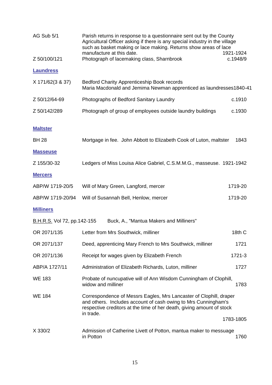| AG Sub 5/1                  | Parish returns in response to a questionnaire sent out by the County<br>Agricultural Officer asking if there is any special industry in the village<br>such as basket making or lace making. Returns show areas of lace<br>manufacture at this date.<br>1921-1924 |           |
|-----------------------------|-------------------------------------------------------------------------------------------------------------------------------------------------------------------------------------------------------------------------------------------------------------------|-----------|
| Z 50/100/121                | Photograph of lacemaking class, Sharnbrook                                                                                                                                                                                                                        | c.1948/9  |
| <b>Laundress</b>            |                                                                                                                                                                                                                                                                   |           |
| X 171/62(3 & 37)            | <b>Bedford Charity Apprenticeship Book records</b><br>Maria Macdonald and Jemima Newman apprenticed as laundresses1840-41                                                                                                                                         |           |
| Z 50/12/64-69               | Photographs of Bedford Sanitary Laundry                                                                                                                                                                                                                           | c.1910    |
| Z 50/142/289                | Photograph of group of employees outside laundry buildings                                                                                                                                                                                                        | c.1930    |
| <b>Maltster</b>             |                                                                                                                                                                                                                                                                   |           |
| <b>BH 28</b>                | Mortgage in fee. John Abbott to Elizabeth Cook of Luton, maltster                                                                                                                                                                                                 | 1843      |
| <b>Masseuse</b>             |                                                                                                                                                                                                                                                                   |           |
| Z 155/30-32                 | Ledgers of Miss Louisa Alice Gabriel, C.S.M.M.G., masseuse. 1921-1942                                                                                                                                                                                             |           |
| <b>Mercers</b>              |                                                                                                                                                                                                                                                                   |           |
| ABP/W 1719-20/5             | Will of Mary Green, Langford, mercer                                                                                                                                                                                                                              | 1719-20   |
| ABP/W 1719-20/94            | Will of Susannah Bell, Henlow, mercer                                                                                                                                                                                                                             | 1719-20   |
| <b>Milliners</b>            |                                                                                                                                                                                                                                                                   |           |
| B.H.R.S. Vol 72, pp.142-155 | Buck, A., "Mantua Makers and Milliners"                                                                                                                                                                                                                           |           |
| OR 2071/135                 | Letter from Mrs Southwick, milliner                                                                                                                                                                                                                               | 18th C    |
| OR 2071/137                 | Deed, apprenticing Mary French to Mrs Southwick, milliner                                                                                                                                                                                                         | 1721      |
| OR 2071/136                 | Receipt for wages given by Elizabeth French                                                                                                                                                                                                                       | 1721-3    |
| ABP/A 1727/11               | Administration of Elizabeth Richards, Luton, milliner                                                                                                                                                                                                             | 1727      |
| <b>WE 183</b>               | Probate of nuncupative will of Ann Wisdom Cunningham of Clophill,<br>widow and milliner                                                                                                                                                                           | 1783      |
| <b>WE 184</b>               | Correspondence of Messrs Eagles, Mrs Lancaster of Clophill, draper<br>and others. Includes account of cash owing to Mrs Cunningham's<br>respective creditors at the time of her death, giving amount of stock<br>in trade.                                        |           |
|                             |                                                                                                                                                                                                                                                                   | 1783-1805 |
| X 330/2                     | Admission of Catherine Livett of Potton, mantua maker to messuage<br>in Potton                                                                                                                                                                                    | 1760      |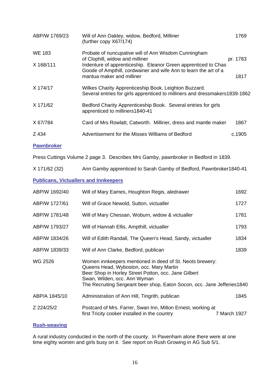| ABP/W 1769/23     | Will of Ann Oakley, widow, Bedford, Milliner<br>(further copy X67/174)                                                               | 1769     |
|-------------------|--------------------------------------------------------------------------------------------------------------------------------------|----------|
| <b>WE 183</b>     | Probate of nuncupative will of Ann Wisdom Cunningham<br>of Clophill, widow and milliner                                              | pr. 1783 |
| X 168/111         | Indenture of apprenticeship. Eleanor Green apprenticed to Chas                                                                       |          |
|                   | Goode of Ampthill, cordwainer and wife Ann to learn the art of a<br>mantua maker and milliner                                        | 1817     |
| X 174/17          | Wilkes Charity Apprenticeship Book, Leighton Buzzard.<br>Several entries for girls apprenticed to milliners and dressmakers1839-1862 |          |
| X 171/62          | Bedford Charity Apprenticeship Book. Several entries for girls<br>apprenticed to milliners1840-41                                    |          |
| X 67/784          | Card of Mrs Rowlatt, Catworth. Milliner, dress and mantle maker                                                                      | 1867     |
| Z 434             | Advertisement for the Misses Williams of Bedford                                                                                     | c.1905   |
| <b>Pawnbroker</b> |                                                                                                                                      |          |

Press Cuttings Volume 2 page 3. Describes Mrs Gamby, pawnbroker in Bedford in 1839.

X 171/62 (32) Ann Gamby apprenticed to Sarah Gamby of Bedford, Pawnbroker1840-41

# **Publicans, Victuallers and Innkeepers**

| ABP/W 1692/40 | Will of Mary Eames, Houghton Regis, aledrawer                                                                                                                                                                                                                          | 1692         |
|---------------|------------------------------------------------------------------------------------------------------------------------------------------------------------------------------------------------------------------------------------------------------------------------|--------------|
| ABP/W 1727/61 | Will of Grace Newold, Sutton, victualler                                                                                                                                                                                                                               | 1727         |
| ABP/W 1781/48 | Will of Mary Chessan, Woburn, widow & victualler                                                                                                                                                                                                                       | 1781         |
| ABP/W 1793/27 | Will of Hannah Ellis, Ampthill, victualler                                                                                                                                                                                                                             | 1793         |
| ABP/W 1834/26 | Will of Edith Randall, The Queen's Head, Sandy, victualler                                                                                                                                                                                                             | 1834         |
| ABP/W 1839/33 | Will of Ann Clarke, Bedford, publican                                                                                                                                                                                                                                  | 1839         |
| WG 2526       | Women innkeepers mentioned in deed of St. Neots brewery:<br>Queens Head, Wyboston, occ. Mary Martin<br>Beer Shop in Horley Street Potton, occ. Jane Gilbert<br>Swan, Wilden, occ. Ann Wyman<br>The Recruiting Sergeant beer shop, Eaton Socon, occ. Jane Jefferies1840 |              |
| ABP/A 1845/10 | Administration of Ann Hill, Tingrith, publican                                                                                                                                                                                                                         | 1845         |
| Z 224/25/2    | Postcard of Mrs. Farrer, Swan Inn, Milton Ernest, working at<br>first Tricity cooker installed in the country                                                                                                                                                          | 7 March 1927 |

# **Rush-weaving**

A rural industry conducted in the north of the county. In Pavenham alone there were at one time eighty women and girls busy on it. See report on Rush Growing in AG Sub 5/1.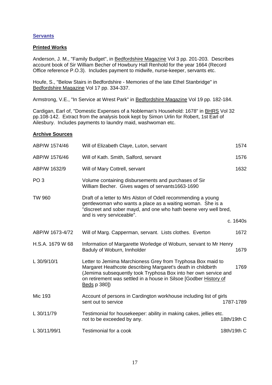# **Servants**

## **Printed Works**

Anderson, J. M., "Family Budget", in **Bedfordshire Magazine Vol 3 pp. 201-203.** Describes account book of Sir William Becher of Howbury Hall Renhold for the year 1664 (Record Office reference P.O.3). Includes payment to midwife, nurse-keeper, servants etc.

Houfe, S., "Below Stairs in Bedfordshire - Memories of the late Ethel Stanbridge" in Bedfordshire Magazine Vol 17 pp. 334-337.

Armstrong, V.E., "In Service at Wrest Park" in Bedfordshire Magazine Vol 19 pp. 182-184.

Cardigan, Earl of, "Domestic Expenses of a Nobleman's Household: 1678" in BHRS Vol 32 pp.108-142. Extract from the analysis book kept by Simon Urlin for Robert, 1st Earl of Ailesbury. Includes payments to laundry maid, washwoman etc.

| ABP/W 1574/46    | Will of Elizabeth Claye, Luton, servant                                                                                                                                                                                                                                             | 1574        |
|------------------|-------------------------------------------------------------------------------------------------------------------------------------------------------------------------------------------------------------------------------------------------------------------------------------|-------------|
| ABP/W 1576/46    | Will of Kath. Smith, Salford, servant                                                                                                                                                                                                                                               | 1576        |
| ABP/W 1632/9     | Will of Mary Cottrell, servant                                                                                                                                                                                                                                                      | 1632        |
| PO <sub>3</sub>  | Volume containing disbursements and purchases of Sir<br>William Becher. Gives wages of servants1663-1690                                                                                                                                                                            |             |
| <b>TW 960</b>    | Draft of a letter to Mrs Alston of Odell recommending a young<br>gentlewoman who wants a place as a waiting woman. She is a<br>"discreet and sober mayd, and one who hath beene very well bred,<br>and is very serviceable".                                                        |             |
|                  |                                                                                                                                                                                                                                                                                     | c. 1640s    |
| ABP/W 1673-4/72  | Will of Marg. Capperman, servant. Lists clothes. Everton                                                                                                                                                                                                                            | 1672        |
| H.S.A. 1679 W 68 | Information of Margarette Worledge of Woburn, servant to Mr Henry<br>Baduly of Woburn, Innholder                                                                                                                                                                                    | 1679        |
| L 30/9/10/1      | Letter to Jemima Marchioness Grey from Tryphosa Box maid to<br>Margaret Heathcote describing Margaret's death in childbirth<br>(Jemima subsequently took Tryphosa Box into her own service and<br>on retirement was settled in a house in Silsoe [Godber History of<br>Beds p 380]) | 1769        |
| <b>Mic 193</b>   | Account of persons in Cardington workhouse including list of girls<br>sent out to service                                                                                                                                                                                           | 1787-1789   |
| L 30/11/79       | Testimonial for housekeeper: ability in making cakes, jellies etc.<br>not to be exceeded by any.                                                                                                                                                                                    | 18th/19th C |
| L 30/11/99/1     | Testimonial for a cook                                                                                                                                                                                                                                                              | 18th/19th C |
|                  |                                                                                                                                                                                                                                                                                     |             |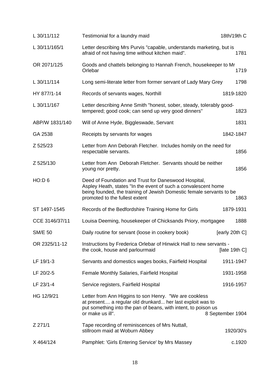| L 30/11/112    | Testimonial for a laundry maid                                                                                                                                                                                                   | 18th/19th C      |
|----------------|----------------------------------------------------------------------------------------------------------------------------------------------------------------------------------------------------------------------------------|------------------|
| L 30/11/165/1  | Letter describing Mrs Purvis "capable, understands marketing, but is<br>afraid of not having time without kitchen maid".                                                                                                         | 1781             |
| OR 2071/125    | Goods and chattels belonging to Hannah French, housekeeper to Mr<br>Orlebar                                                                                                                                                      | 1719             |
| L 30/11/114    | Long semi-literate letter from former servant of Lady Mary Grey                                                                                                                                                                  | 1798             |
| HY 877/1-14    | Records of servants wages, Northill                                                                                                                                                                                              | 1819-1820        |
| L 30/11/167    | Letter describing Anne Smith "honest, sober, steady, tolerably good-<br>tempered; good cook; can send up very good dinners"                                                                                                      | 1823             |
| ABP/W 1831/140 | Will of Anne Hyde, Biggleswade, Servant                                                                                                                                                                                          | 1831             |
| GA 2538        | Receipts by servants for wages                                                                                                                                                                                                   | 1842-1847        |
| Z 525/23       | Letter from Ann Deborah Fletcher. Includes homily on the need for<br>respectable servants.                                                                                                                                       | 1856             |
| Z 525/130      | Letter from Ann Deborah Fletcher. Servants should be neither<br>young nor pretty.                                                                                                                                                | 1856             |
| HO:D 6         | Deed of Foundation and Trust for Daneswood Hospital,<br>Aspley Heath, states "In the event of such a convalescent home<br>being founded, the training of Jewish Domestic female servants to be<br>promoted to the fullest extent | 1863             |
| ST 1497-1545   | Records of the Bedfordshire Training Home for Girls                                                                                                                                                                              | 1879-1931        |
| CCE 3146/37/11 | Louisa Deeming, housekeeper of Chicksands Priory, mortgagee                                                                                                                                                                      | 1888             |
| <b>SM/E 50</b> | Daily routine for servant (loose in cookery book)                                                                                                                                                                                | [early 20th C]   |
| OR 2325/11-12  | Instructions by Frederica Orlebar of Hinwick Hall to new servants -<br>the cook, house and parlourmaid                                                                                                                           | [late 19th $C$ ] |
| LF 19/1-3      | Servants and domestics wages books, Fairfield Hospital                                                                                                                                                                           | 1911-1947        |
| LF 20/2-5      | Female Monthly Salaries, Fairfield Hospital                                                                                                                                                                                      | 1931-1958        |
| LF 23/1-4      | Service registers, Fairfield Hospital                                                                                                                                                                                            | 1916-1957        |
| HG 12/9/21     | Letter from Ann Higgins to son Henry. "We are cookless<br>at present a regular old drunkard her last exploit was to<br>put something into the pan of beans, with intent, to poison us<br>or make us ill".                        | 8 September 1904 |
| Z 271/1        | Tape recording of reminiscences of Mrs Nuttall,<br>stillroom maid at Woburn Abbey                                                                                                                                                | 1920/30's        |
| X 464/124      | Pamphlet: 'Girls Entering Service' by Mrs Massey                                                                                                                                                                                 | c.1920           |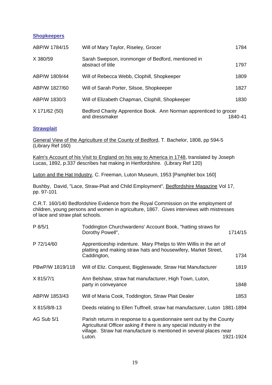#### **Shopkeepers**

| ABP/W 1784/15 | Will of Mary Taylor, Riseley, Grocer                                                | 1784    |
|---------------|-------------------------------------------------------------------------------------|---------|
| X 380/59      | Sarah Swepson, ironmonger of Bedford, mentioned in<br>abstract of title             | 1797    |
| ABP/W 1809/44 | Will of Rebecca Webb, Clophill, Shopkeeper                                          | 1809    |
| ABP/W 1827/60 | Will of Sarah Porter, Silsoe, Shopkeeper                                            | 1827    |
| ABP/W 1830/3  | Will of Elizabeth Chapman, Clophill, Shopkeeper                                     | 1830    |
| X 171/62 (50) | Bedford Charity Apprentice Book. Ann Norman apprenticed to grocer<br>and dressmaker | 1840-41 |

# **Strawplait**

General View of the Agriculture of the County of Bedford, T. Bachelor, 1808, pp 594-5 (Library Ref 160)

Kalm's Account of his Visit to England on his way to America in 1748, translated by Joseph Lucas, 1892, p.337 describes hat making in Hertfordshire. (Library Ref 120)

Luton and the Hat Industry, C. Freeman, Luton Museum, 1953 [Pamphlet box 160]

Bushby, David, "Lace, Straw-Plait and Child Employment", Bedfordshire Magazine Vol 17, pp. 97-101

C.R.T. 160/140 Bedfordshire Evidence from the Royal Commission on the employment of children, young persons and women in agriculture, 1867. Gives interviews with mistresses of lace and straw plait schools.

| P 8/5/1         | Toddington Churchwardens' Account Book, "hatting straws for<br>Dorothy Powell",                                                                                                                                             | 1714/15   |
|-----------------|-----------------------------------------------------------------------------------------------------------------------------------------------------------------------------------------------------------------------------|-----------|
| P 72/14/60      | Apprenticeship indenture. Mary Phelps to Wm Willis in the art of<br>platting and making straw hats and housewifery, Market Street,<br>Caddington,                                                                           | 1734      |
| PBwP/W 1819/118 | Will of Eliz. Conquest, Biggleswade, Straw Hat Manufacturer                                                                                                                                                                 | 1819      |
| X 815/7/1       | Ann Belshaw, straw hat manufacturer, High Town, Luton,<br>party in conveyance                                                                                                                                               | 1848      |
| ABP/W 1853/43   | Will of Maria Cook, Toddington, Straw Plait Dealer                                                                                                                                                                          | 1853      |
| X 815/8/8-13    | Deeds relating to Ellen Tuffnell, straw hat manufacturer, Luton 1881-1894                                                                                                                                                   |           |
| AG Sub 5/1      | Parish returns in response to a questionnaire sent out by the County<br>Agricultural Officer asking if there is any special industry in the<br>village. Straw hat manufacture is mentioned in several places near<br>Luton. | 1921-1924 |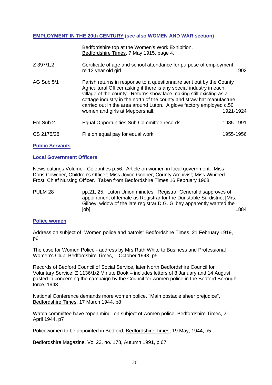#### **EMPLOYMENT IN THE 20th CENTURY (see also WOMEN AND WAR section)**

|            | Bedfordshire top at the Women's Work Exhibition,<br>Bedfordshire Times, 7 May 1915, page 4.                                                                                                                                                                                                                                                                                                            |           |
|------------|--------------------------------------------------------------------------------------------------------------------------------------------------------------------------------------------------------------------------------------------------------------------------------------------------------------------------------------------------------------------------------------------------------|-----------|
| Z 397/1,2  | Certificate of age and school attendance for purpose of employment<br>re 13 year old girl                                                                                                                                                                                                                                                                                                              | 1902      |
| AG Sub 5/1 | Parish returns in response to a questionnaire sent out by the County<br>Agricultural Officer asking if there is any special industry in each<br>village of the county. Returns show lace making still existing as a<br>cottage industry in the north of the county and straw hat manufacture<br>carried out in the area around Luton. A glove factory employed c.50<br>women and girls at Meppershall. | 1921-1924 |
| Em Sub 2   | Equal Opportunities Sub Committee records                                                                                                                                                                                                                                                                                                                                                              | 1985-1991 |
| CS 2175/28 | File on equal pay for equal work                                                                                                                                                                                                                                                                                                                                                                       | 1955-1956 |

**Public Servants**

#### **Local Government Officers**

News cuttings Volume - Celebrities p.56. Article on women in local government. Miss Doris Cowcher, Children's Officer; Miss Joyce Godber, County Archivist; Miss Winifred Frost, Chief Nursing Officer. Taken from Bedfordshire Times 16 February 1968.

PULM 28 pp.21, 25. Luton Union minutes. Registrar General disapproves of appointment of female as Registrar for the Dunstable Su-district [Mrs. Gilbey, widow of the late registrar D.G. Gilbey apparently wanted the job]. 1884

#### **Police women**

Address on subject of "Women police and patrols" Bedfordshire Times, 21 February 1919, p6

The case for Women Police - address by Mrs Ruth White to Business and Professional Women's Club, Bedfordshire Times, 1 October 1943, p5

Records of Bedford Council of Social Service, later North Bedfordshire Council for Voluntary Service: Z 1136/1/2 Minute Book – includes letters of 8 January and 14 August pasted in concerning the campaign by the Council for women police in the Bedford Borough force, 1943

National Conference demands more women police. "Main obstacle sheer prejudice", Bedfordshire Times, 17 March 1944, p8

Watch committee have "open mind" on subject of women police, Bedfordshire Times, 21 April 1944, p7

Policewomen to be appointed in Bedford, Bedfordshire Times, 19 May, 1944, p5

Bedfordshire Magazine, Vol 23, no. 178, Autumn 1991, p.67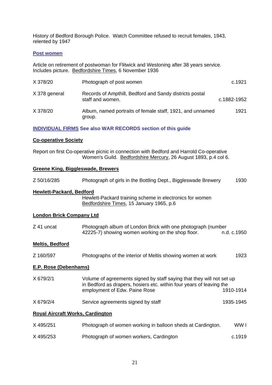History of Bedford Borough Police. Watch Committee refused to recruit females, 1943, relented by 1947

#### **Post women**

Article on retirement of postwoman for Flitwick and Westoning after 38 years service. Includes picture. Bedfordshire Times, 6 November 1936

| X 378/20      | Photograph of post women                                                    | c.1921      |
|---------------|-----------------------------------------------------------------------------|-------------|
| X 378 general | Records of Ampthill, Bedford and Sandy districts postal<br>staff and women. | c.1882-1952 |
| X 378/20      | Album, named portraits of female staff, 1921, and unnamed<br>group.         | 1921        |

## **INDIVIDUAL FIRMS See also WAR RECORDS section of this guide**

#### **Co-operative Society**

Report on first Co-operative picnic in connection with Bedford and Harrold Co-operative Women's Guild. Bedfordshire Mercury, 26 August 1893, p.4 col 6.

### **Greene King, Biggleswade, Brewers**

| Z 50/16/285                             | Photograph of girls in the Bottling Dept., Biggleswade Brewery                                                                                                                 | 1930        |
|-----------------------------------------|--------------------------------------------------------------------------------------------------------------------------------------------------------------------------------|-------------|
| Hewlett-Packard, Bedford                | Hewlett-Packard training scheme in electronics for women<br>Bedfordshire Times, 15 January 1965, p.6                                                                           |             |
| <b>London Brick Company Ltd</b>         |                                                                                                                                                                                |             |
| Z 41 uncat                              | Photograph album of London Brick with one photograph (number<br>42225-7) showing women working on the shop floor.                                                              | n.d. c.1950 |
| <b>Meltis, Bedford</b>                  |                                                                                                                                                                                |             |
| Z 160/597                               | Photographs of the interior of Meltis showing women at work                                                                                                                    | 1923        |
| <b>E.P. Rose (Debenhams)</b>            |                                                                                                                                                                                |             |
| X 679/2/1                               | Volume of agreements signed by staff saying that they will not set up<br>in Bedford as drapers, hosiers etc. within four years of leaving the<br>employment of Edw. Paine Rose | 1910-1914   |
| X 679/2/4                               | Service agreements signed by staff                                                                                                                                             | 1935-1945   |
| <b>Royal Aircraft Works, Cardington</b> |                                                                                                                                                                                |             |
| X 495/251                               | Photograph of women working in balloon sheds at Cardington.                                                                                                                    | WW I        |
| X 495/253                               | Photograph of women workers, Cardington                                                                                                                                        | c.1919      |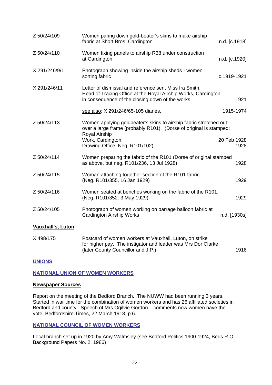| Z 50/24/109              | Women paring down gold-beater's skins to make airship<br>fabric at Short Bros. Cardington                                                                                   | n.d. [c.1918]       |
|--------------------------|-----------------------------------------------------------------------------------------------------------------------------------------------------------------------------|---------------------|
| Z 50/24/110              | Women fixing panels to airship R38 under construction<br>at Cardington                                                                                                      | n.d. [c.1920]       |
| X 291/246/9/1            | Photograph showing inside the airship sheds - women<br>sorting fabric                                                                                                       | c.1919-1921         |
| X 291/246/11             | Letter of dismissal and reference sent Miss Ira Smith,<br>Head of Tracing Office at the Royal Airship Works, Cardington,<br>in consequence of the closing down of the works | 1921                |
|                          | see also: X 291/246/65-105 diaries,                                                                                                                                         | 1915-1974           |
| Z 50/24/113              | Women applying goldbeater's skins to airship fabric stretched out<br>over a large frame (probably R101). (Dorse of original is stamped:<br>Royal Airship                    |                     |
|                          | Work, Cardington.<br>Drawing Office: Neg. R101/102)                                                                                                                         | 20 Feb 1928<br>1928 |
| Z 50/24/114              | Women preparing the fabric of the R101 (Dorse of original stamped<br>as above, but neg. R101/236, 13 Jul 1928)                                                              | 1928                |
| Z 50/24/115              | Woman attaching together section of the R101 fabric.<br>(Neg. R101/355. 16 Jan 1929)                                                                                        | 1929                |
| Z 50/24/116              | Women seated at benches working on the fabric of the R101.<br>(Neg. R101/352. 3 May 1929)                                                                                   | 1929                |
| Z 50/24/105              | Photograph of women working on barrage balloon fabric at<br><b>Cardington Airship Works</b>                                                                                 | n.d. [1930s]        |
| <b>Vauxhall's, Luton</b> |                                                                                                                                                                             |                     |
| X 498/175                | Postcard of women workers at Vauxhall, Luton, on strike<br>for higher pay. The instigator and leader was Mrs Dor Clarke                                                     |                     |

#### **UNIONS**

### **NATIONAL UNION OF WOMEN WORKERS**

#### **Newspaper Sources**

 Report on the meeting of the Bedford Branch. The NUWW had been running 3 years. Started in war time for the combination of women workers and has 26 affiliated societies in Bedford and county. Speech of Mrs Ogilvie Gordon – comments now women have the vote, Bedfordshire Times, 22 March 1918, p.6.

(later County Councillor and J.P.) 1916

#### **NATIONAL COUNCIL OF WOMEN WORKERS**

 Local branch set up in 1920 by Amy Walmsley (see Bedford Politics 1900-1924, Beds.R.O. Background Papers No. 2, 1986)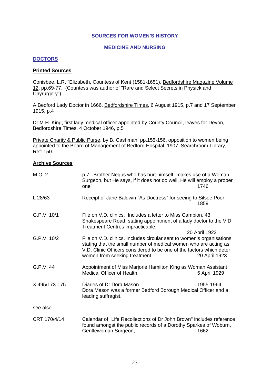#### **SOURCES FOR WOMEN'S HISTORY**

#### **MEDICINE AND NURSING**

## **DOCTORS**

#### **Printed Sources**

Conisbee, L.R. "Elizabeth, Countess of Kent (1581-1651), Bedfordshire Magazine Volume 12, pp.69-77. (Countess was author of "Rare and Select Secrets in Physick and Chyrurgery")

A Bedford Lady Doctor in 1666, Bedfordshire Times, 6 August 1915, p.7 and 17 September 1915, p.4

Dr M.H. King, first lady medical officer appointed by County Council, leaves for Devon, Bedfordshire Times, 4 October 1946, p.5

Private Charity & Public Purse, by B. Cashman, pp.155-156, opposition to women being appointed to the Board of Management of Bedford Hospital, 1907, Searchroom Library, Ref: 150.

| M.O. 2        | p.7. Brother Negus who has hurt himself "makes use of a Woman<br>Surgeon, but He says, if it does not do well, He will employ a proper<br>one".                                                                                                    | 1746                           |
|---------------|----------------------------------------------------------------------------------------------------------------------------------------------------------------------------------------------------------------------------------------------------|--------------------------------|
| L 28/63       | Receipt of Jane Baldwin "As Doctress" for seeing to Silsoe Poor                                                                                                                                                                                    | 1859                           |
| G.P.V. 10/1   | File on V.D. clinics. Includes a letter to Miss Campion, 43<br>Shakespeare Road, stating appointment of a lady doctor to the V.D.<br>Treatment Centres impracticable.                                                                              |                                |
| G.P.V. 10/2   | File on V.D. clinics. Includes circular sent to women's organisations<br>stating that the small number of medical women who are acting as<br>V.D. Clinic Officers considered to be one of the factors which deter<br>women from seeking treatment. | 20 April 1923<br>20 April 1923 |
| G.P.V. 44     | Appointment of Miss Marjorie Hamilton King as Woman Assistant<br><b>Medical Officer of Health</b>                                                                                                                                                  | 5 April 1929                   |
| X 495/173-175 | Diaries of Dr Dora Mason<br>Dora Mason was a former Bedford Borough Medical Officer and a<br>leading suffragist.                                                                                                                                   | 1955-1964                      |
| see also      |                                                                                                                                                                                                                                                    |                                |
| CRT 170/4/14  | Calendar of "Life Recollections of Dr John Brown" includes reference<br>found amongst the public records of a Dorothy Sparkes of Woburn,<br>Gentlewoman Surgeon,                                                                                   | 1662.                          |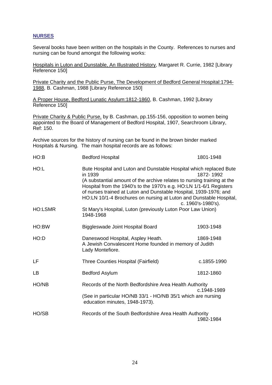# **NURSES**

Several books have been written on the hospitals in the County. References to nurses and nursing can be found amongst the following works:

Hospitals in Luton and Dunstable, An Illustrated History, Margaret R. Currie, 1982 [Library Reference 150]

Private Charity and the Public Purse, The Development of Bedford General Hospital:1794- 1988, B. Cashman, 1988 [Library Reference 150]

A Proper House, Bedford Lunatic Asylum:1812-1860, B. Cashman, 1992 [Library Reference 150]

Private Charity & Public Purse, by B. Cashman, pp.155-156, opposition to women being appointed to the Board of Management of Bedford Hospital, 1907, Searchroom Library, Ref: 150.

Archive sources for the history of nursing can be found in the brown binder marked Hospitals & Nursing. The main hospital records are as follows:

| HO:B           | <b>Bedford Hospital</b>                                                                                                                                                                                                                                                                                                                                                    | 1801-1948                       |
|----------------|----------------------------------------------------------------------------------------------------------------------------------------------------------------------------------------------------------------------------------------------------------------------------------------------------------------------------------------------------------------------------|---------------------------------|
| HO:L           | Bute Hospital and Luton and Dunstable Hospital which replaced Bute<br>in 1939<br>(A substantial amount of the archive relates to nursing training at the<br>Hospital from the 1940's to the 1970's e.g. HO:LN 1/1-6/1 Registers<br>of nurses trained at Luton and Dunstable Hospital, 1939-1976; and<br>HO:LN 10/1-4 Brochures on nursing at Luton and Dunstable Hospital, | 1872-1992<br>c. 1960's-1980's). |
| <b>HO:LSMR</b> | St Mary's Hospital, Luton (previously Luton Poor Law Union)<br>1948-1968                                                                                                                                                                                                                                                                                                   |                                 |
| HO:BW          | Biggleswade Joint Hospital Board                                                                                                                                                                                                                                                                                                                                           | 1903-1948                       |
| HO:D           | Daneswood Hospital, Aspley Heath.<br>A Jewish Convalescent Home founded in memory of Judith<br>Lady Montefiore.                                                                                                                                                                                                                                                            | 1869-1948                       |
| LF             | Three Counties Hospital (Fairfield)                                                                                                                                                                                                                                                                                                                                        | c.1855-1990                     |
| <b>LB</b>      | <b>Bedford Asylum</b>                                                                                                                                                                                                                                                                                                                                                      | 1812-1860                       |
| HO/NB          | Records of the North Bedfordshire Area Health Authority<br>c.1948-1989                                                                                                                                                                                                                                                                                                     |                                 |
|                | (See in particular HO/NB 33/1 - HO/NB 35/1 which are nursing<br>education minutes, 1948-1973).                                                                                                                                                                                                                                                                             |                                 |
| HO/SB          | Records of the South Bedfordshire Area Health Authority                                                                                                                                                                                                                                                                                                                    | 1982-1984                       |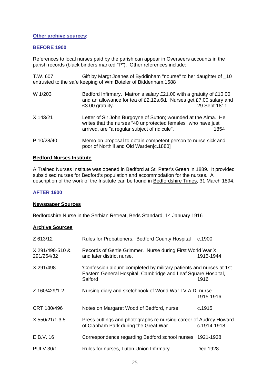#### **Other archive sources:**

#### **BEFORE 1900**

References to local nurses paid by the parish can appear in Overseers accounts in the parish records (black binders marked "P"). Other references include:

T.W. 607 Gift by Margt Joanes of Byddinham "nourse" to her daughter of \_10 entrusted to the safe keeping of Wm Boteler of Biddenham.1588

| W 1/203    | Bedford Infirmary. Matron's salary £21.00 with a gratuity of £10.00<br>and an allowance for tea of £2.12s.6d. Nurses get £7.00 salary and<br>£3.00 gratuity.                     | 29 Sept 1811 |
|------------|----------------------------------------------------------------------------------------------------------------------------------------------------------------------------------|--------------|
| X 143/21   | Letter of Sir John Burgoyne of Sutton; wounded at the Alma. He<br>writes that the nurses "40 unprotected females" who have just<br>arrived, are "a regular subject of ridicule". | 1854         |
| P 10/28/40 | Memo on proposal to obtain competent person to nurse sick and<br>poor of Northill and Old Warden[c.1880]                                                                         |              |

#### **Bedford Nurses Institute**

A Trained Nurses Institute was opened in Bedford at St. Peter's Green in 1889. It provided subsidised nurses for Bedford's population and accommodation for the nurses. A description of the work of the Institute can be found in Bedfordshire Times, 31 March 1894.

#### **AFTER 1900**

#### **Newspaper Sources**

Bedfordshire Nurse in the Serbian Retreat, Beds Standard, 14 January 1916

| Z 613/12                      | Rules for Probationers. Bedford County Hospital                                                                                                 | c.1900      |
|-------------------------------|-------------------------------------------------------------------------------------------------------------------------------------------------|-------------|
| X 291/498-510 &<br>291/254/32 | Records of Gertie Grimmer. Nurse during First World War X<br>and later district nurse.                                                          | 1915-1944   |
| X 291/498                     | 'Confession album' completed by military patients and nurses at 1st<br>Eastern General Hospital, Cambridge and Leaf Square Hospital,<br>Salford | 1916        |
| Z 160/429/1-2                 | Nursing diary and sketchbook of World War I V.A.D. nurse                                                                                        | 1915-1916   |
| CRT 180/496                   | Notes on Margaret Wood of Bedford, nurse                                                                                                        | c.1915      |
| X 550/21/1,3,5                | Press cuttings and photographs re nursing career of Audrey Howard<br>of Clapham Park during the Great War                                       | c.1914-1918 |
| E.B.V. 16                     | Correspondence regarding Bedford school nurses 1921-1938                                                                                        |             |
| <b>PULV 30/1</b>              | Rules for nurses, Luton Union Infirmary                                                                                                         | Dec 1928    |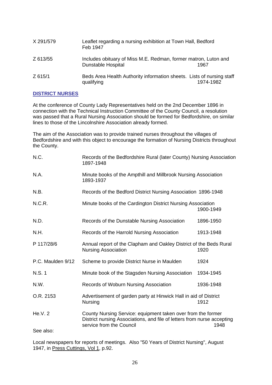| X 291/579 | Leaflet regarding a nursing exhibition at Town Hall, Bedford<br>Feb 1947                     |           |
|-----------|----------------------------------------------------------------------------------------------|-----------|
| Z 613/55  | Includes obituary of Miss M.E. Redman, former matron, Luton and<br><b>Dunstable Hospital</b> | 1967      |
| Z 615/1   | Beds Area Health Authority information sheets. Lists of nursing staff<br>qualifying          | 1974-1982 |

## **DISTRICT NURSES**

At the conference of County Lady Representatives held on the 2nd December 1896 in connection with the Technical Instruction Committee of the County Council, a resolution was passed that a Rural Nursing Association should be formed for Bedfordshire, on similar lines to those of the Lincolnshire Association already formed.

The aim of the Association was to provide trained nurses throughout the villages of Bedfordshire and with this object to encourage the formation of Nursing Districts throughout the County.

| N.C.              | Records of the Bedfordshire Rural (later County) Nursing Association<br>1897-1948                                                                                           |           |
|-------------------|-----------------------------------------------------------------------------------------------------------------------------------------------------------------------------|-----------|
| N.A.              | Minute books of the Ampthill and Millbrook Nursing Association<br>1893-1937                                                                                                 |           |
| N.B.              | Records of the Bedford District Nursing Association 1896-1948                                                                                                               |           |
| N.C.R.            | Minute books of the Cardington District Nursing Association                                                                                                                 | 1900-1949 |
| N.D.              | Records of the Dunstable Nursing Association                                                                                                                                | 1896-1950 |
| N.H.              | Records of the Harrold Nursing Association                                                                                                                                  | 1913-1948 |
| P 117/28/6        | Annual report of the Clapham and Oakley District of the Beds Rural<br><b>Nursing Association</b>                                                                            | 1920      |
| P.C. Maulden 9/12 | Scheme to provide District Nurse in Maulden                                                                                                                                 | 1924      |
| N.S. 1            | Minute book of the Stagsden Nursing Association                                                                                                                             | 1934-1945 |
| N.W.              | Records of Woburn Nursing Association                                                                                                                                       | 1936-1948 |
| O.R. 2153         | Advertisement of garden party at Hinwick Hall in aid of District<br>Nursing<br>1912                                                                                         |           |
| He.V. 2           | County Nursing Service: equipment taken over from the former<br>District nursing Associations, and file of letters from nurse accepting<br>service from the Council<br>1948 |           |
| See also:         |                                                                                                                                                                             |           |

Local newspapers for reports of meetings. Also "50 Years of District Nursing", August 1947, in Press Cuttings, Vol 1, p.92.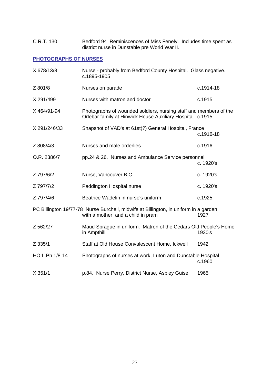C.R.T. 130 Bedford 94 Reminiscences of Miss Fenely. Includes time spent as district nurse in Dunstable pre World War II.

# **PHOTOGRAPHS OF NURSES**

| X 678/13/8     | Nurse - probably from Bedford County Hospital. Glass negative.<br>c.1895-1905                                                  |           |
|----------------|--------------------------------------------------------------------------------------------------------------------------------|-----------|
| Z 801/8        | Nurses on parade                                                                                                               | c.1914-18 |
| X 291/499      | Nurses with matron and doctor                                                                                                  | c.1915    |
| X 464/91-94    | Photographs of wounded soldiers, nursing staff and members of the<br>Orlebar family at Hinwick House Auxiliary Hospital c.1915 |           |
| X 291/246/33   | Snapshot of VAD's at 61st(?) General Hospital, France                                                                          | c.1916-18 |
| Z 808/4/3      | Nurses and male orderlies                                                                                                      | c.1916    |
| O.R. 2386/7    | pp.24 & 26. Nurses and Ambulance Service personnel                                                                             | c. 1920's |
| Z 797/6/2      | Nurse, Vancouver B.C.                                                                                                          | c. 1920's |
| Z 797/7/2      | Paddington Hospital nurse                                                                                                      | c. 1920's |
| Z 797/4/6      | Beatrice Wadelin in nurse's uniform                                                                                            | c.1925    |
|                | PC Billington 19/77-78 Nurse Burchell, midwife at Billington, in uniform in a garden<br>with a mother, and a child in pram     | 1927      |
| Z 562/27       | Maud Sprague in uniform. Matron of the Cedars Old People's Home<br>in Ampthill                                                 | 1930's    |
| Z 335/1        | Staff at Old House Convalescent Home, Ickwell                                                                                  | 1942      |
| HO:L.Ph 1/8-14 | Photographs of nurses at work, Luton and Dunstable Hospital                                                                    | c.1960    |
| X 351/1        | p.84. Nurse Perry, District Nurse, Aspley Guise                                                                                | 1965      |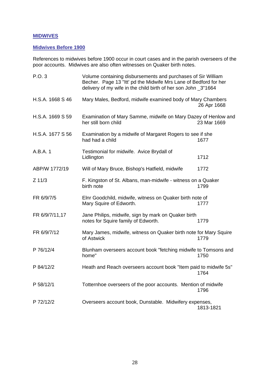# **MIDWIVES**

# **Midwives Before 1900**

References to midwives before 1900 occur in court cases and in the parish overseers of the poor accounts. Midwives are also often witnesses on Quaker birth notes.

| P.O. 3           | Volume containing disbursements and purchases of Sir William<br>Becher. Page 13 "Itt' pd the Midwife Mrs Lane of Bedford for her<br>delivery of my wife in the child birth of her son John _3"1664 |             |  |
|------------------|----------------------------------------------------------------------------------------------------------------------------------------------------------------------------------------------------|-------------|--|
| H.S.A. 1668 S 46 | Mary Males, Bedford, midwife examined body of Mary Chambers                                                                                                                                        | 26 Apr 1668 |  |
| H.S.A. 1669 S 59 | Examination of Mary Samme, midwife on Mary Dazey of Henlow and<br>her still born child                                                                                                             | 23 Mar 1669 |  |
| H.S.A. 1677 S 56 | Examination by a midwife of Margaret Rogers to see if she<br>had had a child                                                                                                                       | 1677        |  |
| A.B.A. 1         | Testimonial for midwife. Avice Brydall of<br>Lidlington                                                                                                                                            | 1712        |  |
| ABP/W 1772/19    | Will of Mary Bruce, Bishop's Hatfield, midwife                                                                                                                                                     | 1772        |  |
| $Z$ 11/3         | F. Kingston of St. Albans, man-midwife - witness on a Quaker<br>birth note                                                                                                                         | 1799        |  |
| FR 6/9/7/5       | Elnr Goodchild, midwife, witness on Quaker birth note of<br>Mary Squire of Edworth.                                                                                                                | 1777        |  |
| FR 6/9/7/11,17   | Jane Philips, midwife, sign by mark on Quaker birth<br>notes for Squire family of Edworth.                                                                                                         | 1779        |  |
| FR 6/9/7/12      | Mary James, midwife, witness on Quaker birth note for Mary Squire<br>of Astwick                                                                                                                    | 1779        |  |
| P 76/12/4        | Blunham overseers account book "fetching midwife to Tomsons and<br>home"                                                                                                                           | 1750        |  |
| P 84/12/2        | Heath and Reach overseers account book "Item paid to midwife 5s"                                                                                                                                   | 1764        |  |
| P 58/12/1        | Totternhoe overseers of the poor accounts. Mention of midwife                                                                                                                                      | 1796        |  |
| P 72/12/2        | Overseers account book, Dunstable. Midwifery expenses,                                                                                                                                             | 1813-1821   |  |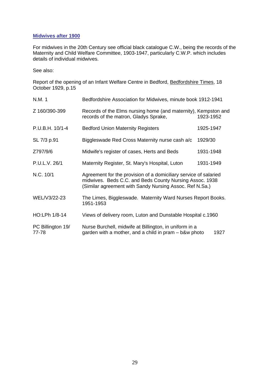### **Midwives after 1900**

For midwives in the 20th Century see official black catalogue C.W., being the records of the Maternity and Child Welfare Committee, 1903-1947, particularly C.W.P. which includes details of individual midwives.

See also:

Report of the opening of an Infant Welfare Centre in Bedford, Bedfordshire Times, 18 October 1929, p.15

| N.M. 1                     | Bedfordshire Association for Midwives, minute book 1912-1941                                                                                                                           |           |  |
|----------------------------|----------------------------------------------------------------------------------------------------------------------------------------------------------------------------------------|-----------|--|
| Z 160/390-399              | Records of the Elms nursing home (and maternity), Kempston and<br>records of the matron, Gladys Sprake,                                                                                | 1923-1952 |  |
| P.U.B.H. 10/1-4            | <b>Bedford Union Maternity Registers</b>                                                                                                                                               | 1925-1947 |  |
| SL 7/3 p.91                | Biggleswade Red Cross Maternity nurse cash a/c                                                                                                                                         | 1929/30   |  |
| Z797/9/6                   | Midwife's register of cases, Herts and Beds                                                                                                                                            | 1931-1948 |  |
| P.U.L.V. 26/1              | Maternity Register, St. Mary's Hospital, Luton                                                                                                                                         | 1931-1949 |  |
| N.C. 10/1                  | Agreement for the provision of a domiciliary service of salaried<br>midwives. Beds C.C. and Beds County Nursing Assoc. 1938<br>(Similar agreement with Sandy Nursing Assoc. Ref N.Sa.) |           |  |
| WEL/V3/22-23               | The Limes, Biggleswade. Maternity Ward Nurses Report Books.<br>1951-1953                                                                                                               |           |  |
| HO:LPh 1/8-14              | Views of delivery room, Luton and Dunstable Hospital c.1960                                                                                                                            |           |  |
| PC Billington 19/<br>77-78 | Nurse Burchell, midwife at Billington, in uniform in a<br>garden with a mother, and a child in pram – b&w photo                                                                        | 1927      |  |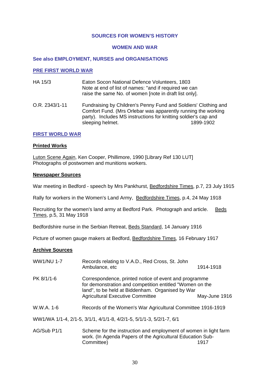#### **SOURCES FOR WOMEN'S HISTORY**

#### **WOMEN AND WAR**

#### **See also EMPLOYMENT, NURSES and ORGANISATIONS**

#### **PRE FIRST WORLD WAR**

- HA 15/3 Eaton Socon National Defence Volunteers, 1803 Note at end of list of names: "and if required we can raise the same No. of women [note in draft list only].
- O.R. 2343/1-11 Fundraising by Children's Penny Fund and Soldiers' Clothing and Comfort Fund. (Mrs Orlebar was apparently running the working party). Includes MS instructions for knitting soldier's cap and sleeping helmet. 1899-1902

#### **FIRST WORLD WAR**

#### **Printed Works**

Luton Scene Again, Ken Cooper, Phillimore, 1990 [Library Ref 130 LUT] Photographs of postwomen and munitions workers.

#### **Newspaper Sources**

War meeting in Bedford - speech by Mrs Pankhurst, Bedfordshire Times, p.7, 23 July 1915

Rally for workers in the Women's Land Army, Bedfordshire Times, p.4, 24 May 1918

Recruiting for the women's land army at Bedford Park. Photograph and article. Beds Times, p.5, 31 May 1918

Bedfordshire nurse in the Serbian Retreat, Beds Standard, 14 January 1916

Picture of women gauge makers at Bedford, Bedfordshire Times, 16 February 1917

- WW1/NU 1-7 Records relating to V.A.D., Red Cross, St. John Ambulance, etc 1914-1918 PK 8/1/1-6 Correspondence, printed notice of event and programme for demonstration and competition entitled "Women on the land", to be held at Biddenham. Organised by War Agricultural Executive Committee May-June 1916 W.W.A. 1-6 Records of the Women's War Agricultural Committee 1916-1919 WW1/WA 1/1-4, 2/1-5, 3/1/1, 4/1/1-8, 4/2/1-5, 5/1/1-3, 5/2/1-7, 6/1
- AG/Sub P1/1 Scheme for the instruction and employment of women in light farm work. (In Agenda Papers of the Agricultural Education Sub-Committee) 1917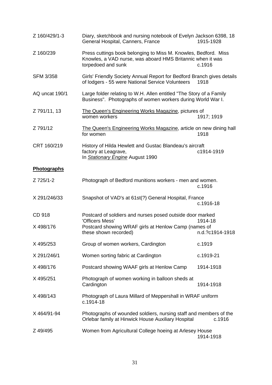| Z 160/429/1-3       | Diary, sketchbook and nursing notebook of Evelyn Jackson 6398, 18<br>General Hospital, Canners, France                                                                                      | 1915-1928  |
|---------------------|---------------------------------------------------------------------------------------------------------------------------------------------------------------------------------------------|------------|
| Z 160/239           | Press cuttings book belonging to Miss M. Knowles, Bedford. Miss<br>Knowles, a VAD nurse, was aboard HMS Britannic when it was<br>torpedoed and sunk                                         | c.1916     |
| <b>SFM 3/358</b>    | Girls' Friendly Society Annual Report for Bedford Branch gives details<br>of lodgers - 55 were National Service Volunteers                                                                  | 1918       |
| AQ uncat 190/1      | Large folder relating to W.H. Allen entitled "The Story of a Family<br>Business". Photographs of women workers during World War I.                                                          |            |
| Z 791/11, 13        | The Queen's Engineering Works Magazine, pictures of<br>women workers                                                                                                                        | 1917; 1919 |
| Z 791/12            | The Queen's Engineering Works Magazine, article on new dining hall<br>for women                                                                                                             | 1918       |
| CRT 160/219         | History of Hilda Hewlett and Gustac Blandeau's aircraft<br>factory at Leagrave,<br>In Stationary Engine August 1990                                                                         | c1914-1919 |
| Photographs         |                                                                                                                                                                                             |            |
| Z 725/1-2           | Photograph of Bedford munitions workers - men and women.                                                                                                                                    | c.1916     |
| X 291/246/33        | Snapshot of VAD's at 61st(?) General Hospital, France                                                                                                                                       | c.1916-18  |
| CD 918<br>X 498/176 | Postcard of soldiers and nurses posed outside door marked<br>'Officers Mess'<br>1914-18<br>Postcard showing WRAF girls at Henlow Camp (names of<br>these shown recorded)<br>n.d.?c1914-1918 |            |
| X 495/253           | Group of women workers, Cardington                                                                                                                                                          | c.1919     |
| X 291/246/1         | Women sorting fabric at Cardington                                                                                                                                                          | c.1919-21  |
| X 498/176           | Postcard showing WAAF girls at Henlow Camp                                                                                                                                                  | 1914-1918  |
| X 495/251           | Photograph of women working in balloon sheds at<br>Cardington                                                                                                                               | 1914-1918  |
| X 498/143           | Photograph of Laura Millard of Meppershall in WRAF uniform<br>c.1914-18                                                                                                                     |            |
| X 464/91-94         | Photographs of wounded soldiers, nursing staff and members of the<br>Orlebar family at Hinwick House Auxiliary Hospital                                                                     | c.1916     |
| Z 49/495            | Women from Agricultural College hoeing at Arlesey House                                                                                                                                     | 1914-1918  |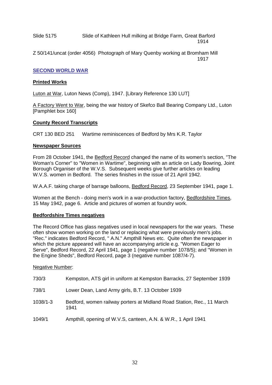Slide 5175 Slide of Kathleen Hull milking at Bridge Farm, Great Barford 1914

Z 50/141/uncat (order 4056) Photograph of Mary Quenby working at Bromham Mill 1917

#### **SECOND WORLD WAR**

#### **Printed Works**

Luton at War, Luton News (Comp), 1947. [Library Reference 130 LUT]

A Factory Went to War, being the war history of Skefco Ball Bearing Company Ltd., Luton [Pamphlet box 160]

#### **County Record Transcripts**

CRT 130 BED 251 Wartime reminiscences of Bedford by Mrs K.R. Taylor

#### **Newspaper Sources**

From 28 October 1941, the Bedford Record changed the name of its women's section, "The Woman's Corner" to "Women in Wartime", beginning with an article on Lady Bowring, Joint Borough Organiser of the W.V.S. Subsequent weeks give further articles on leading W.V.S. women in Bedford. The series finishes in the issue of 21 April 1942.

W.A.A.F. taking charge of barrage balloons, Bedford Record, 23 September 1941, page 1.

Women at the Bench - doing men's work in a war-production factory, Bedfordshire Times, 15 May 1942, page 6. Article and pictures of women at foundry work.

## **Bedfordshire Times negatives**

The Record Office has glass negatives used in local newspapers for the war years. These often show women working on the land or replacing what were previously men's jobs. "Rec." indicates Bedford Record, " A.N." Ampthill News etc. Quite often the newspaper in which the picture appeared will have an accompanying article e.g. "Women Eager to Serve", Bedford Record, 22 April 1941, page 1 (negative number 1078/5); and "Women in the Engine Sheds", Bedford Record, page 3 (negative number 1087/4-7).

#### Negative Number:

| 730/3    | Kempston, ATS girl in uniform at Kempston Barracks, 27 September 1939          |
|----------|--------------------------------------------------------------------------------|
| 738/1    | Lower Dean, Land Army girls, B.T. 13 October 1939                              |
| 1038/1-3 | Bedford, women railway porters at Midland Road Station, Rec., 11 March<br>1941 |
| 1049/1   | Ampthill, opening of W.V.S, canteen, A.N. & W.R., 1 April 1941                 |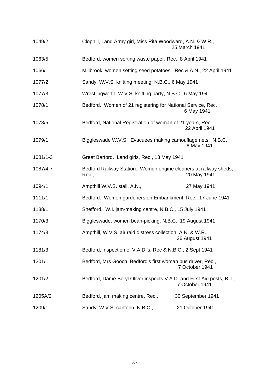| 1049/2       | Clophill, Land Army girl, Miss Rita Woodward, A.N. & W.R.,                    | 25 March 1941     |
|--------------|-------------------------------------------------------------------------------|-------------------|
| 1063/5       | Bedford, women sorting waste paper, Rec., 8 April 1941                        |                   |
| 1066/1       | Millbrook, women setting seed potatoes. Rec & A.N., 22 April 1941             |                   |
| 1077/2       | Sandy, W.V.S. knitting meeting, N.B.C., 6 May 1941                            |                   |
| 1077/3       | Wrestlingworth, W.V.S. knitting party, N.B.C., 6 May 1941                     |                   |
| 1078/1       | Bedford. Women of 21 registering for National Service, Rec.                   | 6 May 1941        |
| 1078/5       | Bedford, National Registration of woman of 21 years, Rec.                     | 22 April 1941     |
| 1079/1       | Biggleswade W.V.S. Evacuees making camouflage nets. N.B.C.                    | 6 May 1941        |
| $1081/1 - 3$ | Great Barford. Land girls, Rec., 13 May 1941                                  |                   |
| 1087/4-7     | Bedford Railway Station. Women engine cleaners at railway sheds,<br>Rec.,     | 20 May 1941       |
| 1094/1       | Ampthill W.V.S. stall, A.N.,                                                  | 27 May 1941       |
| 1111/1       | Bedford. Women gardeners on Embankment, Rec., 17 June 1941                    |                   |
| 1138/1       | Shefford. W.I. jam-making centre, N.B.C., 15 July 1941                        |                   |
| 1170/3       | Biggleswade, women bean-picking, N.B.C., 19 August 1941                       |                   |
| 1174/3       | Ampthill, W.V.S. air raid distress collection, A.N. & W.R.,<br>26 August 1941 |                   |
| 1181/3       | Bedford, inspection of V.A.D.'s, Rec & N.B.C., 2 Sept 1941                    |                   |
| 1201/1       | Bedford, Mrs Gooch, Bedford's first woman bus driver, Rec.,<br>7 October 1941 |                   |
| 1201/2       | Bedford, Dame Beryl Oliver inspects V.A.D. and First Aid posts, B.T.,         | 7 October 1941    |
| 1205A/2      | Bedford, jam making centre, Rec.,                                             | 30 September 1941 |
| 1209/1       | Sandy, W.V.S. canteen, N.B.C.,                                                | 21 October 1941   |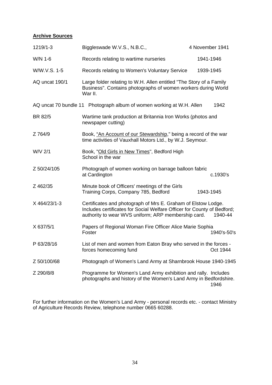# **Archive Sources**

| 1219/1-3       | Biggleswade W.V.S., N.B.C.,                                                                                                                                                                     | 4 November 1941 |             |
|----------------|-------------------------------------------------------------------------------------------------------------------------------------------------------------------------------------------------|-----------------|-------------|
| W/N 1-6        | Records relating to wartime nurseries                                                                                                                                                           | 1941-1946       |             |
| W/W.V.S. 1-5   | Records relating to Women's Voluntary Service                                                                                                                                                   |                 | 1939-1945   |
| AQ uncat 190/1 | Large folder relating to W.H. Allen entitled "The Story of a Family<br>Business". Contains photographs of women workers during World<br>War II.                                                 |                 |             |
|                | AQ uncat 70 bundle 11 Photograph album of women working at W.H. Allen                                                                                                                           |                 | 1942        |
| BR 82/5        | Wartime tank production at Britannia Iron Works (photos and<br>newspaper cutting)                                                                                                               |                 |             |
| Z 764/9        | Book, "An Account of our Stewardship," being a record of the war<br>time activities of Vauxhall Motors Ltd., by W.J. Seymour.                                                                   |                 |             |
| W/V 2/1        | Book, "Old Girls in New Times", Bedford High<br>School in the war                                                                                                                               |                 |             |
| Z 50/24/105    | Photograph of women working on barrage balloon fabric<br>at Cardington                                                                                                                          |                 | c.1930's    |
| Z 462/35       | Minute book of Officers' meetings of the Girls<br>Training Corps, Company 785, Bedford                                                                                                          |                 | 1943-1945   |
| X 464/23/1-3   | Certificates and photograph of Mrs E. Graham of Elstow Lodge.<br>Includes certificates for Social Welfare Officer for County of Bedford;<br>authority to wear WVS uniform; ARP membership card. |                 | 1940-44     |
| X 637/5/1      | Papers of Regional Woman Fire Officer Alice Marie Sophia<br>Foster                                                                                                                              |                 | 1940's-50's |
| P 63/28/16     | List of men and women from Eaton Bray who served in the forces -<br>forces homecoming fund                                                                                                      |                 | Oct 1944    |
| Z 50/100/68    | Photograph of Women's Land Army at Sharnbrook House 1940-1945                                                                                                                                   |                 |             |
| Z 290/8/8      | Programme for Women's Land Army exhibition and rally. Includes<br>photographs and history of the Women's Land Army in Bedfordshire.                                                             |                 | 1946        |

For further information on the Women's Land Army - personal records etc. - contact Ministry of Agriculture Records Review, telephone number 0665 60288.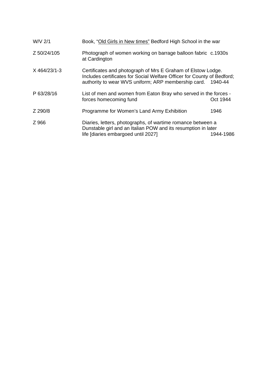| W/V 2/1        | Book, "Old Girls in New times" Bedford High School in the war                                                                                                                                          |           |
|----------------|--------------------------------------------------------------------------------------------------------------------------------------------------------------------------------------------------------|-----------|
| Z 50/24/105    | Photograph of women working on barrage balloon fabric c.1930s<br>at Cardington                                                                                                                         |           |
| $X$ 464/23/1-3 | Certificates and photograph of Mrs E Graham of Elstow Lodge.<br>Includes certificates for Social Welfare Officer for County of Bedford;<br>authority to wear WVS uniform; ARP membership card. 1940-44 |           |
| P 63/28/16     | List of men and women from Eaton Bray who served in the forces -<br>forces homecoming fund                                                                                                             | Oct 1944  |
| Z 290/8        | Programme for Women's Land Army Exhibition                                                                                                                                                             | 1946      |
| Z 966          | Diaries, letters, photographs, of wartime romance between a<br>Dunstable girl and an Italian POW and its resumption in later<br>life [diaries embargoed until 2027]                                    | 1944-1986 |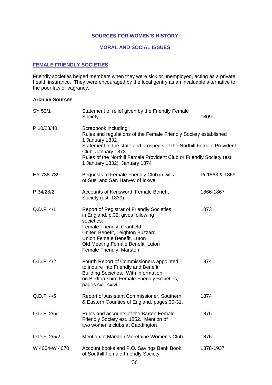#### **SOURCES FOR WOMEN'S HISTORY**

# **MORAL AND SOCIAL ISSUES**

# **FEMALE FRIENDLY SOCIETIES**

Friendly societies helped members when they were sick or unemployed, acting as a private health insurance. They were encouraged by the local gentry as an invaluable alternative to the poor law or vagrancy.

| SY 53/1       | Statement of relief given by the Friendly Female<br>Society                                                                                                                                                                                                                                                         | 1809           |
|---------------|---------------------------------------------------------------------------------------------------------------------------------------------------------------------------------------------------------------------------------------------------------------------------------------------------------------------|----------------|
| P 10/28/40    | Scrapbook including;<br>Rules and regulations of the Female Friendly Society established<br>1 January 1832<br>Statement of the state and prospects of the Northill Female Provident<br>Club, January 1873<br>Rules of the Northill Female Provident Club or Friendly Society (est.<br>1 January 1832), January 1874 |                |
| HY 738-739    | Bequests to Female Friendly Club in wills<br>of Sus. and Sar. Harvey of Ickwell                                                                                                                                                                                                                                     | Pr.1863 & 1869 |
| P 34/28/2     | <b>Accounts of Kensworth Female Benefit</b><br>Society (est. 1839)                                                                                                                                                                                                                                                  | 1866-1867      |
| Q.D.F. 4/1    | <b>Report of Registrar of Friendly Societies</b><br>in England, p.32, gives following<br>societies:<br>Female Friendly, Cranfield<br>United Benefit, Leighton Buzzard<br>Union Female Benefit, Luton<br>Old Meeting Female Benefit, Luton<br>Female Friendly, Marston                                               | 1873           |
| Q.D.F. 4/2    | Fourth Report of Commissioners appointed<br>to inquire into Friendly and Benefit<br><b>Building Societies. With information</b><br>on Bedfordshire Female Friendly Societies,<br>pages cxlii-cxlvi.                                                                                                                 | 1874           |
| Q.D.F. 4/5    | Report of Assistant Commissioner, Southern<br>& Eastern Counties of England, pages 30-31.                                                                                                                                                                                                                           | 1874           |
| Q.D.F. 2/5/1  | Rules and accounts of the Barton Female<br>Friendly Society est. 1852. Mention of<br>two women's clubs at Caddington                                                                                                                                                                                                | 1876           |
| Q.D.F. 2/5/2  | Mention of Marston Moretaine Women's Club                                                                                                                                                                                                                                                                           | 1876           |
| W 4064-W 4070 | Account books and P.O. Savings Bank Book<br>of Southill Female Friendly Society                                                                                                                                                                                                                                     | 1878-1937      |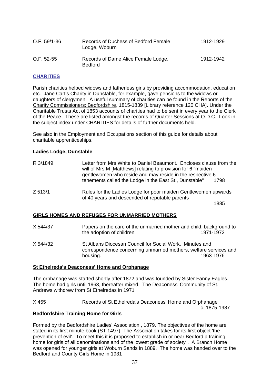| $O.F. 59/1-36$ | Records of Duchess of Bedford Female<br>Lodge, Woburn | 1912-1929 |
|----------------|-------------------------------------------------------|-----------|
| $O.F. 52-55$   | Records of Dame Alice Female Lodge,<br><b>Bedford</b> | 1912-1942 |

## **CHARITIES**

Parish charities helped widows and fatherless girls by providing accommodation, education etc. Jane Cart's Charity in Dunstable, for example, gave pensions to the widows or daughters of clergymen. A useful summary of charities can be found in the Reports of the Charity Commissioners: Bedfordshire, 1815-1839 [Library reference 120 CHA]. Under the Charitable Trusts Act of 1853 accounts of charities had to be sent in every year to the Clerk of the Peace. These are listed amongst the records of Quarter Sessions at Q.D.C. Look in the subject index under CHARITIES for details of further documents held.

See also in the Employment and Occupations section of this guide for details about charitable apprenticeships.

### **Ladies Lodge, Dunstable**

| will of Mrs M [Matthews] relating to provision for 6 "maiden"<br>gentlewomen who reside and may reside in the respective 6<br>tenements called the Lodge in the East St., Dunstable" | 1798                                                               |
|--------------------------------------------------------------------------------------------------------------------------------------------------------------------------------------|--------------------------------------------------------------------|
| Rules for the Ladies Lodge for poor maiden Gentlewomen upwards<br>of 40 years and descended of reputable parents                                                                     | 1885                                                               |
|                                                                                                                                                                                      | Letter from Mrs White to Daniel Beaumont. Encloses clause from the |

### **GIRLS HOMES AND REFUGES FOR UNMARRIED MOTHERS**

- X 544/37 Papers on the care of the unmarried mother and child; background to the adoption of children. 1971-1972
- X 544/32 St Albans Diocesan Council for Social Work. Minutes and correspondence concerning unmarried mothers, welfare services and housing. 1963-1976

### **St Ethelreda's Deaconess' Home and Orphanage**

The orphanage was started shortly after 1872 and was founded by Sister Fanny Eagles. The home had girls until 1963, thereafter mixed. The Deaconess' Community of St. Andrews withdrew from St Ethelredas in 1971

X 455 Records of St Ethelreda's Deaconess' Home and Orphanage c. 1875-1987

## **Bedfordshire Training Home for Girls**

Formed by the Bedfordshire Ladies' Association , 1879. The objectives of the home are stated in its first minute book (ST 1497) "The Association takes for its first object 'the prevention of evil'. To meet this it is proposed to establish in or near Bedford a training home for girls of all denominations and of the lowest grade of society". A Branch Home was opened for younger girls at Woburn Sands in 1889. The home was handed over to the Bedford and County Girls Home in 1931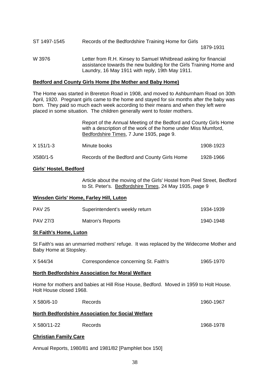| ST 1497-1545 | Records of the Bedfordshire Training Home for Girls                                                                                                                                        |
|--------------|--------------------------------------------------------------------------------------------------------------------------------------------------------------------------------------------|
|              | 1879-1931                                                                                                                                                                                  |
| W 3976       | Letter from R.H. Kinsey to Samuel Whitbread asking for financial<br>assistance towards the new building for the Girls Training Home and<br>Laundry, 16 May 1911 with reply, 19th May 1911. |

#### **Bedford and County Girls Home (the Mother and Baby Home)**

The Home was started in Brereton Road in 1908, and moved to Ashburnham Road on 30th April, 1920. Pregnant girls came to the home and stayed for six months after the baby was born. They paid so much each week according to their means and when they left were placed in some situation. The children generally went to foster mothers.

> Report of the Annual Meeting of the Bedford and County Girls Home with a description of the work of the home under Miss Mumford, Bedfordshire Times, 7 June 1935, page 9.

| $X$ 151/1-3 | Minute books | 1908-1923 |
|-------------|--------------|-----------|
|             |              |           |

| X580/1-5 | Records of the Bedford and County Girls Home | 1928-1966 |
|----------|----------------------------------------------|-----------|
|----------|----------------------------------------------|-----------|

#### **Girls' Hostel, Bedford**

Article about the moving of the Girls' Hostel from Peel Street, Bedford to St. Peter's. Bedfordshire Times, 24 May 1935, page 9

#### **Winsden Girls' Home, Farley Hill, Luton**

| <b>PAV 25</b>   | Superintendent's weekly return | 1934-1939 |
|-----------------|--------------------------------|-----------|
| <b>PAV 27/3</b> | Matron's Reports               | 1940-1948 |

### **St Faith's Home, Luton**

St Faith's was an unmarried mothers' refuge. It was replaced by the Widecome Mother and Baby Home at Stopsley.

| X 544/34 | Correspondence concerning St. Faith's | 1965-1970 |
|----------|---------------------------------------|-----------|
|----------|---------------------------------------|-----------|

#### **North Bedfordshire Association for Moral Welfare**

Home for mothers and babies at Hill Rise House, Bedford. Moved in 1959 to Holt House. Holt House closed 1968.

| X 580/6-10                   | <b>Records</b>                                    | 1960-1967 |
|------------------------------|---------------------------------------------------|-----------|
|                              | North Bedfordshire Association for Social Welfare |           |
| X 580/11-22                  | Records                                           | 1968-1978 |
| <b>Christian Family Care</b> |                                                   |           |

Annual Reports, 1980/81 and 1981/82 [Pamphlet box 150]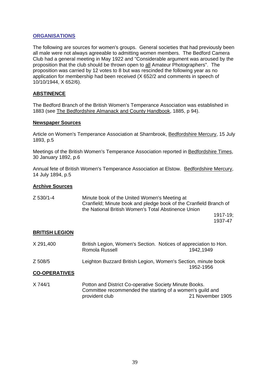### **ORGANISATIONS**

The following are sources for women's groups. General societies that had previously been all male were not always agreeable to admitting women members. The Bedford Camera Club had a general meeting in May 1922 and "Considerable argument was aroused by the proposition that the club should be thrown open to all Amateur Photographers". The proposition was carried by 12 votes to 8 but was rescinded the following year as no application for membership had been received (X 652/2 and comments in speech of 10/10/1944, X 652/6).

### **ABSTINENCE**

The Bedford Branch of the British Women's Temperance Association was established in 1883 (see The Bedfordshire Almanack and County Handbook, 1885, p 94).

#### **Newspaper Sources**

Article on Women's Temperance Association at Sharnbrook, Bedfordshire Mercury, 15 July 1893, p.5

Meetings of the British Women's Temperance Association reported in Bedfordshire Times, 30 January 1892, p.6

Annual fete of British Women's Temperance Association at Elstow. Bedfordshire Mercury, 14 July 1894, p.5

#### **Archive Sources**

| Z 530/1-4 | Minute book of the United Women's Meeting at                      |
|-----------|-------------------------------------------------------------------|
|           | Cranfield; Minute book and pledge book of the Cranfield Branch of |
|           | the National British Women's Total Abstinence Union               |
|           | 1917-19:                                                          |

1937-47

#### **BRITISH LEGION**

| X 291,400 | British Legion, Women's Section. Notices of appreciation to Hon. |  |
|-----------|------------------------------------------------------------------|--|
|           | Romola Russell<br>1942.1949                                      |  |
| Z 508/5   | Leighton Buzzard British Legion, Women's Section, minute book    |  |
|           | 1952-1956                                                        |  |

#### **CO-OPERATIVES**

X 744/1 Potton and District Co-operative Society Minute Books. Committee recommended the starting of a women's guild and provident club 21 November 1905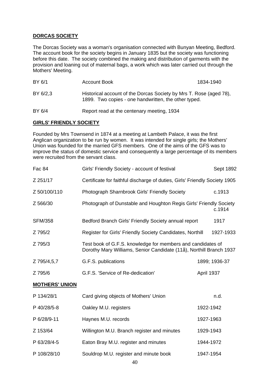### **DORCAS SOCIETY**

The Dorcas Society was a woman's organisation connected with Bunyan Meeting, Bedford. The account book for the society begins in January 1835 but the society was functioning before this date. The society combined the making and distribution of garments with the provision and loaning out of maternal bags, a work which was later carried out through the Mothers' Meeting.

| BY 6/1   | Account Book                                                                                                               | 1834-1940 |
|----------|----------------------------------------------------------------------------------------------------------------------------|-----------|
| BY 6/2.3 | Historical account of the Dorcas Society by Mrs T. Rose (aged 78),<br>1899. Two copies - one handwritten, the other typed. |           |
| BY 6/4   | Report read at the centenary meeting, 1934                                                                                 |           |

#### **GIRLS' FRIENDLY SOCIETY**

Founded by Mrs Townsend in 1874 at a meeting at Lambeth Palace, it was the first Anglican organization to be run by women. It was intended for single girls; the Mothers' Union was founded for the married GFS members. One of the aims of the GFS was to improve the status of domestic service and consequently a large percentage of its members were recruited from the servant class.

| Fac 84                | Girls' Friendly Society - account of festival                                                                                      |            | Sept 1892     |
|-----------------------|------------------------------------------------------------------------------------------------------------------------------------|------------|---------------|
| Z 251/17              | Certificate for faithful discharge of duties, Girls' Friendly Society 1905                                                         |            |               |
| Z 50/100/110          | Photograph Sharnbrook Girls' Friendly Society                                                                                      |            | c.1913        |
| Z 566/30              | Photograph of Dunstable and Houghton Regis Girls' Friendly Society                                                                 |            | c.1914        |
| <b>SFM/358</b>        | Bedford Branch Girls' Friendly Society annual report                                                                               |            | 1917          |
| Z 795/2               | Register for Girls' Friendly Society Candidates, Northill                                                                          |            | 1927-1933     |
| Z 795/3               | Test book of G.F.S. knowledge for members and candidates of<br>Dorothy Mary Williams, Senior Candidate (11å), Northill Branch 1937 |            |               |
| Z 795/4,5,7           | G.F.S. publications                                                                                                                |            | 1899; 1936-37 |
| Z 795/6               | G.F.S. 'Service of Re-dedication'                                                                                                  | April 1937 |               |
| <b>MOTHERS' UNION</b> |                                                                                                                                    |            |               |
| P 134/28/1            | Card giving objects of Mothers' Union                                                                                              |            | n.d.          |
| P 40/28/5-8           | Oakley M.U. registers                                                                                                              | 1922-1942  |               |
| P 6/28/9-11           | Haynes M.U. records                                                                                                                | 1927-1963  |               |
| Z 153/64              | Willington M.U. Branch register and minutes                                                                                        | 1929-1943  |               |
| P 63/28/4-5           | Eaton Bray M.U. register and minutes                                                                                               | 1944-1972  |               |
| P 108/28/10           | Souldrop M.U. register and minute book                                                                                             | 1947-1954  |               |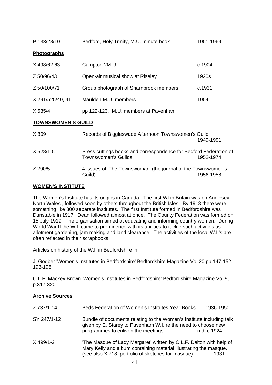| P 133/28/10               | Bedford, Holy Trinity, M.U. minute book             | 1951-1969 |
|---------------------------|-----------------------------------------------------|-----------|
| Photographs               |                                                     |           |
| X 498/62,63               | Campton ?M.U.                                       | c.1904    |
| Z 50/96/43                | Open-air musical show at Riseley                    | 1920s     |
| Z 50/100/71               | Group photograph of Sharnbrook members              | c.1931    |
| X 291/525/40, 41          | Maulden M.U. members                                | 1954      |
| X 535/4                   | pp 122-123. M.U. members at Pavenham                |           |
| <b>TOWNSWOMEN'S GUILD</b> |                                                     |           |
| X 809                     | Records of Biggleswade Afternoon Townswomen's Guild |           |

|               |                                                                   | 1949-1991 |
|---------------|-------------------------------------------------------------------|-----------|
| $X 528/1 - 5$ | Press cuttings books and correspondence for Bedford Federation of |           |
|               | <b>Townswomen's Guilds</b>                                        | 1952-1974 |
| Z 290/5       | 4 issues of 'The Townswoman' (the journal of the Townswomen's     |           |
|               | Guild)                                                            | 1956-1958 |

## **WOMEN'S INSTITUTE**

The Women's Institute has its origins in Canada. The first WI in Britain was on Anglesey North Wales , followed soon by others throughout the British Isles. By 1918 there were something like 800 separate institutes. The first Institute formed in Bedfordshire was Dunstable in 1917. Dean followed almost at once. The County Federation was formed on 15 July 1919. The organisation aimed at educating and informing country women. During World War II the W.I. came to prominence with its abilities to tackle such activities as allotment gardening, jam making and land clearance. The activities of the local W.I.'s are often reflected in their scrapbooks.

Articles on history of the W.I. in Bedfordshire in:

J. Godber 'Women's Institutes in Bedfordshire' Bedfordshire Magazine Vol 20 pp.147-152, 193-196.

C.L.F. Mackey Brown 'Women's Institutes in Bedfordshire' Bedfordshire Magazine Vol 9, p.317-320

## **Archive Sources**

| Z 737/1-14  | Beds Federation of Women's Institutes Year Books                                                                                                                                               | 1936-1950   |
|-------------|------------------------------------------------------------------------------------------------------------------------------------------------------------------------------------------------|-------------|
| SY 247/1-12 | Bundle of documents relating to the Women's Institute including talk<br>given by E. Starey to Pavenham W.I. re the need to choose new<br>programmes to enliven the meetings.                   | n.d. c.1924 |
| X 499/1-2   | 'The Masque of Lady Margaret' written by C.L.F. Dalton with help of<br>Mary Kelly and album containing material illustrating the masque.<br>(see also X 718, portfolio of sketches for masque) | 1931        |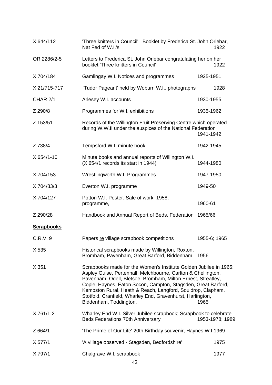| X 644/112         | 'Three knitters in Council'. Booklet by Frederica St. John Orlebar,<br>Nat Fed of W.I.'s                                                                                                                                                                                                                                                                                                                                   | 1922            |
|-------------------|----------------------------------------------------------------------------------------------------------------------------------------------------------------------------------------------------------------------------------------------------------------------------------------------------------------------------------------------------------------------------------------------------------------------------|-----------------|
| OR 2286/2-5       | Letters to Frederica St. John Orlebar congratulating her on her<br>booklet 'Three knitters in Council'                                                                                                                                                                                                                                                                                                                     | 1922            |
| X 704/184         | Gamlingay W.I. Notices and programmes                                                                                                                                                                                                                                                                                                                                                                                      | 1925-1951       |
| X 21/715-717      | 'Tudor Pageant' held by Woburn W.I., photographs                                                                                                                                                                                                                                                                                                                                                                           | 1928            |
| CHAR 2/1          | Arlesey W.I. accounts                                                                                                                                                                                                                                                                                                                                                                                                      | 1930-1955       |
| Z 290/8           | Programmes for W.I. exhibitions                                                                                                                                                                                                                                                                                                                                                                                            | 1935-1962       |
| Z 153/51          | Records of the Willington Fruit Preserving Centre which operated<br>during W.W.II under the auspices of the National Federation                                                                                                                                                                                                                                                                                            | 1941-1942       |
| Z 738/4           | Tempsford W.I. minute book                                                                                                                                                                                                                                                                                                                                                                                                 | 1942-1945       |
| X 654/1-10        | Minute books and annual reports of Willington W.I.<br>(X 654/1 records its start in 1944)                                                                                                                                                                                                                                                                                                                                  | 1944-1980       |
| X 704/153         | Wrestlingworth W.I. Programmes                                                                                                                                                                                                                                                                                                                                                                                             | 1947-1950       |
| X 704/83/3        | Everton W.I. programme                                                                                                                                                                                                                                                                                                                                                                                                     | 1949-50         |
| X 704/127         | Potton W.I. Poster. Sale of work, 1958;<br>programme,                                                                                                                                                                                                                                                                                                                                                                      | 1960-61         |
| Z 290/28          | Handbook and Annual Report of Beds. Federation 1965/66                                                                                                                                                                                                                                                                                                                                                                     |                 |
| <b>Scrapbooks</b> |                                                                                                                                                                                                                                                                                                                                                                                                                            |                 |
| C.R.V.9           | Papers re village scrapbook competitions                                                                                                                                                                                                                                                                                                                                                                                   | 1955-6; 1965    |
| X 535             | Historical scrapbooks made by Willington, Roxton,<br>Bromham, Pavenham, Great Barford, Biddenham                                                                                                                                                                                                                                                                                                                           | 1956            |
| X 351             | Scrapbooks made for the Women's Institute Golden Jubilee in 1965:<br>Aspley Guise, Pertenhall, Melchbourne, Carlton & Chellington,<br>Pavenham, Odell, Bletsoe, Bromham, Milton Ernest, Streatley,<br>Cople, Haynes, Eaton Socon, Campton, Stagsden, Great Barford,<br>Kempston Rural, Heath & Reach, Langford, Souldrop, Clapham,<br>Stotfold, Cranfield, Wharley End, Gravenhurst, Harlington,<br>Biddenham, Toddington. | 1965            |
| X 761/1-2         | Wharley End W.I. Silver Jubilee scrapbook; Scrapbook to celebrate<br><b>Beds Federations 70th Anniversary</b>                                                                                                                                                                                                                                                                                                              | 1953-1978; 1989 |
| Z 664/1           | 'The Prime of Our Life' 20th Birthday souvenir, Haynes W.I.1969                                                                                                                                                                                                                                                                                                                                                            |                 |
| X 577/1           | 'A village observed - Stagsden, Bedfordshire'                                                                                                                                                                                                                                                                                                                                                                              | 1975            |
| X 797/1           | Chalgrave W.I. scrapbook                                                                                                                                                                                                                                                                                                                                                                                                   | 1977            |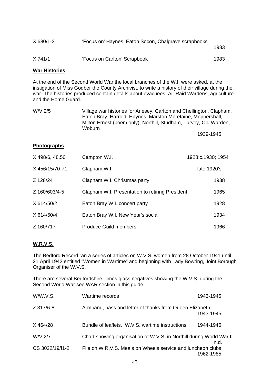| $X$ 680/1-3 | 'Focus on' Haynes, Eaton Socon, Chalgrave scrapbooks | 1983 |
|-------------|------------------------------------------------------|------|
| X 741/1     | 'Focus on Carlton' Scrapbook                         | 1983 |

#### **War Histories**

At the end of the Second World War the local branches of the W.I. were asked, at the instigation of Miss Godber the County Archivist, to write a history of their village during the war. The histories produced contain details about evacuees, Air Raid Wardens, agriculture and the Home Guard.

| W/V 2/5 | Village war histories for Arlesey, Carlton and Chellington, Clapham, |
|---------|----------------------------------------------------------------------|
|         | Eaton Bray, Harrold, Haynes, Marston Moretaine, Meppershall,         |
|         | Milton Ernest (poem only), Northill, Studham, Turvey, Old Warden,    |
|         | Woburn.                                                              |
|         | 1939-1945                                                            |

### **Photographs**

| X 498/6, 48,50 | Campton W.I.                                    | 1928;c.1930; 1954 |
|----------------|-------------------------------------------------|-------------------|
| X 456/15/70-71 | Clapham W.I.                                    | late 1920's       |
| Z 128/24       | Clapham W.I. Christmas party                    | 1938              |
| Z 160/603/4-5  | Clapham W.I. Presentation to retiring President | 1965              |
| X 614/50/2     | Eaton Bray W.I. concert party                   | 1928              |
| X 614/50/4     | Eaton Bray W.I. New Year's social               | 1934              |
| Z 160/717      | <b>Produce Guild members</b>                    | 1966              |

### **W.R.V.S.**

The Bedford Record ran a series of articles on W.V.S. women from 28 October 1941 until 21 April 1942 entitled "Women in Wartime" and beginning with Lady Bowring, Joint Borough Organiser of the W.V.S.

There are several Bedfordshire Times glass negatives showing the W.V.S. during the Second World War see WAR section in this guide.

| W/W.V.S.        | Wartime records                                                      | 1943-1945 |
|-----------------|----------------------------------------------------------------------|-----------|
| Z 317/6-8       | Armband, pass and letter of thanks from Queen Elizabeth              | 1943-1945 |
| X 464/28        | Bundle of leaflets. W.V.S. wartime instructions                      | 1944-1946 |
| W/V 2/7         | Chart showing organisation of W.V.S. in Northill during World War II | n.d.      |
| CS 3022/19/f1-2 | File on W.R.V.S. Meals on Wheels service and luncheon clubs          | 1962-1985 |
|                 |                                                                      |           |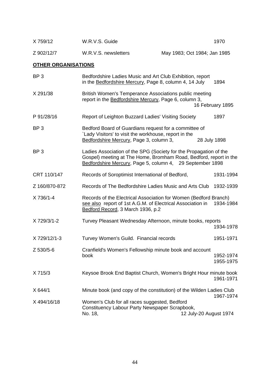| X 759/12   | W.R.V.S. Guide       | 1970                         |
|------------|----------------------|------------------------------|
| Z 902/12/7 | W.R.V.S. newsletters | May 1983; Oct 1984; Jan 1985 |

# **OTHER ORGANISATIONS**

| BP <sub>3</sub> | Bedfordshire Ladies Music and Art Club Exhibition, report<br>in the Bedfordshire Mercury, Page 8, column 4, 14 July                                                                                 | 1894                   |
|-----------------|-----------------------------------------------------------------------------------------------------------------------------------------------------------------------------------------------------|------------------------|
| X 291/38        | British Women's Temperance Associations public meeting<br>report in the Bedfordshire Mercury, Page 6, column 3,                                                                                     | 16 February 1895       |
| P 91/28/16      | Report of Leighton Buzzard Ladies' Visiting Society                                                                                                                                                 | 1897                   |
| BP <sub>3</sub> | Bedford Board of Guardians request for a committee of<br>`Lady Visitors' to visit the workhouse, report in the<br>Bedfordshire Mercury, Page 3, column 3,<br>28 July 1898                           |                        |
| BP <sub>3</sub> | Ladies Association of the SPG (Society for the Propagation of the<br>Gospel) meeting at The Home, Bromham Road, Bedford, report in the<br>Bedfordshire Mercury, Page 5, column 4, 29 September 1898 |                        |
| CRT 110/147     | Records of Soroptimist International of Bedford,                                                                                                                                                    | 1931-1994              |
| Z 160/870-872   | Records of The Bedfordshire Ladies Music and Arts Club                                                                                                                                              | 1932-1939              |
| X 736/1-4       | Records of the Electrical Association for Women (Bedford Branch)<br>see also report of 1st A.G.M. of Electrical Association in<br>Bedford Record, 3 March 1936, p.2                                 | 1934-1984              |
| X 729/3/1-2     | Turvey Pleasant Wednesday Afternoon, minute books, reports                                                                                                                                          | 1934-1978              |
| X 729/12/1-3    | Turvey Women's Guild. Financial records                                                                                                                                                             | 1951-1971              |
| Z 530/5-6       | Cranfield's Women's Fellowship minute book and account<br>book                                                                                                                                      | 1952-1974<br>1955-1975 |
| X 715/3         | Keysoe Brook End Baptist Church, Women's Bright Hour minute book                                                                                                                                    | 1961-1971              |
| X 644/1         | Minute book (and copy of the constitution) of the Wilden Ladies Club                                                                                                                                | 1967-1974              |
| X494/16/18      | Women's Club for all races suggested, Bedford<br>Constituency Labour Party Newspaper Scrapbook,<br>No. 18,<br>12 July-20 August 1974                                                                |                        |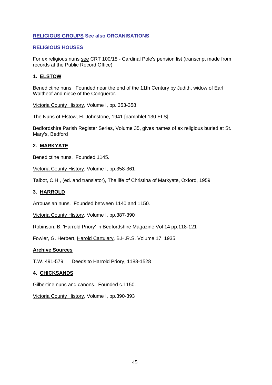### **RELIGIOUS GROUPS See also ORGANISATIONS**

### **RELIGIOUS HOUSES**

For ex religious nuns see CRT 100/18 - Cardinal Pole's pension list (transcript made from records at the Public Record Office)

### **1. ELSTOW**

Benedictine nuns. Founded near the end of the 11th Century by Judith, widow of Earl Waltheof and niece of the Conqueror.

Victoria County History, Volume I, pp. 353-358

The Nuns of Elstow, H. Johnstone, 1941 [pamphlet 130 ELS]

Bedfordshire Parish Register Series, Volume 35, gives names of ex religious buried at St. Mary's, Bedford

### **2. MARKYATE**

Benedictine nuns. Founded 1145.

Victoria County History, Volume I, pp.358-361

Talbot, C.H., (ed. and translator), The life of Christina of Markyate, Oxford, 1959

### **3. HARROLD**

Arrouasian nuns. Founded between 1140 and 1150.

Victoria County History, Volume I, pp.387-390

Robinson, B. 'Harrold Priory' in Bedfordshire Magazine Vol 14 pp.118-121

Fowler, G. Herbert, Harold Cartulary, B.H.R.S. Volume 17, 1935

### **Archive Sources**

T.W. 491-579 Deeds to Harrold Priory, 1188-1528

### **4. CHICKSANDS**

Gilbertine nuns and canons. Founded c.1150.

Victoria County History, Volume I, pp.390-393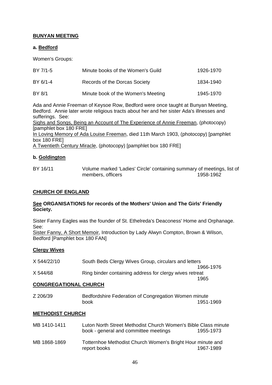## **BUNYAN MEETING**

## **a. Bedford**

Women's Groups:

| BY 7/1-5 | Minute books of the Women's Guild  | 1926-1970 |
|----------|------------------------------------|-----------|
| BY 6/1-4 | Records of the Dorcas Society      | 1834-1940 |
| BY 8/1   | Minute book of the Women's Meeting | 1945-1970 |

Ada and Annie Freeman of Keysoe Row, Bedford were once taught at Bunyan Meeting, Bedford. Annie later wrote religious tracts about her and her sister Ada's illnesses and sufferings. See:

Sighs and Songs, Being an Account of The Experience of Annie Freeman, (photocopy) [pamphlet box 180 FRE]

In Loving Memory of Ada Louise Freeman, died 11th March 1903, (photocopy) [pamphlet box 180 FRE]

A Twentieth Century Miracle, (photocopy) [pamphlet box 180 FRE]

### **b. Goldington**

BY 16/11 Volume marked 'Ladies' Circle' containing summary of meetings, list of members, officers 1958-1962

### **CHURCH OF ENGLAND**

#### **See ORGANISATIONS for records of the Mothers' Union and The Girls' Friendly Society.**

Sister Fanny Eagles was the founder of St. Ethelreda's Deaconess' Home and Orphanage. See: Sister Fanny, A Short Memoir, Introduction by Lady Alwyn Compton, Brown & Wilson, Bedford [Pamphlet box 180 FAN]

### **Clergy Wives**

| X 544/22/10 | South Beds Clergy Wives Group, circulars and letters    |
|-------------|---------------------------------------------------------|
|             | 1966-1976                                               |
| X 544/68    | Ring binder containing address for clergy wives retreat |
|             | 1965                                                    |

#### **CONGREGATIONAL CHURCH**

| Z 206/39 | Bedfordshire Federation of Congregation Women minute |           |
|----------|------------------------------------------------------|-----------|
|          | book                                                 | 1951-1969 |

### **METHODIST CHURCH**

| MB 1410-1411 | Luton North Street Methodist Church Women's Bible Class minute<br>book - general and committee meetings | 1955-1973 |
|--------------|---------------------------------------------------------------------------------------------------------|-----------|
| MB 1868-1869 | Totternhoe Methodist Church Women's Bright Hour minute and<br>report books                              | 1967-1989 |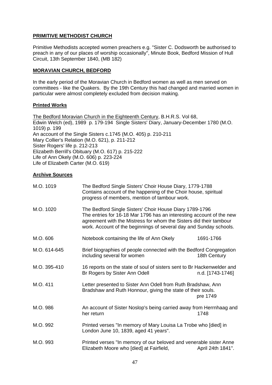## **PRIMITIVE METHODIST CHURCH**

Primitive Methodists accepted women preachers e.g. "Sister C. Dodsworth be authorised to preach in any of our places of worship occasionally", Minute Book, Bedford Mission of Hull Circuit, 13th September 1840, (MB 182)

### **MORAVIAN CHURCH, BEDFORD**

In the early period of the Moravian Church in Bedford women as well as men served on committees - like the Quakers. By the 19th Century this had changed and married women in particular were almost completely excluded from decision making.

### **Printed Works**

The Bedford Moravian Church in the Eighteenth Century, B.H.R.S. Vol 68, Edwin Welch (ed), 1989 p. 179-194 Single Sisters' Diary, January-December 1780 (M.O. 1019) p. 199 An account of the Single Sisters c.1745 (M.O. 405) p. 210-211 Mary Collier's Relation (M.O. 621), p. 211-212 Sister Rogers' life p. 212-213 Elizabeth Berrill's Obituary (M.O. 617) p. 215-222 Life of Ann Okely (M.O. 606) p. 223-224 Life of Elizabeth Carter (M.O. 619)

## **Archive Sources**

| M.O. 1019    | The Bedford Single Sisters' Choir House Diary, 1779-1788<br>Contains account of the happening of the Choir house, spiritual<br>progress of members, mention of tambour work.                                                                                                |                  |
|--------------|-----------------------------------------------------------------------------------------------------------------------------------------------------------------------------------------------------------------------------------------------------------------------------|------------------|
| M.O. 1020    | The Bedford Single Sisters' Choir House Diary 1789-1796<br>The entries for 16-18 Mar 1796 has an interesting account of the new<br>agreement with the Mistress for whom the Sisters did their tambour<br>work. Account of the beginnings of several day and Sunday schools. |                  |
| M.O. 606     | Notebook containing the life of Ann Okely                                                                                                                                                                                                                                   | 1691-1766        |
| M.O. 614-645 | Brief biographies of people connected with the Bedford Congregation<br>including several for women                                                                                                                                                                          | 18th Century     |
| M.O. 395-410 | 16 reports on the state of soul of sisters sent to Br Hackenwelder and<br>Br Rogers by Sister Ann Odell                                                                                                                                                                     | n.d. [1743-1746] |
| M.O. 411     | Letter presented to Sister Ann Odell from Ruth Bradshaw, Ann<br>Bradshaw and Ruth Honnour, giving the state of their souls.<br>pre 1749                                                                                                                                     |                  |
| M.O. 986     | An account of Sister Noslop's being carried away from Herrnhaag and<br>her return                                                                                                                                                                                           | 1748             |
| M.O. 992     | Printed verses "In memory of Mary Louisa La Trobe who [died] in<br>London June 10, 1839, aged 41 years".                                                                                                                                                                    |                  |
| M.O. 993     | Printed verses "In memory of our beloved and venerable sister Anne<br>Elizabeth Moore who [died] at Fairfield,<br>April 24th 1841".                                                                                                                                         |                  |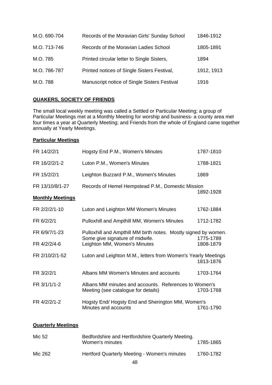| M.O. 690-704 | Records of the Moravian Girls' Sunday School | 1846-1912  |
|--------------|----------------------------------------------|------------|
| M.O. 713-746 | Records of the Moravian Ladies School        | 1805-1891  |
| M.O. 785     | Printed circular letter to Single Sisters,   | 1894       |
| M.O. 786-787 | Printed notices of Single Sisters Festival,  | 1912, 1913 |
| M.O. 788     | Manuscript notice of Single Sisters Festival | 1916       |

## **QUAKERS, SOCIETY OF FRIENDS**

The small local weekly meeting was called a Settled or Particular Meeting; a group of Particular Meetings met at a Monthly Meeting for worship and business- a county area met four times a year at Quarterly Meeting; and Friends from the whole of England came together annually at Yearly Meetings.

## **Particular Meetings**

| FR 14/2/2/1             | Hogsty End P.M., Women's Minutes                                                                   | 1787-1810 |
|-------------------------|----------------------------------------------------------------------------------------------------|-----------|
| FR 16/2/2/1-2           | Luton P.M., Women's Minutes                                                                        | 1788-1821 |
| FR 15/2/2/1             | Leighton Buzzard P.M., Women's Minutes                                                             | 1869      |
| FR 13/10/8/1-27         | Records of Hemel Hempstead P.M., Domestic Mission                                                  |           |
| <b>Monthly Meetings</b> |                                                                                                    | 1892-1928 |
| FR 2/2/2/1-10           | Luton and Leighton MM Women's Minutes                                                              | 1762-1884 |
| FR 6/2/2/1              | Pulloxhill and Ampthill MM, Women's Minutes                                                        | 1712-1782 |
| FR 6/9/7/1-23           | Pulloxhill and Ampthill MM birth notes. Mostly signed by women.<br>Some give signature of midwife. | 1775-1789 |
| FR 4/2/2/4-6            | Leighton MM, Women's Minutes                                                                       | 1808-1879 |
| FR 2/10/2/1-52          | Luton and Leighton M.M., letters from Women's Yearly Meetings                                      | 1813-1876 |
| FR 3/2/2/1              | Albans MM Women's Minutes and accounts                                                             | 1703-1764 |
| FR 3/1/1/1-2            | Albans MM minutes and accounts. References to Women's<br>Meeting (see catalogue for details)       | 1703-1768 |
| FR 4/2/2/1-2            | Hogsty End/Hogsty End and Sherington MM, Women's<br>Minutes and accounts                           | 1761-1790 |
|                         |                                                                                                    |           |

## **Quarterly Meetings**

| Mic 52  | Bedfordshire and Hertfordshire Quarterly Meeting.<br>Women's minutes | 1785-1865 |
|---------|----------------------------------------------------------------------|-----------|
| Mic 262 | Hertford Quarterly Meeting - Women's minutes                         | 1760-1782 |
|         |                                                                      |           |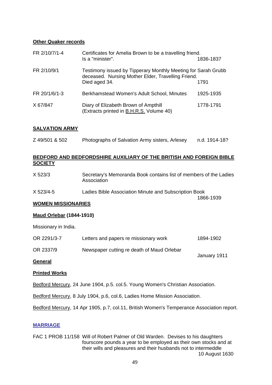### **Other Quaker records**

| FR 2/10/7/1-4 | Certificates for Amelia Brown to be a travelling friend.<br>Is a "minister".                                                         | 1836-1837 |
|---------------|--------------------------------------------------------------------------------------------------------------------------------------|-----------|
| FR 2/10/9/1   | Testimony issued by Tipperary Monthly Meeting for Sarah Grubb<br>deceased. Nursing Mother Elder, Travelling Friend.<br>Died aged 34. | 1791      |
| FR 20/1/6/1-3 | Berkhamstead Women's Adult School, Minutes                                                                                           | 1925-1935 |
| X 67/847      | Diary of Elizabeth Brown of Ampthill<br>(Extracts printed in B.H.R.S. Volume 40)                                                     | 1778-1791 |

## **SALVATION ARMY**

| Z 49/501 & 502 | Photographs of Salvation Army sisters, Arlesey | n.d. 1914-18? |
|----------------|------------------------------------------------|---------------|
|                |                                                |               |

## **BEDFORD AND BEDFORDSHIRE AUXILIARY OF THE BRITISH AND FOREIGN BIBLE SOCIETY**

| X 523/3 | Secretary's Memoranda Book contains list of members of the Ladies |
|---------|-------------------------------------------------------------------|
|         | Association                                                       |
|         |                                                                   |

X 523/4-5 Ladies Bible Association Minute and Subscription Book 1866-1939

### **WOMEN MISSIONARIES**

### **Maud Orlebar (1844-1910)**

Missionary in India.

| OR 2291/3-7 | Letters and papers re missionary work      | 1894-1902    |
|-------------|--------------------------------------------|--------------|
| OR 2337/9   | Newspaper cutting re death of Maud Orlebar | January 1911 |

### **General**

### **Printed Works**

Bedford Mercury, 24 June 1904, p.5. col.5. Young Women's Christian Association.

Bedford Mercury, 8 July 1904, p.6, col.6, Ladies Home Mission Association.

Bedford Mercury, 14 Apr 1905, p.7, col.11, British Women's Temperance Association report.

### **MARRIAGE**

FAC 1 PROB 11/158 Will of Robert Palmer of Old Warden. Devises to his daughters fourscore pounds a year to be employed as their own stocks and at their wills and pleasures and their husbands not to intermeddle 10 August 1630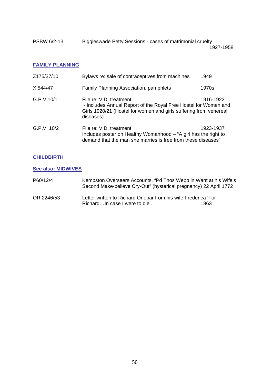| PSBW 6/2-13 | Biggleswade Petty Sessions - cases of matrimonial cruelty |           |
|-------------|-----------------------------------------------------------|-----------|
|             |                                                           | 1927-1958 |

### **FAMILY PLANNING**

| Z175/37/10  | Bylaws re: sale of contraceptives from machines                                                                                                                              | 1949      |
|-------------|------------------------------------------------------------------------------------------------------------------------------------------------------------------------------|-----------|
| X 544/47    | Family Planning Association, pamphlets                                                                                                                                       | 1970s     |
| G.P.V.10/1  | File re: V.D. treatment<br>- Includes Annual Report of the Royal Free Hostel for Women and<br>Girls 1920/21 (Hostel for women and girls suffering from venereal<br>diseases) | 1916-1922 |
| G.P.V. 10/2 | File re: V.D. treatment<br>Includes poster on Healthy Womanhood - "A girl has the right to<br>demand that the man she marries is free from these diseases"                   | 1923-1937 |

### **CHILDBIRTH**

**See also: MIDWIVES**

| P60/12/4   | Kempston Overseers Accounts, "Pd Thos Webb in Want at his Wife's<br>Second Make-believe Cry-Out" (hysterical pregnancy) 22 April 1772 |      |
|------------|---------------------------------------------------------------------------------------------------------------------------------------|------|
| OR 2246/53 | Letter written to Richard Orlebar from his wife Frederica 'For<br>RichardIn case I were to die'.                                      | 1863 |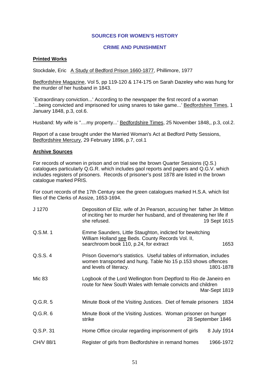#### **SOURCES FOR WOMEN'S HISTORY**

#### **CRIME AND PUNISHMENT**

### **Printed Works**

Stockdale, Eric A Study of Bedford Prison 1660-1877, Phillimore, 1977

Bedfordshire Magazine, Vol 5, pp 119-120 & 174-175 on Sarah Dazeley who was hung for the murder of her husband in 1843.

`Extraordinary conviction...' According to the newspaper the first record of a woman `...being convicted and imprisoned for using snares to take game...' Bedfordshire Times, 1 January 1848, p.3, col.6.

Husband: My wife is "....my property...' Bedfordshire Times, 25 November 1848,, p.3, col.2.

Report of a case brought under the Married Woman's Act at Bedford Petty Sessions, Bedfordshire Mercury, 29 February 1896, p.7, col.1

### **Archive Sources**

For records of women in prison and on trial see the brown Quarter Sessions (Q.S.) catalogues particularly Q.G.R. which includes gaol reports and papers and Q.G.V. which includes registers of prisoners. Records of prisoner's post 1878 are listed in the brown catalogue marked PRIS.

For court records of the 17th Century see the green catalogues marked H.S.A. which list files of the Clerks of Assize, 1653-1694.

| J 1270    | Deposition of Eliz. wife of Jn Pearson, accusing her father Jn Mitton<br>of inciting her to murder her husband, and of threatening her life if<br>she refused.<br>19 Sept 1615 |  |
|-----------|--------------------------------------------------------------------------------------------------------------------------------------------------------------------------------|--|
| Q.S.M. 1  | Emme Saunders, Little Staughton, indicted for bewitching<br>William Holland see Beds. County Records Vol. II,<br>searchroom book 110, p.24, for extract<br>1653                |  |
| Q.S.S. 4  | Prison Governor's statistics. Useful tables of information, includes<br>women transported and hung. Table No 15 p.153 shows offences<br>and levels of literacy.<br>1801-1878   |  |
| Mic 83    | Logbook of the Lord Wellington from Deptford to Rio de Janeiro en<br>route for New South Wales with female convicts and children<br>Mar-Sept 1819                              |  |
| Q.G.R. 5  | Minute Book of the Visiting Justices. Diet of female prisoners 1834                                                                                                            |  |
| Q.G.R. 6  | Minute Book of the Visiting Justices. Woman prisoner on hunger<br>28 September 1846<br>strike                                                                                  |  |
| Q.S.P. 31 | Home Office circular regarding imprisonment of girls<br>8 July 1914                                                                                                            |  |
| CH/V 88/1 | Register of girls from Bedfordshire in remand homes<br>1966-1972                                                                                                               |  |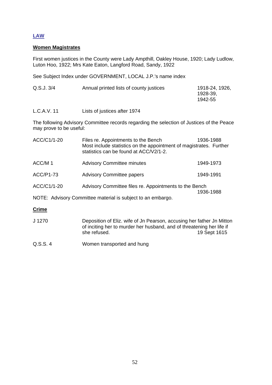## **LAW**

### **Women Magistrates**

First women justices in the County were Lady Ampthill, Oakley House, 1920; Lady Ludlow, Luton Hoo, 1922; Mrs Kate Eaton, Langford Road, Sandy, 1922

See Subject Index under GOVERNMENT, LOCAL J.P.'s name index

| Q.S.J.3/4 | Annual printed lists of county justices | 1918-24, 1926,<br>1928-39.<br>1942-55 |
|-----------|-----------------------------------------|---------------------------------------|
|           |                                         |                                       |

L.C.A.V. 11 Lists of justices after 1974

The following Advisory Committee records regarding the selection of Justices of the Peace may prove to be useful:

| ACC/C1/1-20 | Files re. Appointments to the Bench<br>Most include statistics on the appointment of magistrates. Further<br>statistics can be found at ACC/V2/1-2. | 1936-1988 |
|-------------|-----------------------------------------------------------------------------------------------------------------------------------------------------|-----------|
| ACC/M 1     | <b>Advisory Committee minutes</b>                                                                                                                   | 1949-1973 |
| ACC/P1-73   | <b>Advisory Committee papers</b>                                                                                                                    | 1949-1991 |
| ACC/C1/1-20 | Advisory Committee files re. Appointments to the Bench                                                                                              |           |
|             | NOTE: Advisory Committee material is subject to an embargo.                                                                                         | 1936-1988 |
|             |                                                                                                                                                     |           |

### **Crime**

- J 1270 Deposition of Eliz. wife of Jn Pearson, accusing her father Jn Mitton of inciting her to murder her husband, and of threatening her life if<br>she refused. 19 Sept 1615 19 Sept 1615
- Q.S.S. 4 Women transported and hung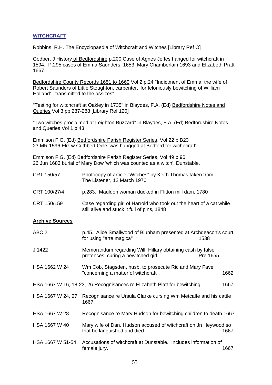### **WITCHCRAFT**

Robbins, R.H. The Encyclopaedia of Witchcraft and Witches [Library Ref O]

Godber, J History of Bedfordshire p.200 Case of Agnes Jeffes hanged for witchcraft in 1594. P.295 cases of Emma Saunders, 1653, Mary Chamberlain 1693 and Elizabeth Pratt 1667.

Bedfordshire County Records 1651 to 1660 Vol 2 p.24 "Indictment of Emma, the wife of Robert Saunders of Little Stoughton, carpenter, 'for feloniously bewitching of William Holland' - transmitted to the assizes".

"Testing for witchcraft at Oakley in 1735" in Blaydes, F.A. (Ed) Bedfordshire Notes and Queries Vol 3 pp.287-288 [Library Ref 120]

"Two witches proclaimed at Leighton Buzzard" in Blaydes, F.A. (Ed) Bedfordshire Notes and Queries Vol 1 p.43

Emmison F.G. (Ed) Bedfordshire Parish Register Series, Vol 22 p.B23 23 MR 1596 Eliz w Cuthbert Ocle 'was hangged at Bedford for wichecraft'.

Emmison F.G. (Ed) Bedfordshire Parish Register Series, Vol 49 p.90 26 Jun 1683 burial of Mary Dow 'which was counted as a witch', Dunstable.

| CRT 150/57   | Photocopy of article "Witches" by Keith Thomas taken from<br>The Listener, 12 March 1970                            |
|--------------|---------------------------------------------------------------------------------------------------------------------|
| CRT 100/27/4 | p.283. Maulden woman ducked in Flitton mill dam, 1780                                                               |
| CRT 150/159  | Case regarding girl of Harrold who took out the heart of a cat while<br>still alive and stuck it full of pins, 1848 |

#### **Archive Sources**

| ABC <sub>2</sub>  | p.45. Alice Smallwood of Blunham presented at Archdeacon's court<br>for using "arte magica"<br>1538           |      |
|-------------------|---------------------------------------------------------------------------------------------------------------|------|
| J 1422            | Memorandum regarding Will. Hillary obtaining cash by false<br>pretences, curing a bewitched girl.<br>Pre 1655 |      |
| HSA 1662 W 24     | Wm Cob, Stagsden, husb. to prosecute Ric and Mary Favell<br>"concerning a matter of witchcraft".              | 1662 |
|                   | HSA 1667 W 16, 18-23, 26 Recognisances re Elizabeth Platt for bewitching                                      | 1667 |
| HSA 1667 W 24, 27 | Recognisance re Ursula Clarke cursing Wm Metcalfe and his cattle<br>1667                                      |      |
| HSA 1667 W 28     | Recognisance re Mary Hudson for bewitching children to death 1667                                             |      |
| HSA 1667 W 40     | Mary wife of Dan. Hudson accused of witchcraft on Jn Heywood so<br>that he languished and died                | 1667 |
| HSA 1667 W 51-54  | Accusations of witchcraft at Dunstable. Includes information of<br>female jury.                               | 1667 |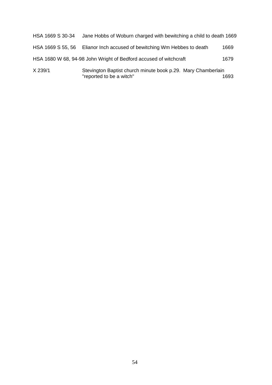| X 239/1           | Stevington Baptist church minute book p.29. Mary Chamberlain<br>"reported to be a witch" | 1693 |
|-------------------|------------------------------------------------------------------------------------------|------|
|                   | HSA 1680 W 68, 94-98 John Wright of Bedford accused of witchcraft                        | 1679 |
| HSA 1669 S 55, 56 | Elianor Inch accused of bewitching Wm Hebbes to death                                    | 1669 |
| HSA 1669 S 30-34  | Jane Hobbs of Woburn charged with bewitching a child to death 1669                       |      |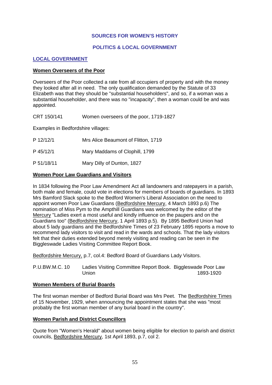### **SOURCES FOR WOMEN'S HISTORY**

## **POLITICS & LOCAL GOVERNMENT**

### **LOCAL GOVERNMENT**

#### **Women Overseers of the Poor**

Overseers of the Poor collected a rate from all occupiers of property and with the money they looked after all in need. The only qualification demanded by the Statute of 33 Elizabeth was that they should be "substantial householders", and so, if a woman was a substantial householder, and there was no "incapacity", then a woman could be and was appointed.

CRT 150/141 Women overseers of the poor, 1719-1827

Examples in Bedfordshire villages:

- P 12/12/1 Mrs Alice Beaumont of Flitton, 1719
- P 45/12/1 Mary Maddams of Clophill, 1799
- P 51/18/11 Mary Dilly of Dunton, 1827

#### **Women Poor Law Guardians and Visitors**

In 1834 following the Poor Law Amendment Act all landowners and ratepayers in a parish, both male and female, could vote in elections for members of boards of guardians. In 1893 Mrs Bamford Slack spoke to the Bedford Women's Liberal Association on the need to appoint women Poor Law Guardians (Bedfordshire Mercury, 4 March 1893 p.6) The nomination of Miss Pym to the Ampthill Guardians was welcomed by the editor of the Mercury "Ladies exert a most useful and kindly influence on the paupers and on the Guardians too" (Bedfordshire Mercury, 1 April 1893 p.5). By 1895 Bedford Union had about 5 lady guardians and the Bedfordshire Times of 23 February 1895 reports a move to recommend lady visitors to visit and read in the wards and schools. That the lady visitors felt that their duties extended beyond merely visiting and reading can be seen in the Biggleswade Ladies Visiting Committee Report Book.

Bedfordshire Mercury, p.7, col.4: Bedford Board of Guardians Lady Visitors.

P.U.BW.M.C. 10 Ladies Visiting Committee Report Book. Biggleswade Poor Law<br>1893-1920 1893-1920

#### **Women Members of Burial Boards**

The first woman member of Bedford Burial Board was Mrs Peet. The Bedfordshire Times of 15 November, 1929, when announcing the appointment states that she was "most probably the first woman member of any burial board in the country".

### **Women Parish and District Councillors**

Quote from "Women's Herald" about women being eligible for election to parish and district councils, Bedfordshire Mercury, 1st April 1893, p.7, col 2.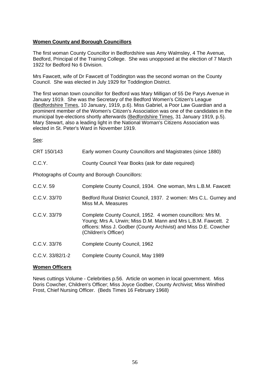## **Women County and Borough Councillors**

The first woman County Councillor in Bedfordshire was Amy Walmsley, 4 The Avenue, Bedford, Principal of the Training College. She was unopposed at the election of 7 March 1922 for Bedford No 6 Division.

Mrs Fawcett, wife of Dr Fawcett of Toddington was the second woman on the County Council. She was elected in July 1929 for Toddington District.

The first woman town councillor for Bedford was Mary Milligan of 55 De Parys Avenue in January 1919. She was the Secretary of the Bedford Women's Citizen's League (Bedfordshire Times, 10 January, 1919, p.6). Miss Gabriel, a Poor Law Guardian and a prominent member of the Women's Citizen's Association was one of the candidates in the municipal bye-elections shortly afterwards (Bedfordshire Times, 31 January 1919, p.5). Mary Stewart, also a leading light in the National Woman's Citizens Association was elected in St. Peter's Ward in November 1919.

See:

| CRT 150/143        | Early women County Councillors and Magistrates (since 1880)                                                                                                                                                              |
|--------------------|--------------------------------------------------------------------------------------------------------------------------------------------------------------------------------------------------------------------------|
| C.C.Y.             | County Council Year Books (ask for date required)                                                                                                                                                                        |
|                    | Photographs of County and Borough Councillors:                                                                                                                                                                           |
| C.C.V. 59          | Complete County Council, 1934. One woman, Mrs L.B.M. Fawcett                                                                                                                                                             |
| C.C.V. 33/70       | Bedford Rural District Council, 1937. 2 women: Mrs C.L. Gurney and<br>Miss M.A. Measures                                                                                                                                 |
| C.C.V. 33/79       | Complete County Council, 1952. 4 women councillors: Mrs M.<br>Young; Mrs A. Urwin; Miss D.M. Mann and Mrs L.B.M. Fawcett. 2<br>officers: Miss J. Godber (County Archivist) and Miss D.E. Cowcher<br>(Children's Officer) |
| C.C.V. 33/76       | Complete County Council, 1962                                                                                                                                                                                            |
| $C.C.V. 33/82/1-2$ | Complete County Council, May 1989                                                                                                                                                                                        |
|                    |                                                                                                                                                                                                                          |

## **Women Officers**

News cuttings Volume - Celebrities p.56. Article on women in local government. Miss Doris Cowcher, Children's Officer; Miss Joyce Godber, County Archivist; Miss Winifred Frost, Chief Nursing Officer. (Beds Times 16 February 1968)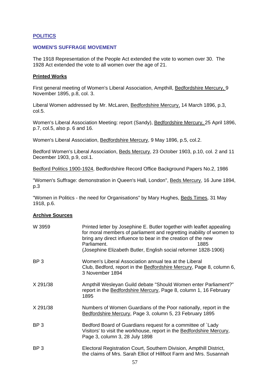### **POLITICS**

### **WOMEN'S SUFFRAGE MOVEMENT**

The 1918 Representation of the People Act extended the vote to women over 30. The 1928 Act extended the vote to all women over the age of 21.

#### **Printed Works**

First general meeting of Women's Liberal Association, Ampthill, Bedfordshire Mercury, 9 November 1895, p.8, col. 3.

Liberal Women addressed by Mr. McLaren, Bedfordshire Mercury, 14 March 1896, p.3, col.5.

Women's Liberal Association Meeting: report (Sandy), Bedfordshire Mercury, 25 April 1896, p.7, col.5, also p. 6 and 16.

Women's Liberal Association, Bedfordshire Mercury, 9 May 1896, p.5, col.2.

Bedford Women's Liberal Association, Beds Mercury, 23 October 1903, p.10, col. 2 and 11 December 1903, p.9, col.1.

Bedford Politics 1900-1924, Bedfordshire Record Office Background Papers No.2, 1986

"Women's Suffrage: demonstration in Queen's Hall, London", Beds Mercury, 16 June 1894, p.3

"Women in Politics - the need for Organisations" by Mary Hughes, Beds Times, 31 May 1918, p.6.

### **Archive Sources**

| W 3959          | Printed letter by Josephine E. Butler together with leaflet appealing<br>for moral members of parliament and regretting inability of women to<br>bring any direct influence to bear in the creation of the new<br>Parliament.<br>1885<br>(Josephine Elizabeth Butler, English social reformer 1828-1906) |
|-----------------|----------------------------------------------------------------------------------------------------------------------------------------------------------------------------------------------------------------------------------------------------------------------------------------------------------|
| BP <sub>3</sub> | Women's Liberal Association annual tea at the Liberal<br>Club, Bedford, report in the Bedfordshire Mercury, Page 8, column 6,<br>3 November 1894                                                                                                                                                         |
| X 291/38        | Ampthill Wesleyan Guild debate "Should Women enter Parliament?"<br>report in the Bedfordshire Mercury, Page 8, column 1, 16 February<br>1895                                                                                                                                                             |
| X 291/38        | Numbers of Women Guardians of the Poor nationally, report in the<br>Bedfordshire Mercury, Page 3, column 5, 23 February 1895                                                                                                                                                                             |
| BP <sub>3</sub> | Bedford Board of Guardians request for a committee of `Lady<br>Visitors' to visit the workhouse, report in the Bedfordshire Mercury,<br>Page 3, column 3, 28 July 1898                                                                                                                                   |
| BP <sub>3</sub> | Electoral Registration Court, Southern Division, Ampthill District,<br>the claims of Mrs. Sarah Elliot of Hillfoot Farm and Mrs. Susannah                                                                                                                                                                |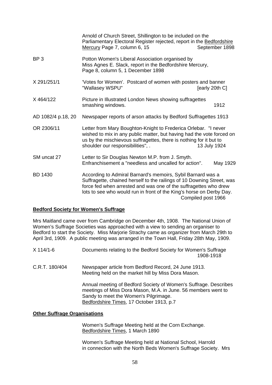|                    | Arnold of Church Street, Shillington to be included on the<br>Parliamentary Electoral Register rejected, report in the Bedfordshire<br>Mercury Page 7, column 6, 15                                                                                                               | September 1898     |
|--------------------|-----------------------------------------------------------------------------------------------------------------------------------------------------------------------------------------------------------------------------------------------------------------------------------|--------------------|
| BP <sub>3</sub>    | Potton Women's Liberal Association organised by<br>Miss Agnes E. Slack, report in the Bedfordshire Mercury,<br>Page 8, column 5, 1 December 1898                                                                                                                                  |                    |
| X 291/251/1        | 'Votes for Women'. Postcard of women with posters and banner<br>"Wallasey WSPU"                                                                                                                                                                                                   | [early 20th C]     |
| X464/122           | Picture in Illustrated London News showing suffragettes<br>smashing windows.                                                                                                                                                                                                      | 1912               |
| AD 1082/4 p.18, 20 | Newspaper reports of arson attacks by Bedford Suffragettes 1913                                                                                                                                                                                                                   |                    |
| OR 2306/11         | Letter from Mary Boughton-Knight to Frederica Orlebar. "I never<br>wished to mix in any public matter, but having had the vote forced on<br>us by the mischievous suffragettes, there is nothing for it but to<br>shoulder our responsibilities", .                               | 13 July 1924       |
| SM uncat 27        | Letter to Sir Douglas Newton M.P. from J. Smyth.<br>Enfranchisement a "needless and uncalled for action".                                                                                                                                                                         | May 1929           |
| <b>BD 1430</b>     | According to Admiral Barnard's memoirs, Sybil Barnard was a<br>Suffragette, chained herself to the railings of 10 Downing Street, was<br>force fed when arrested and was one of the suffragettes who drew<br>lots to see who would run in front of the King's horse on Derby Day. | Compiled post 1966 |

#### **Bedford Society for Women's Suffrage**

Mrs Maitland came over from Cambridge on December 4th, 1908. The National Union of Women's Suffrage Societies was approached with a view to sending an organiser to Bedford to start the Society. Miss Marjorie Strachy came as organizer from March 29th to April 3rd, 1909. A public meeting was arranged in the Town Hall, Friday 28th May, 1909.

- X 114/1-6 Documents relating to the Bedford Society for Women's Suffrage 1908-1918
- C.R.T. 180/404 Newspaper article from Bedford Record, 24 June 1913. Meeting held on the market hill by Miss Dora Mason.

 Annual meeting of Bedford Society of Women's Suffrage. Describes meetings of Miss Dora Mason, M.A. in June. 56 members went to Sandy to meet the Women's Pilgrimage. Bedfordshire Times, 17 October 1913, p.7

#### **Other Suffrage Organisations**

 Women's Suffrage Meeting held at the Corn Exchange. Bedfordshire Times, 1 March 1890

 Women's Suffrage Meeting held at National School, Harrold in connection with the North Beds Women's Suffrage Society. Mrs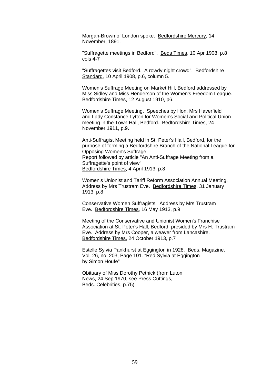Morgan-Brown of London spoke. Bedfordshire Mercury, 14 November, 1891.

 "Suffragette meetings in Bedford". Beds Times, 10 Apr 1908, p.8 cols 4-7

 "Suffragettes visit Bedford. A rowdy night crowd". Bedfordshire Standard, 10 April 1908, p.6, column 5.

Women's Suffrage Meeting on Market Hill, Bedford addressed by Miss Sidley and Miss Henderson of the Women's Freedom League. Bedfordshire Times, 12 August 1910, p6.

Women's Suffrage Meeting. Speeches by Hon. Mrs Haverfield and Lady Constance Lytton for Women's Social and Political Union meeting in the Town Hall, Bedford. Bedfordshire Times, 24 November 1911, p.9.

Anti-Suffragist Meeting held in St. Peter's Hall, Bedford, for the purpose of forming a Bedfordshire Branch of the National League for Opposing Women's Suffrage. Report followed by article "An Anti-Suffrage Meeting from a Suffragette's point of view". Bedfordshire Times, 4 April 1913, p.8

Women's Unionist and Tariff Reform Association Annual Meeting. Address by Mrs Trustram Eve. Bedfordshire Times, 31 January 1913, p.8

 Conservative Women Suffragists. Address by Mrs Trustram Eve. Bedfordshire Times, 16 May 1913, p.9

Meeting of the Conservative and Unionist Women's Franchise Association at St. Peter's Hall, Bedford, presided by Mrs H. Trustram Eve. Address by Mrs Cooper, a weaver from Lancashire. Bedfordshire Times, 24 October 1913, p.7

Estelle Sylvia Pankhurst at Eggington in 1928. Beds. Magazine. Vol. 26, no. 203, Page 101. "Red Sylvia at Eggington by Simon Houfe"

 Obituary of Miss Dorothy Pethick (from Luton News, 24 Sep 1970, see Press Cuttings, Beds. Celebrities, p.75)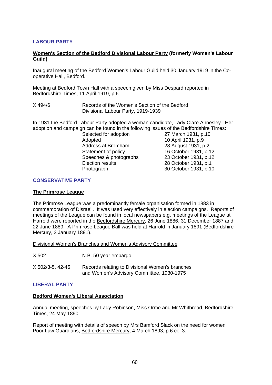## **LABOUR PARTY**

#### **Women's Section of the Bedford Divisional Labour Party (formerly Women's Labour Guild)**

Inaugural meeting of the Bedford Women's Labour Guild held 30 January 1919 in the Cooperative Hall, Bedford.

Meeting at Bedford Town Hall with a speech given by Miss Despard reported in Bedfordshire Times, 11 April 1919, p.6.

X 494/6 Records of the Women's Section of the Bedford Divisional Labour Party, 1919-1939

In 1931 the Bedford Labour Party adopted a woman candidate, Lady Clare Annesley. Her adoption and campaign can be found in the following issues of the **Bedfordshire Times:**<br>Selected for adoption 27 March 1931, p.10

Selected for adoption Adopted 10 April 1931, p.9 Address at Bromham 28 August 1931, p.2 Statement of policy 16 October 1931, p.12 Speeches & photographs 23 October 1931, p.12 Election results 28 October 1931, p.1 Photograph 30 October 1931, p.10

#### **CONSERVATIVE PARTY**

#### **The Primrose League**

The Primrose League was a predominantly female organisation formed in 1883 in commemoration of Disraeli. It was used very effectively in election campaigns. Reports of meetings of the League can be found in local newspapers e.g. meetings of the League at Harrold were reported in the Bedfordshire Mercury, 26 June 1886, 31 December 1887 and 22 June 1889. A Primrose League Ball was held at Harrold in January 1891 (Bedfordshire Mercury, 3 January 1891).

Divisional Women's Branches and Women's Advisory Committee

X 502 N.B. 50 year embargo

X 502/3-5, 42-45 Records relating to Divisional Women's branches and Women's Advisory Committee, 1930-1975

### **LIBERAL PARTY**

#### **Bedford Women's Liberal Association**

Annual meeting, speeches by Lady Robinson, Miss Orme and Mr Whitbread, Bedfordshire Times, 24 May 1890

Report of meeting with details of speech by Mrs Bamford Slack on the need for women Poor Law Guardians, Bedfordshire Mercury, 4 March 1893, p.6 col 3.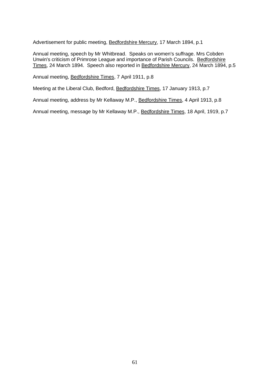Advertisement for public meeting, Bedfordshire Mercury, 17 March 1894, p.1

Annual meeting, speech by Mr Whitbread. Speaks on women's suffrage. Mrs Cobden Unwin's criticism of Primrose League and importance of Parish Councils. Bedfordshire Times, 24 March 1894. Speech also reported in Bedfordshire Mercury, 24 March 1894, p.5

Annual meeting, Bedfordshire Times, 7 April 1911, p.8

Meeting at the Liberal Club, Bedford, Bedfordshire Times, 17 January 1913, p.7

Annual meeting, address by Mr Kellaway M.P., Bedfordshire Times, 4 April 1913, p.8

Annual meeting, message by Mr Kellaway M.P., Bedfordshire Times, 18 April, 1919, p.7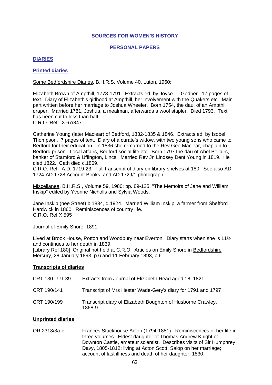#### **SOURCES FOR WOMEN'S HISTORY**

#### **PERSONAL PAPERS**

### **DIARIES**

#### **Printed diaries**

Some Bedfordshire Diaries, B.H.R.S. Volume 40, Luton, 1960:

Elizabeth Brown of Ampthill, 1778-1791. Extracts ed. by Joyce Godber. 17 pages of text. Diary of Elizabeth's girlhood at Ampthill, her involvement with the Quakers etc. Main part written before her marriage to Joshua Wheeler. Born 1754, the dau. of an Ampthill draper. Married 1781, Joshua, a mealman, afterwards a wool stapler. Died 1793. Text has been cut to less than half. C.R.O. Ref: X 67/847

Catherine Young (later Maclear) of Bedford, 1832-1835 & 1846. Extracts ed. by Isobel Thompson. 7 pages of text. Diary of a curate's widow, with two young sons who came to Bedford for their education. In 1836 she remarried to the Rev Geo Maclear, chaplain to Bedford prison. Local affairs, Bedford social life etc. Born 1797 the dau of Abel Bellairs, banker of Stamford & Uffington, Lincs. Married Rev Jn Lindsey Dent Young in 1819. He died 1822. Cath died c.1869.

C.R.O. Ref: A.D. 1719-23. Full transcript of diary on library shelves at 180. See also AD 1724-AD 1728 Account Books, and AD 1729/1 photograph.

Miscellanea, B.H.R.S., Volume 59, 1980: pp. 89-125, "The Memoirs of Jane and William Inskip" edited by Yvonne Nicholls and Sylvia Woods.

Jane Inskip (nee Street) b.1834, d.1924. Married William Inskip, a farmer from Shefford Hardwick in 1860. Reminiscences of country life. C.R.O. Ref X 595

#### Journal of Emily Shore, 1891

Lived at Brook House, Potton and Woodbury near Everton. Diary starts when she is 11½ and continues to her death in 1839.

[Library Ref 180] Original not held at C.R.O. Articles on Emily Shore in Bedfordshire Mercury, 28 January 1893, p.6 and 11 February 1893, p.6.

### **Transcripts of diaries**

| <b>CRT 130 LUT 39</b> | Extracts from Journal of Elizabeth Read aged 18, 1821                 |
|-----------------------|-----------------------------------------------------------------------|
| CRT 190/141           | Transcript of Mrs Hester Wade-Gery's diary for 1791 and 1797          |
| CRT 190/199           | Transcript diary of Elizabeth Boughton of Husborne Crawley,<br>1868-9 |

#### **Unprinted diaries**

OR 2318/3a-c Frances Stackhouse Acton (1794-1881). Reminiscences of her life in three volumes. Eldest daughter of Thomas Andrew Knight of Downton Castle, amateur scientist. Describes visits of Sir Humphrey Davy, 1805-1812; living at Acton Scott, Salop on her marriage; account of last illness and death of her daughter, 1830.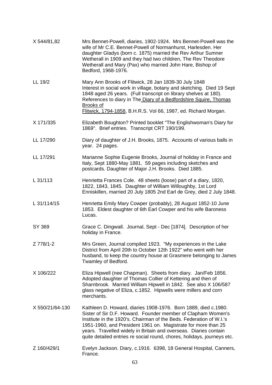| X 544/81,82     | Mrs Bennet-Powell, diaries, 1902-1924. Mrs Bennet-Powell was the<br>wife of Mr C.E. Bennet-Powell of Normanhurst, Harlesden. Her<br>daughter Gladys (born c. 1875) married the Rev Arthur Sumner<br>Wetherall in 1909 and they had two children, The Rev Theodore<br>Wetherall and Mary (Pax) who married John Hare, Bishop of<br>Bedford, 1968-1976.                                                                 |
|-----------------|-----------------------------------------------------------------------------------------------------------------------------------------------------------------------------------------------------------------------------------------------------------------------------------------------------------------------------------------------------------------------------------------------------------------------|
| LL 19/2         | Mary Ann Brooks of Flitwick, 28 Jan 1839-30 July 1848<br>Interest in social work in village, botany and sketching. Died 19 Sept<br>1848 aged 26 years. (Full transcript on library shelves at 180).<br>References to diary in The Diary of a Bedfordshire Squire, Thomas<br><b>Brooks of</b><br>Flitwick, 1794-1858, B.H.R.S. Vol 66, 1987, ed. Richard Morgan.                                                       |
| X 171/335       | Elizabeth Boughton? Printed booklet "The Englishwoman's Diary for<br>1869". Brief entries. Transcript CRT 190/199.                                                                                                                                                                                                                                                                                                    |
| LL 17/290       | Diary of daughter of J.H. Brooks, 1875. Accounts of various balls in<br>year. 24 pages.                                                                                                                                                                                                                                                                                                                               |
| LL 17/291       | Marianne Sophie Eugenie Brooks, Journal of holiday in France and<br>Italy, Sept 1880-May 1881. 59 pages including sketches and<br>postcards. Daughter of Major J.H. Brooks. Died 1885.                                                                                                                                                                                                                                |
| L 31/113        | Henrietta Frances Cole. 48 sheets (loose) part of a diary, 1820,<br>1822, 1843, 1845. Daughter of William Willoughby, 1st Lord<br>Enniskillen, married 20 July 1805 2nd Earl de Grey, died 2 July 1848.                                                                                                                                                                                                               |
| L 31/114/15     | Henrietta Emily Mary Cowper (probably), 28 August 1852-10 June<br>1853. Eldest daughter of 6th Earl Cowper and his wife Baroness<br>Lucas.                                                                                                                                                                                                                                                                            |
| SY 369          | Grace C. Dingwall. Journal, Sept - Dec [1874]. Description of her<br>holiday in France.                                                                                                                                                                                                                                                                                                                               |
| Z 778/1-2       | Mrs Green, Journal compiled 1923. "My experiences in the Lake<br>District from April 20th to October 12th 1922" who went with her<br>husband, to keep the country house at Grasmere belonging to James<br>Twamley of Bedford.                                                                                                                                                                                         |
| X 106/222       | Eliza Hipwell (nee Chapman). Sheets from diary. Jan/Feb 1856.<br>Adopted daughter of Thomas Collier of Kettering and then of<br>Sharnbrook. Married William Hipwell in 1842. See also X 106/587<br>glass negative of Eliza, c.1852. Hipwells were millers and corn<br>merchants.                                                                                                                                      |
| X 550/21/64-130 | Kathleen D. Howard, diaries 1908-1976. Born 1889, died c.1980.<br>Sister of Sir D.F. Howard. Founder member of Clapham Women's<br>Institute in the 1920's. Chairman of the Beds. Federation of W.I.'s<br>1951-1960, and President 1961 on. Magistrate for more than 25<br>years. Travelled widely in Britain and overseas. Diaries contain<br>quite detailed entries re social round, chores, holidays, journeys etc. |
| Z 160/429/1     | Evelyn Jackson. Diary, c.1916. 6398, 18 General Hospital, Canners,<br>France.                                                                                                                                                                                                                                                                                                                                         |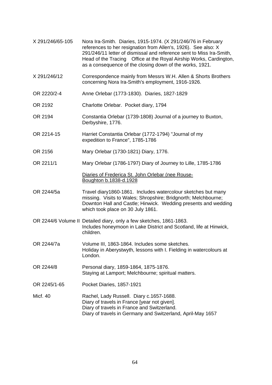X 291/246/65-105 Nora Ira-Smith. Diaries, 1915-1974. (X 291/246/76 in February references to her resignation from Allen's, 1926). See also: X 291/246/11 letter of dismissal and reference sent to Miss Ira-Smith, Head of the Tracing Office at the Royal Airship Works, Cardington, as a consequence of the closing down of the works, 1921. X 291/246/12 Correspondence mainly from Messrs W.H. Allen & Shorts Brothers concerning Nora Ira-Smith's employment, 1916-1926. OR 2220/2-4 Anne Orlebar (1773-1830). Diaries, 1827-1829 OR 2192 Charlotte Orlebar. Pocket diary, 1794 OR 2194 Constantia Orlebar (1739-1808) Journal of a journey to Buxton, Derbyshire, 1776. OR 2214-15 Harriet Constantia Orlebar (1772-1794) "Journal of my expedition to France", 1785-1786 OR 2156 Mary Orlebar (1730-1821) Diary, 1776. OR 2211/1 Mary Orlebar (1786-1797) Diary of Journey to Lille, 1785-1786 Diaries of Frederica St. John Orlebar (nee Rouse- Boughton b.1838-d.1928 OR 2244/5a Travel diary1860-1861. Includes watercolour sketches but many missing. Visits to Wales; Shropshire; Bridgnorth; Melchbourne; Downton Hall and Castle; Hinwick. Wedding presents and wedding which took place on 30 July 1861. OR 2244/6 Volume II Detailed diary, only a few sketches, 1861-1863. Includes honeymoon in Lake District and Scotland, life at Hinwick, children. OR 2244/7a Volume III, 1863-1864. Includes some sketches. Holiday in Aberystwyth, lessons with I. Fielding in watercolours at London. OR 2244/8 Personal diary, 1859-1864, 1875-1876. Staying at Lamport; Melchbourne; spiritual matters. OR 2245/1-65 Pocket Diaries, 1857-1921 Micf. 40 Rachel, Lady Russell. Diary c.1657-1688. Diary of travels in France [year not given]. Diary of travels in France and Switzerland. Diary of travels in Germany and Switzerland, April-May 1657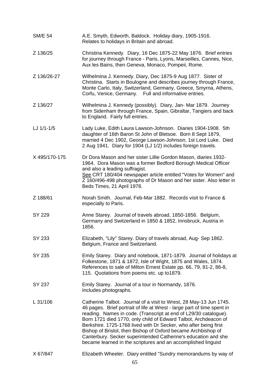SM/E 54 A.E. Smyth, Edworth, Baldock. Holiday diary, 1905-1916. Relates to holidays in Britain and abroad. Z 136/25 Christina Kennedy. Diary, 16 Dec 1875-22 May 1876. Brief entries for journey through France - Paris, Lyons, Marseilles, Cannes, Nice, Aux les Bains, then Geneva, Monaco, Pompeii, Rome. Z 136/26-27 Wilhelmina J. Kennedy. Diary, Dec 1875-9 Aug 1877. Sister of Christina. Starts in Boulogne and describes journey through France, Monte Carlo, Italy, Switzerland, Germany, Greece, Smyrna, Athens, Corfu, Venice, Germany. Full and informative entries. Z 136/27 Wilhelmina J. Kennedy (possibly). Diary, Jan- Mar 1879. Journey from Sidenham through France, Spain, Gibraltar, Tangiers and back to England. Fairly full entries. LJ 1/1-1/5 Lady Luke, Edith Laura Lawson-Johnson. Diaries 1904-1908. 5th daughter of 16th Baron St John of Bletsoe. Born 8 Sept 1879, married 4 Dec 1902, George Lawson-Johnson, 1st Lord Luke. Died 2 Aug 1941. Diary for 1904 (LJ 1/2) includes foreign travels. X 495/170-175 Dr Dora Mason and her sister Lillie Gordon Mason, diaries 1932- 1964. Dora Mason was a former Bedford Borough Medical Officer and also a leading suffragist. See CRT 180/404 newspaper article entitled "Votes for Women" and Z 160/496-498 photographs of Dr Mason and her sister. Also letter in Beds Times, 21 April 1978. Z 188/61 Norah Smith. Journal, Feb-Mar 1882. Records visit to France & especially to Paris. SY 229 Anne Starey. Journal of travels abroad, 1850-1856. Belgium, Germany and Switzerland in 1850 & 1852, Innsbruck, Austria in 1856. SY 233 Elizabeth, "Lily" Starey. Diary of travels abroad, Aug- Sep 1862. Belgium, France and Switzerland. SY 235 Emily Starey. Diary and notebook, 1871-1879. Journal of holidays at Folkestone, 1871 & 1872, Isle of Wight, 1875 and Wales, 1874. References to sale of Milton Ernest Estate pp. 66, 79, 81-2, 86-8, 115. Quotations from poems etc. up to1879. SY 237 Emily Starey. Journal of a tour in Normandy, 1876. Includes photographs. L 31/106 Catherine Talbot. Journal of a visit to Wrest, 28 May-13 Jun 1745. 46 pages. Brief portrait of life at Wrest - large part of time spent in reading. Names in code. (Transcript at end of L29/30 catalogue). Born 1721 died 1770, only child of Edward Talbot, Archdeacon of Berkshire. 1725-1768 lived with Dr Secker, who after being first Bishop of Bristol, then Bishop of Oxford became Archbishop of Canterbury. Secker superintended Catherine's education and she became learned in the scriptures and an accomplished linguist X 67/847 Elizabeth Wheeler. Diary entitled "Sundry memorandums by way of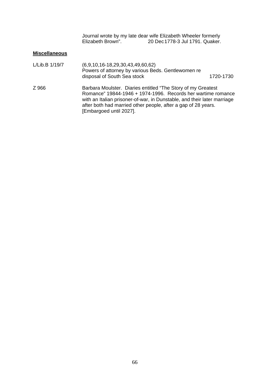Journal wrote by my late dear wife Elizabeth Wheeler formerly Elizabeth Brown". 20 Dec 1778-3 Jul 1791. Quaker.

## **Miscellaneous**

| L/Lib.B 1/19/7 | $(6,9,10,16-18,29,30,43,49,60,62)$<br>Powers of attorney by various Beds. Gentlewomen re<br>disposal of South Sea stock                                                                                                                                                                              | 1720-1730 |  |
|----------------|------------------------------------------------------------------------------------------------------------------------------------------------------------------------------------------------------------------------------------------------------------------------------------------------------|-----------|--|
| Z 966          | Barbara Moulster. Diaries entitled "The Story of my Greatest"<br>Romance" 19844-1946 + 1974-1996. Records her wartime romance<br>with an Italian prisoner-of-war, in Dunstable, and their later marriage<br>after both had married other people, after a gap of 28 years.<br>[Embargoed until 2027]. |           |  |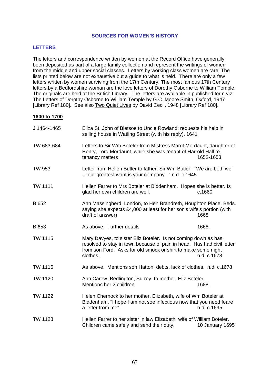#### **SOURCES FOR WOMEN'S HISTORY**

## **LETTERS**

The letters and correspondence written by women at the Record Office have generally been deposited as part of a large family collection and represent the writings of women from the middle and upper social classes. Letters by working class women are rare. The lists printed below are not exhaustive but a guide to what is held. There are only a few letters written by women surviving from the 17th Century. The most famous 17th Century letters by a Bedfordshire woman are the love letters of Dorothy Osborne to William Temple. The originals are held at the British Library. The letters are available in published form viz: The Letters of Dorothy Osborne to William Temple by G.C. Moore Smith, Oxford, 1947 [Library Ref 180]. See also Two Quiet Lives by David Cecil, 1948 [Library Ref 180].

#### **1600 to 1700**

| J 1464-1465    | Eliza St. John of Bletsoe to Uncle Rowland; requests his help in<br>selling house in Watling Street (with his reply), 1641                                                                                                           |                 |
|----------------|--------------------------------------------------------------------------------------------------------------------------------------------------------------------------------------------------------------------------------------|-----------------|
| TW 683-684     | Letters to Sir Wm Boteler from Mistress Margt Mordaunt, daughter of<br>Henry, Lord Mordaunt, while she was tenant of Harrold Hall re<br>tenancy matters                                                                              | 1652-1653       |
| TW 953         | Letter from Hellen Butler to father, Sir Wm Butler. "We are both well<br>our greatest want is your company" n.d. c.1645                                                                                                              |                 |
| <b>TW 1111</b> | Hellen Farrer to Mrs Boteler at Biddenham. Hopes she is better. Is<br>glad her own children are well.                                                                                                                                | c.1660          |
| B 652          | Ann Massingberd, London, to Hen Brandreth, Houghton Place, Beds.<br>saying she expects £4,000 at least for her son's wife's portion (with<br>draft of answer)                                                                        | 1668            |
| B 653          | As above. Further details                                                                                                                                                                                                            | 1668.           |
| <b>TW 1115</b> | Mary Davyes, to sister Eliz Boteler. Is not coming down as has<br>resolved to stay in town because of pain in head. Has had civil letter<br>from son Ford. Asks for old smock or shirt to make some night<br>n.d. c.1678<br>clothes. |                 |
| TW 1116        | As above. Mentions son Hatton, debts, lack of clothes. n.d. c.1678                                                                                                                                                                   |                 |
| <b>TW 1120</b> | Ann Carew, Bedlington, Surrey, to mother, Eliz Boteler.<br>Mentions her 2 children                                                                                                                                                   | 1688.           |
| <b>TW 1122</b> | Helen Chernock to her mother, Elizabeth, wife of Wm Boteler at<br>Biddenham, "I hope I am not soe infectious now that you need feare<br>a letter from me".                                                                           | n.d. c.1695     |
| TW 1128        | Hellen Farrer to her sister in law Elizabeth, wife of William Boteler.<br>Children came safely and send their duty.                                                                                                                  | 10 January 1695 |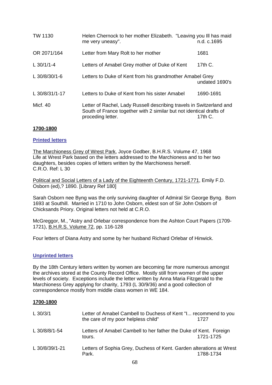| <b>TW 1130</b> | Helen Chernock to her mother Elizabeth. "Leaving you III has maid<br>me very uneasy".                                                                                          | n.d. c.1695 |
|----------------|--------------------------------------------------------------------------------------------------------------------------------------------------------------------------------|-------------|
| OR 2071/164    | Letter from Mary Rolt to her mother                                                                                                                                            | 1681        |
| L $30/1/1 - 4$ | Letters of Amabel Grey mother of Duke of Kent                                                                                                                                  | 17th $C$ .  |
| L 30/8/30/1-6  | Letters to Duke of Kent from his grandmother Amabel Grey<br>undated 1690's                                                                                                     |             |
| L 30/8/31/1-17 | Letters to Duke of Kent from his sister Amabel                                                                                                                                 | 1690-1691   |
| Micf. 40       | Letter of Rachel, Lady Russell describing travels in Switzerland and<br>South of France together with 2 similar but not identical drafts of<br>proceding letter.<br>17th $C$ . |             |

### **1700-1800**

## **Printed letters**

The Marchioness Grey of Wrest Park, Joyce Godber, B.H.R.S. Volume 47, 1968 Life at Wrest Park based on the letters addressed to the Marchioness and to her two daughters, besides copies of letters written by the Marchioness herself. C.R.O. Ref: L 30

Political and Social Letters of a Lady of the Eighteenth Century, 1721-1771, Emily F.D. Osborn (ed),? 1890. [Library Ref 180]

Sarah Osborn nee Byng was the only surviving daughter of Admiral Sir George Byng. Born 1693 at Southill. Married in 1710 to John Osborn, eldest son of Sir John Osborn of Chicksands Priory. Original letters not held at C.R.O.

McGreggor, M., "Astry and Orlebar correspondence from the Ashton Court Papers (1709- 1721), B.H.R.S. Volume 72, pp. 116-128

Four letters of Diana Astry and some by her husband Richard Orlebar of Hinwick.

### **Unprinted letters**

By the 18th Century letters written by women are becoming far more numerous amongst the archives stored at the County Record Office. Mostly still from women of the upper levels of society. Exceptions include the letter written by Anna Maria Fitzgerald to the Marchioness Grey applying for charity, 1793 (L 30/9/36) and a good collection of correspondence mostly from middle class women in WE 184.

### **1700-1800**

| L $30/3/1$     | Letter of Amabel Cambell to Duchess of Kent "I recommend to you<br>the care of my poor helpless child" | 1727      |
|----------------|--------------------------------------------------------------------------------------------------------|-----------|
| L 30/8/8/1-54  | Letters of Amabel Cambell to her father the Duke of Kent. Foreign<br>tours.                            | 1721-1725 |
| L 30/8/39/1-21 | Letters of Sophia Grey, Duchess of Kent. Garden alterations at Wrest<br>Park.                          | 1788-1734 |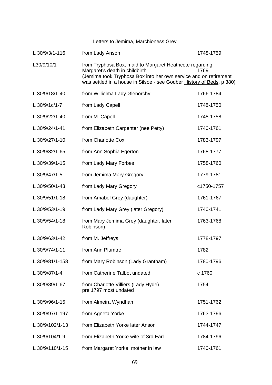Letters to Jemima, Marchioness Grey

| L 30/9/3/1-116  | from Lady Anson                                                                                                                                                                                                                                | 1748-1759  |
|-----------------|------------------------------------------------------------------------------------------------------------------------------------------------------------------------------------------------------------------------------------------------|------------|
| L30/9/10/1      | from Tryphosa Box, maid to Margaret Heathcote regarding<br>Margaret's death in childbirth<br>1769<br>(Jemima took Tryphosa Box into her own service and on retirement<br>was settled in a house in Silsoe - see Godber History of Beds, p 380) |            |
| L 30/9/18/1-40  | from Willielma Lady Glenorchy                                                                                                                                                                                                                  | 1766-1784  |
| L 30/9/1c/1-7   | from Lady Capell                                                                                                                                                                                                                               | 1748-1750  |
| L 30/9/22/1-40  | from M. Capell                                                                                                                                                                                                                                 | 1748-1758  |
| L 30/9/24/1-41  | from Elizabeth Carpenter (nee Petty)                                                                                                                                                                                                           | 1740-1761  |
| L 30/9/27/1-10  | from Charlotte Cox                                                                                                                                                                                                                             | 1783-1797  |
| L 30/9/32/1-65  | from Ann Sophia Egerton                                                                                                                                                                                                                        | 1768-1777  |
| L 30/9/39/1-15  | from Lady Mary Forbes                                                                                                                                                                                                                          | 1758-1760  |
| L 30/9/47/1-5   | from Jemima Mary Gregory                                                                                                                                                                                                                       | 1779-1781  |
| L 30/9/50/1-43  | from Lady Mary Gregory                                                                                                                                                                                                                         | c1750-1757 |
| L 30/9/51/1-18  | from Amabel Grey (daughter)                                                                                                                                                                                                                    | 1761-1767  |
| L 30/9/53/1-19  | from Lady Mary Grey (later Gregory)                                                                                                                                                                                                            | 1740-1741  |
| L 30/9/54/1-18  | from Mary Jemima Grey (daughter, later<br>Robinson)                                                                                                                                                                                            | 1763-1768  |
| L 30/9/63/1-42  | from M. Jeffreys                                                                                                                                                                                                                               | 1778-1797  |
| L 30/9/74/1-11  | from Ann Plumtre                                                                                                                                                                                                                               | 1782       |
| L 30/9/81/1-158 | from Mary Robinson (Lady Grantham)                                                                                                                                                                                                             | 1780-1796  |
| L 30/9/87/1-4   | from Catherine Talbot undated                                                                                                                                                                                                                  | c 1760     |
| L 30/9/89/1-67  | from Charlotte Villiers (Lady Hyde)<br>pre 1797 most undated                                                                                                                                                                                   | 1754       |
| L 30/9/96/1-15  | from Almeira Wyndham                                                                                                                                                                                                                           | 1751-1762  |
| L 30/9/97/1-197 | from Agneta Yorke                                                                                                                                                                                                                              | 1763-1796  |
| L 30/9/102/1-13 | from Elizabeth Yorke later Anson                                                                                                                                                                                                               | 1744-1747  |
| L 30/9/104/1-9  | from Elizabeth Yorke wife of 3rd Earl                                                                                                                                                                                                          | 1784-1796  |
| L 30/9/110/1-15 | from Margaret Yorke, mother in law                                                                                                                                                                                                             | 1740-1761  |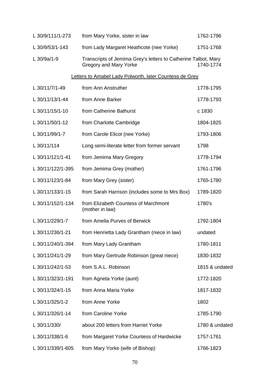| L 30/9/111/1-273  | from Mary Yorke, sister in law                                                           | 1762-1796      |
|-------------------|------------------------------------------------------------------------------------------|----------------|
| L 30/9/53/1-143   | from Lady Margaret Heathcote (nee Yorke)                                                 | 1751-1768      |
| L 30/9a/1-9       | Transcripts of Jemima Grey's letters to Catherine Talbot, Mary<br>Gregory and Mary Yorke | 1740-1774      |
|                   | Letters to Amabel Lady Polworth, later Countess de Grey                                  |                |
| L 30/11/7/1-49    | from Ann Anstruther                                                                      | 1778-1795      |
| L 30/11/13/1-44   | from Anne Barker                                                                         | 1778-1793      |
| L 30/11/15/1-10   | from Catherine Bathurst                                                                  | c 1830         |
| L 30/11/50/1-12   | from Charlotte Cambridge                                                                 | 1804-1825      |
| L 30/11/99/1-7    | from Carole Elicot (nee Yorke)                                                           | 1793-1806      |
| L 30/11/114       | Long semi-literate letter from former servant                                            | 1798           |
| L 30/11/121/1-41  | from Jemima Mary Gregory                                                                 | 1778-1794      |
| L 30/11/122/1-395 | from Jemima Grey (mother)                                                                | 1761-1796      |
| L 30/11/123/1-84  | from Mary Grey (sister)                                                                  | 1765-1780      |
| L 30/11/133/1-15  | from Sarah Harrison (includes some to Mrs Box)                                           | 1789-1820      |
| L 30/11/152/1-134 | from Elizabeth Countess of Marchmont<br>(mother in law)                                  | 1780's         |
| L 30/11/229/1-7   | from Amelia Purves of Berwick                                                            | 1792-1804      |
| L 30/11/236/1-21  | from Henrietta Lady Grantham (niece in law)                                              | undated        |
| L 30/11/240/1-394 | from Mary Lady Grantham                                                                  | 1780-1811      |
| L 30/11/241/1-29  | from Mary Gertrude Robinson (great niece)                                                | 1830-1832      |
| L 30/11/242/1-53  | from S.A.L. Robinson                                                                     | 1815 & undated |
| L 30/11/323/1-191 | from Agneta Yorke (aunt)                                                                 | 1772-1820      |
| L 30/11/324/1-15  | from Anna Maria Yorke                                                                    | 1817-1832      |
| L 30/11/325/1-2   | from Anne Yorke                                                                          | 1802           |
| L 30/11/326/1-14  | from Caroline Yorke                                                                      | 1785-1790      |
| L 30/11/330/      | about 200 letters from Harriet Yorke                                                     | 1780 & undated |
| L 30/11/338/1-6   | from Margaret Yorke Countess of Hardwicke                                                | 1757-1761      |
| L 30/11/339/1-605 | from Mary Yorke (wife of Bishop)                                                         | 1766-1823      |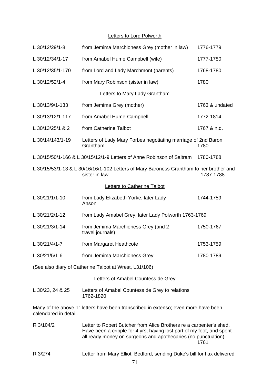# **Letters to Lord Polworth**

| L 30/12/29/1-8                                                                                                        | from Jemima Marchioness Grey (mother in law)                                                                                                                                                                  | 1776-1779      |
|-----------------------------------------------------------------------------------------------------------------------|---------------------------------------------------------------------------------------------------------------------------------------------------------------------------------------------------------------|----------------|
| L 30/12/34/1-17                                                                                                       | from Amabel Hume Campbell (wife)                                                                                                                                                                              | 1777-1780      |
| L 30/12/35/1-170                                                                                                      | from Lord and Lady Marchmont (parents)                                                                                                                                                                        | 1768-1780      |
| L 30/12/52/1-4                                                                                                        | from Mary Robinson (sister in law)                                                                                                                                                                            | 1780           |
|                                                                                                                       | <b>Letters to Mary Lady Grantham</b>                                                                                                                                                                          |                |
| L 30/13/9/1-133                                                                                                       | from Jemima Grey (mother)                                                                                                                                                                                     | 1763 & undated |
| L 30/13/12/1-117                                                                                                      | from Amabel Hume-Campbell                                                                                                                                                                                     | 1772-1814      |
| L 30/13/25/1 & 2                                                                                                      | from Catherine Talbot                                                                                                                                                                                         | 1767 & n.d.    |
| L 30/14/143/1-19                                                                                                      | Letters of Lady Mary Forbes negotiating marriage of 2nd Baron<br>Grantham                                                                                                                                     | 1780           |
|                                                                                                                       | L 30/15/50/1-166 & L 30/15/12/1-9 Letters of Anne Robinson of Saltram                                                                                                                                         | 1780-1788      |
| L 30/15/53/1-13 & L 30/16/16/1-102 Letters of Mary Baroness Grantham to her brother and<br>sister in law<br>1787-1788 |                                                                                                                                                                                                               |                |
|                                                                                                                       | <b>Letters to Catherine Talbot</b>                                                                                                                                                                            |                |
| L 30/21/1/1-10                                                                                                        | from Lady Elizabeth Yorke, later Lady<br>Anson                                                                                                                                                                | 1744-1759      |
| L 30/21/2/1-12                                                                                                        | from Lady Amabel Grey, later Lady Polworth 1763-1769                                                                                                                                                          |                |
| L 30/21/3/1-14                                                                                                        | from Jemima Marchioness Grey (and 2)<br>travel journals)                                                                                                                                                      | 1750-1767      |
| L 30/21/4/1-7                                                                                                         | from Margaret Heathcote                                                                                                                                                                                       | 1753-1759      |
| L 30/21/5/1-6                                                                                                         | from Jemima Marchioness Grey                                                                                                                                                                                  | 1780-1789      |
|                                                                                                                       | (See also diary of Catherine Talbot at Wrest, L31/106)                                                                                                                                                        |                |
|                                                                                                                       | Letters of Amabel Countess de Grey                                                                                                                                                                            |                |
| L 30/23, 24 & 25                                                                                                      | Letters of Amabel Countess de Grey to relations<br>1762-1820                                                                                                                                                  |                |
| calendared in detail.                                                                                                 | Many of the above 'L' letters have been transcribed in extenso; even more have been                                                                                                                           |                |
| R 3/104/2                                                                                                             | Letter to Robert Butcher from Alice Brothers re a carpenter's shed.<br>Have been a cripple for 4 yrs, having lost part of my foot, and spent<br>all ready money on surgeons and apothecaries (no punctuation) | 1761           |
| R 3/274                                                                                                               | Letter from Mary Elliot, Bedford, sending Duke's bill for flax delivered                                                                                                                                      |                |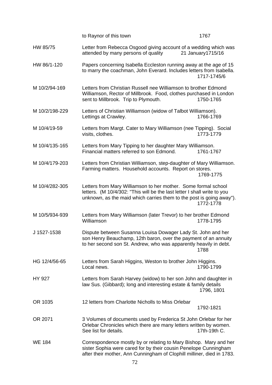|                | to Raynor of this town                                                                                                                                                                                             | 1767               |
|----------------|--------------------------------------------------------------------------------------------------------------------------------------------------------------------------------------------------------------------|--------------------|
| HW 85/75       | Letter from Rebecca Osgood giving account of a wedding which was<br>attended by many persons of quality                                                                                                            | 21 January 1715/16 |
| HW 86/1-120    | Papers concerning Isabella Eccleston running away at the age of 15<br>to marry the coachman, John Everard. Includes letters from Isabella.                                                                         | 1717-1745/6        |
| M 10/2/94-169  | Letters from Christian Russell nee Williamson to brother Edmond<br>Williamson, Rector of Millbrook. Food, clothes purchased in London<br>sent to Millbrook. Trip to Plymouth.                                      | 1750-1765          |
| M 10/2/198-229 | Letters of Christian Williamson (widow of Talbot Williamson).<br>Lettings at Crawley.                                                                                                                              | 1766-1769          |
| M 10/4/19-59   | Letters from Margt. Cater to Mary Williamson (nee Tipping). Social<br>visits, clothes.                                                                                                                             | 1773-1779          |
| M 10/4/135-165 | Letters from Mary Tipping to her daughter Mary Williamson.<br>Financial matters referred to son Edmond.                                                                                                            | 1761-1767          |
| M 10/4/179-203 | Letters from Christian Williamson, step-daughter of Mary Williamson.<br>Farming matters. Household accounts. Report on stores.                                                                                     | 1769-1775          |
| M 10/4/282-305 | Letters from Mary Williamson to her mother. Some formal school<br>letters. (M 10/4/302: "This will be the last letter I shall write to you<br>unknown, as the maid which carries them to the post is going away"). | 1772-1778          |
| M 10/5/934-939 | Letters from Mary Williamson (later Trevor) to her brother Edmond<br>Williamson                                                                                                                                    | 1778-1795          |
| J 1527-1538    | Dispute between Susanna Louisa Dowager Lady St. John and her<br>son Henry Beauchamp, 12th baron, over the payment of an annuity<br>to her second son St. Andrew, who was apparently heavily in debt.               | 1788               |
| HG 12/4/56-65  | Letters from Sarah Higgins, Weston to brother John Higgins.<br>Local news.                                                                                                                                         | 1790-1799          |
| HY 927         | Letters from Sarah Harvey (widow) to her son John and daughter in<br>law Sus. (Gibbard); long and interesting estate & family details                                                                              | 1796, 1801         |
| OR 1035        | 12 letters from Charlotte Nicholls to Miss Orlebar                                                                                                                                                                 | 1792-1821          |
| OR 2071        | 3 Volumes of documents used by Frederica St John Orlebar for her<br>Orlebar Chronicles which there are many letters written by women.<br>See list for details.                                                     | 17th-19th C.       |
| <b>WE 184</b>  | Correspondence mostly by or relating to Mary Bishop. Mary and her<br>sister Sophia were cared for by their cousin Penelope Cunningham<br>after their mother, Ann Cunningham of Clophill milliner, died in 1783.    |                    |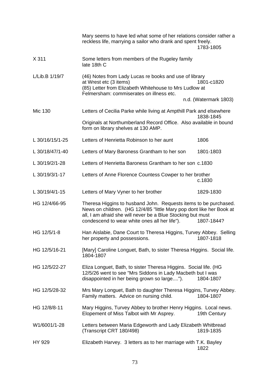|                 | Mary seems to have led what some of her relations consider rather a<br>reckless life, marrying a sailor who drank and spent freely.                                                                                                                      | 1783-1805                           |
|-----------------|----------------------------------------------------------------------------------------------------------------------------------------------------------------------------------------------------------------------------------------------------------|-------------------------------------|
| X 311           | Some letters from members of the Rugeley family<br>late 18th C                                                                                                                                                                                           |                                     |
| L/Lib.B 1/19/7  | (46) Notes from Lady Lucas re books and use of library<br>at Wrest etc (3 items)<br>(85) Letter from Elizabeth Whitehouse to Mrs Ludlow at<br>Felmersham: commiserates on illness etc.                                                                   | 1801-c1820<br>n.d. (Watermark 1803) |
| Mic 130         | Letters of Cecilia Parke while living at Ampthill Park and elsewhere                                                                                                                                                                                     |                                     |
|                 | Originals at Northumberland Record Office. Also available in bound<br>form on library shelves at 130 AMP.                                                                                                                                                | 1838-1845                           |
| L 30/16/15/1-25 | Letters of Henrietta Robinson to her aunt                                                                                                                                                                                                                | 1806                                |
| L 30/18/47/1-40 | Letters of Mary Baroness Grantham to her son                                                                                                                                                                                                             | 1801-1803                           |
| L 30/19/2/1-28  | Letters of Henrietta Baroness Grantham to her son c.1830                                                                                                                                                                                                 |                                     |
| L 30/19/3/1-17  | Letters of Anne Florence Countess Cowper to her brother                                                                                                                                                                                                  | c.1830                              |
| L 30/19/4/1-15  | Letters of Mary Vyner to her brother                                                                                                                                                                                                                     | 1829-1830                           |
| HG 12/4/66-95   | Theresa Higgins to husband John. Requests items to be purchased.<br>News on children. (HG 12/4/85 "little Mary pop dont like her Book at<br>all, I am afraid she will never be a Blue Stocking but must<br>condescend to wear white ones all her life"). | 1807-1844?                          |
| HG 12/5/1-8     | Han Aislabie, Dane Court to Theresa Higgins, Turvey Abbey. Selling<br>her property and possessions.                                                                                                                                                      | 1807-1818                           |
| HG 12/5/16-21   | [Mary] Caroline Longuet, Bath, to sister Theresa Higgins. Social life.<br>1804-1807                                                                                                                                                                      |                                     |
| HG 12/5/22-27   | Eliza Longuet, Bath, to sister Theresa Higgins. Social life. (HG<br>12/5/26 went to see "Mrs Siddons in Lady Macbeth but I was<br>disappointed in her being grown so large").                                                                            | 1804-1807                           |
| HG 12/5/28-32   | Mrs Mary Longuet, Bath to daughter Theresa Higgins, Turvey Abbey.<br>Family matters. Advice on nursing child.                                                                                                                                            | 1804-1807                           |
| HG 12/8/8-11    | Mary Higgins, Turvey Abbey to brother Henry Higgins. Local news.<br>Elopement of Miss Talbot with Mr Asprey.                                                                                                                                             | 19th Century                        |
| W1/6001/1-28    | Letters between Maria Edgeworth and Lady Elizabeth Whitbread<br>(Transcript CRT 180/498)                                                                                                                                                                 | 1819-1835                           |
| HY 929          | Elizabeth Harvey. 3 letters as to her marriage with T.K. Bayley                                                                                                                                                                                          | 1822                                |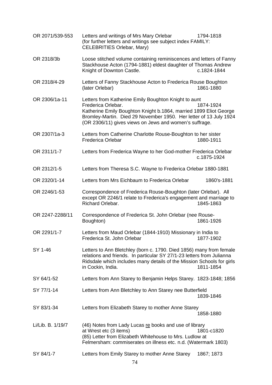| OR 2071/539-553   | Letters and writings of Mrs Mary Orlebar<br>(for further letters and writings see subject index FAMILY:<br>CELEBRITIES Orlebar, Mary)                                                                                                                                          | 1794-1818   |
|-------------------|--------------------------------------------------------------------------------------------------------------------------------------------------------------------------------------------------------------------------------------------------------------------------------|-------------|
| OR 2318/3b        | Loose stitched volume containing reminiscences and letters of Fanny<br>Stackhouse Acton (1794-1881) eldest daughter of Thomas Andrew<br>Knight of Downton Castle.                                                                                                              | c.1824-1844 |
| OR 2318/4-29      | Letters of Fanny Stackhouse Acton to Frederica Rouse Boughton<br>(later Orlebar)                                                                                                                                                                                               | 1861-1880   |
| OR 2306/1a-11     | Letters from Katherine Emily Boughton Knight to aunt<br>Frederica Orlebar.<br>Katherine Emily Boughton Knight b.1864, married 1899 Eliot George<br>Bromley-Martin. Died 29 November 1950. Her letter of 13 July 1924<br>(OR 2306/11) gives views on Jews and women's suffrage. | 1874-1924   |
| OR 2307/1a-3      | Letters from Catherine Charlotte Rouse-Boughton to her sister<br><b>Frederica Orlebar</b>                                                                                                                                                                                      | 1880-1911   |
| OR 2311/1-7       | Letters from Frederica Wayne to her God-mother Frederica Orlebar                                                                                                                                                                                                               | c.1875-1924 |
| OR 2312/1-5       | Letters from Theresa S.C. Wayne to Frederica Orlebar 1880-1881                                                                                                                                                                                                                 |             |
| OR 2320/1-14      | Letters from Mrs Eichbaum to Frederica Orlebar                                                                                                                                                                                                                                 | 1860's-1881 |
| OR 2246/1-53      | Correspondence of Frederica Rouse-Boughton (later Orlebar). All<br>except OR 2246/1 relate to Frederica's engagement and marriage to<br>Richard Orlebar.                                                                                                                       | 1845-1863   |
| OR 2247-2288/11   | Correspondence of Frederica St. John Orlebar (nee Rouse-<br>Boughton)                                                                                                                                                                                                          | 1861-1926   |
| OR 2291/1-7       | Letters from Maud Orlebar (1844-1910) Missionary in India to<br>Frederica St. John Orlebar                                                                                                                                                                                     | 1877-1902   |
| SY 1-46           | Letters to Ann Bletchley (born c. 1790. Died 1856) many from female<br>relations and friends. In particular SY 27/1-23 letters from Julianna<br>Ridsdale which includes many details of the Mission Schools for girls<br>in Cockin, India.                                     | 1811-1854   |
| SY 64/1-52        | Letters from Ann Starey to Benjamin Helps Starey. 1823-1848; 1856                                                                                                                                                                                                              |             |
| SY 77/1-14        | Letters from Ann Bletchley to Ann Starey nee Butterfield                                                                                                                                                                                                                       | 1839-1846   |
| SY 83/1-34        | Letters from Elizabeth Starey to mother Anne Starey                                                                                                                                                                                                                            | 1858-1880   |
| Li/Lib. B. 1/19/7 | (46) Notes from Lady Lucas re books and use of library<br>at Wrest etc (3 items)<br>(85) Letter from Elizabeth Whitehouse to Mrs. Ludlow at<br>Felmersham: commiserates on illness etc. n.d. (Watermark 1803)                                                                  | 1801-c1820  |
| SY 84/1-7         | Letters from Emily Starey to mother Anne Starey                                                                                                                                                                                                                                | 1867; 1873  |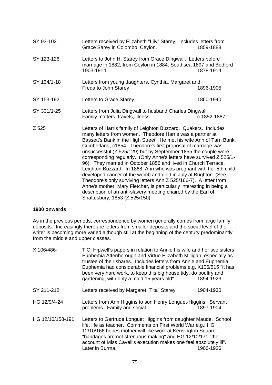| SY 93-102   | Letters received by Elizabeth "Lily" Starey. Includes letters from<br>Grace Sarey in Colombo, Ceylon.                                                                                                                                                                                                                                                                                                                                                                                                                                                                                                                                                                                                                                                                                                                                                                    | 1859-1888   |
|-------------|--------------------------------------------------------------------------------------------------------------------------------------------------------------------------------------------------------------------------------------------------------------------------------------------------------------------------------------------------------------------------------------------------------------------------------------------------------------------------------------------------------------------------------------------------------------------------------------------------------------------------------------------------------------------------------------------------------------------------------------------------------------------------------------------------------------------------------------------------------------------------|-------------|
| SY 123-126  | Letters to John H. Starey from Grace Dingwall. Letters before<br>marriage in 1882; from Ceylon in 1884; Southsea 1897 and Bedford<br>1903-1914.                                                                                                                                                                                                                                                                                                                                                                                                                                                                                                                                                                                                                                                                                                                          | 1878-1914   |
| SY 134/1-18 | Letters from young daughters, Cynthia, Margaret and<br>Freda to John Starey                                                                                                                                                                                                                                                                                                                                                                                                                                                                                                                                                                                                                                                                                                                                                                                              | 1896-1905   |
| SY 153-192  | Letters to Grace Starey                                                                                                                                                                                                                                                                                                                                                                                                                                                                                                                                                                                                                                                                                                                                                                                                                                                  | 1860-1940   |
| SY 331/1-25 | Letters from Julia Dingwall to husband Charles Dingwall.<br>Family matters, travels, illness                                                                                                                                                                                                                                                                                                                                                                                                                                                                                                                                                                                                                                                                                                                                                                             | c.1852-1887 |
| Z 525       | Letters of Harris family of Leighton Buzzard. Quakers. Includes<br>many letters from women. Theodore Harris was a partner at<br>Bassett's Bank in the High Street. He met his wife Ann of Tarn Bank,<br>Cumberland, c1854. Theodore's first proposal of marriage was<br>unsuccessful (Z 525/129) but by September 1855 the couple were<br>corresponding regularly. (Only Anne's letters have survived Z 525/1-<br>96). They married in October 1856 and lived in Church Terrace,<br>Leighton Buzzard. In 1868, Ann who was pregnant with her 5th child<br>developed cancer of the womb and died in July at Brighton. (See<br>Theodore's only surviving letters Ann Z 525/166-7). A letter from<br>Anne's mother, Mary Fletcher, is particularly interesting in being a<br>description of an anti-slavery meeting chaired by the Earl of<br>Shaftesbury, 1853 (Z 525/150) |             |

#### **1900 onwards**

As in the previous periods, correspondence by women generally comes from large family deposits. Increasingly there are letters from smaller deposits and the social level of the writer is becoming more varied although still at the beginning of the century predominantly from the middle and upper classes.

| X 106/486-       | T.C. Hipwell's papers in relation to Annie his wife and her two sisters<br>Euphemia Attenborough and Virtue Elizabeth Milligan, especially as<br>trustee of their shares. Includes letters from Annie and Euphemia.<br>Euphemia had considerable financial problems e.g. X106/515 "it has<br>been very hard work, to keep this big house tidy, do poultry and<br>gardening, with only a maid 15 years old". | 1894-1923 |
|------------------|-------------------------------------------------------------------------------------------------------------------------------------------------------------------------------------------------------------------------------------------------------------------------------------------------------------------------------------------------------------------------------------------------------------|-----------|
| SY 211-212       | Letters received by Margaret "Tita" Starey                                                                                                                                                                                                                                                                                                                                                                  | 1904-1930 |
| HG 12/9/4-24     | Letters from Ann Higgins to son Henry Longuet-Higgins. Servant<br>problems. Family and social.                                                                                                                                                                                                                                                                                                              | 1897-1904 |
| HG 12/10/158-191 | Letters to Gertrude Longuet Higgins from daughter Maude. School<br>life, life as teacher. Comments on First World War e.g.: HG<br>12/10/166 hopes mother will like work at Kensington Square<br>"bandages are not strenuous making" and HG 12/10/171 "the<br>account of Miss Cavell's execution makes one feel absolutely ill".<br>Later in Burma.<br>1906-1926                                             |           |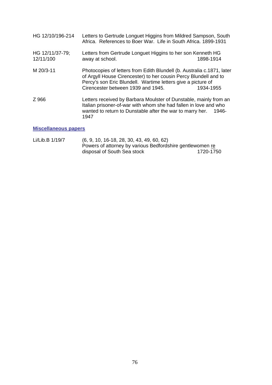| HG 12/10/196-214             | Letters to Gertrude Longuet Higgins from Mildred Sampson, South<br>Africa. References to Boer War. Life in South Africa. 1899-1931                                                                                                               |           |
|------------------------------|--------------------------------------------------------------------------------------------------------------------------------------------------------------------------------------------------------------------------------------------------|-----------|
| HG 12/11/37-79;<br>12/11/100 | Letters from Gertrude Longuet Higgins to her son Kenneth HG<br>away at school.                                                                                                                                                                   | 1898-1914 |
| M 20/3-11                    | Photocopies of letters from Edith Blundell (b. Australia c.1871, later<br>of Argyll House Cirencester) to her cousin Percy Blundell and to<br>Percy's son Eric Blundell. Wartime letters give a picture of<br>Cirencester between 1939 and 1945. | 1934-1955 |
| Z 966                        | Letters received by Barbara Moulster of Dunstable, mainly from an<br>Italian prisoner-of-war with whom she had fallen in love and who<br>wanted to return to Dunstable after the war to marry her.<br>1946-<br>1947                              |           |
|                              |                                                                                                                                                                                                                                                  |           |

## **Miscellaneous papers**

Li/Lib.B 1/19/7 (6, 9, 10, 16-18, 28, 30, 43, 49, 60, 62) Powers of attorney by various Bedfordshire gentlewomen re disposal of South Sea stock 1720-1750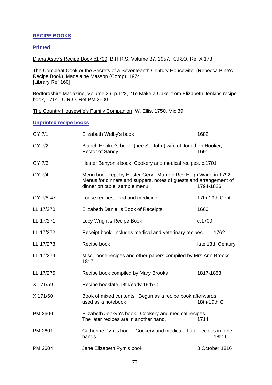# **RECIPE BOOKS**

## **Printed**

Diana Astry's Recipe Book c1700, B.H.R.S. Volume 37, 1957. C.R.O. Ref X 178

The Compleat Cook or the Secrets of a Seventeenth Century Housewife, (Rebecca Pine's Recipe Book), Madelaine Masson (Comp), 1974 [Library Ref 160]

Bedfordshire Magazine, Volume 26, p.122, 'To Make a Cake' from Elizabeth Jenkins recipe book, 1714. C.R.O. Ref PM 2600

The Country Housewife's Family Companion, W. Ellis, 1750. Mic 39

#### **Unprinted recipe books**

| GY 7/1    | Elizabeth Welby's book                                                                                                                                              | 1682              |
|-----------|---------------------------------------------------------------------------------------------------------------------------------------------------------------------|-------------------|
| GY 7/2    | Blanch Hooker's book, (nee St. John) wife of Jonathon Hooker,<br>Rector of Sandy.                                                                                   | 1691              |
| GY 7/3    | Hester Benyon's book. Cookery and medical recipes. c.1701                                                                                                           |                   |
| GY 7/4    | Menu book kept by Hester Gery. Married Rev Hugh Wade in 1792.<br>Menus for dinners and suppers, notes of guests and arrangement of<br>dinner on table, sample menu. | 1794-1826         |
| GY 7/8-47 | Loose recipes, food and medicine                                                                                                                                    | 17th-19th Cent    |
| LL 17/270 | Elizabeth Daniell's Book of Receipts                                                                                                                                | 1660              |
| LL 17/271 | Lucy Wright's Recipe Book                                                                                                                                           | c.1700            |
| LL 17/272 | Receipt book. Includes medical and veterinary recipes.                                                                                                              | 1762              |
| LL 17/273 | Recipe book                                                                                                                                                         | late 18th Century |
| LL 17/274 | Misc. loose recipes and other papers compiled by Mrs Ann Brooks<br>1817                                                                                             |                   |
| LL 17/275 | Recipe book compiled by Mary Brooks                                                                                                                                 | 1817-1853         |
| X 171/59  | Recipe booklate 18th/early 19th C                                                                                                                                   |                   |
| X 171/60  | Book of mixed contents. Begun as a recipe book afterwards<br>used as a notebook                                                                                     | 18th-19th C       |
| PM 2600   | Elizabeth Jenkyn's book. Cookery and medical recipes.<br>The later recipes are in another hand.                                                                     | 1714              |
| PM 2601   | Catherine Pym's book. Cookery and medical. Later recipes in other<br>hands.                                                                                         | 18th C            |
| PM 2604   | Jane Elizabeth Pym's book                                                                                                                                           | 3 October 1816    |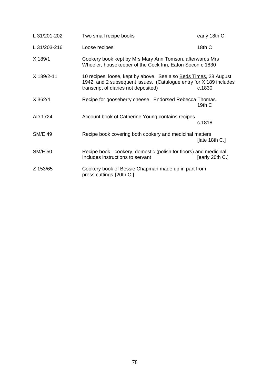| L 31/201-202   | Two small recipe books                                                                                                                                                                 | early 18th C         |
|----------------|----------------------------------------------------------------------------------------------------------------------------------------------------------------------------------------|----------------------|
| L 31/203-216   | Loose recipes                                                                                                                                                                          | 18th C               |
| X 189/1        | Cookery book kept by Mrs Mary Ann Tomson, afterwards Mrs<br>Wheeler, housekeeper of the Cock Inn, Eaton Socon c.1830                                                                   |                      |
| X 189/2-11     | 10 recipes, loose, kept by above. See also <b>Beds Times</b> , 28 August<br>1942, and 2 subsequent issues. (Catalogue entry for X 189 includes<br>transcript of diaries not deposited) | c.1830               |
| X 362/4        | Recipe for gooseberry cheese. Endorsed Rebecca Thomas.                                                                                                                                 | 19th C               |
| AD 1724        | Account book of Catherine Young contains recipes                                                                                                                                       | c.1818               |
| <b>SM/E 49</b> | Recipe book covering both cookery and medicinal matters                                                                                                                                | $[$ late 18th C. $]$ |
| <b>SM/E 50</b> | Recipe book - cookery, domestic (polish for floors) and medicinal.<br>Includes instructions to servant                                                                                 | [early 20th C.]      |
| Z 153/65       | Cookery book of Bessie Chapman made up in part from<br>press cuttings [20th C.]                                                                                                        |                      |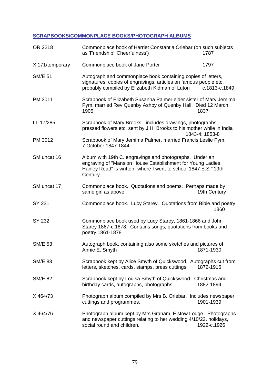# **SCRAPBOOKS/COMMONPLACE BOOKS/PHOTOGRAPH ALBUMS**

| OR 2218         | Commonplace book of Harriet Constantia Orlebar (on such subjects<br>as 'Friendship' 'Cheerfulness')<br>1787                                                                                          |
|-----------------|------------------------------------------------------------------------------------------------------------------------------------------------------------------------------------------------------|
| X 171/temporary | Commonplace book of Jane Porter<br>1797                                                                                                                                                              |
| <b>SM/E 51</b>  | Autograph and commonplace book containing copies of letters,<br>signatures, copies of engravings, articles on famous people etc.<br>probably compiled by Elizabeth Kidman of Luton<br>c.1813-c.1849  |
| PM 3011         | Scrapbook of Elizabeth Susanna Palmer elder sister of Mary Jemima<br>Pym, married Rev Quenby Ashby of Quenby Hall. Died 12 March<br>1905.<br>1837                                                    |
| LL 17/285       | Scrapbook of Mary Brooks - includes drawings, photographs,<br>pressed flowers etc. sent by J.H. Brooks to his mother while in India<br>1843-4; 1853-8                                                |
| PM 3012         | Scrapbook of Mary Jemima Palmer, married Francis Leslie Pym,<br>7 October 1847 1844                                                                                                                  |
| SM uncat 16     | Album with 19th C. engravings and photographs. Under an<br>engraving of "Mansion House Establishment for Young Ladies,<br>Hanley Road" is written "where I went to school 1847 E.S." 19th<br>Century |
| SM uncat 17     | Commonplace book. Quotations and poems. Perhaps made by<br>19th Century<br>same girl as above.                                                                                                       |
| <b>SY 231</b>   | Commonplace book. Lucy Starey. Quotations from Bible and poetry<br>1860                                                                                                                              |
| SY 232          | Commonplace book used by Lucy Starey, 1861-1866 and John<br>Starey 1867-c.1878. Contains songs, quotations from books and<br>poetry.1861-1878                                                        |
| <b>SM/E 53</b>  | Autograph book, containing also some sketches and pictures of<br>1871-1930<br>Annie E. Smyth                                                                                                         |
| <b>SM/E 83</b>  | Scrapbook kept by Alice Smyth of Quickswood. Autographs cut from<br>letters, sketches, cards, stamps, press cuttings<br>1872-1916                                                                    |
| <b>SM/E 82</b>  | Scrapbook kept by Louisa Smyth of Quickswood. Christmas and<br>birthday cards, autographs, photographs<br>1882-1894                                                                                  |
| X464/73         | Photograph album compiled by Mrs B. Orlebar. Includes newspaper<br>1901-1939<br>cuttings and programmes.                                                                                             |
| X464/76         | Photograph album kept by Mrs Graham, Elstow Lodge. Photographs<br>and newspaper cuttings relating to her wedding 4/10/22, holidays,<br>social round and children.<br>1922-c.1926                     |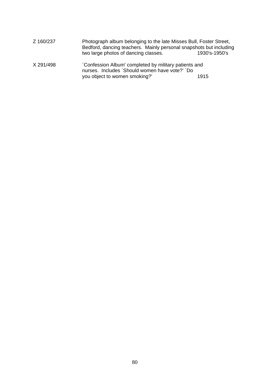| Z 160/237 | Photograph album belonging to the late Misses Bull, Foster Street,<br>Bedford, dancing teachers. Mainly personal snapshots but including<br>two large photos of dancing classes. | 1930's-1950's |
|-----------|----------------------------------------------------------------------------------------------------------------------------------------------------------------------------------|---------------|
| X 291/498 | Confession Album' completed by military patients and<br>nurses. Includes `Should women have vote?' `Do                                                                           |               |
|           | you object to women smoking?'                                                                                                                                                    | 1915          |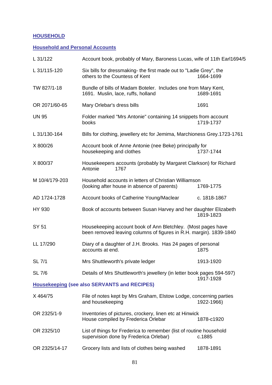# **HOUSEHOLD**

# **Household and Personal Accounts**

| L 31/122                                            | Account book, probably of Mary, Baroness Lucas, wife of 11th Earl1694/5                                                            |              |
|-----------------------------------------------------|------------------------------------------------------------------------------------------------------------------------------------|--------------|
| L 31/115-120                                        | Six bills for dressmaking- the first made out to "Ladie Grey", the<br>others to the Countess of Kent                               | 1664-1699    |
| TW 827/1-18                                         | Bundle of bills of Madam Boteler. Includes one from Mary Kent,<br>1691. Muslin, lace, ruffs, holland                               | 1689-1691    |
| OR 2071/60-65                                       | Mary Orlebar's dress bills                                                                                                         | 1691         |
| <b>UN 95</b>                                        | Folder marked "Mrs Antonie" containing 14 snippets from account<br>books                                                           | 1719-1737    |
| L 31/130-164                                        | Bills for clothing, jewellery etc for Jemima, Marchioness Grey.1723-1761                                                           |              |
| X 800/26                                            | Account book of Anne Antonie (nee Beke) principally for<br>housekeeping and clothes                                                | 1737-1744    |
| X 800/37                                            | Housekeepers accounts (probably by Margaret Clarkson) for Richard<br>1767<br>Antonie                                               |              |
| M 10/4/179-203                                      | Household accounts in letters of Christian Williamson<br>(looking after house in absence of parents)                               | 1769-1775    |
| AD 1724-1728                                        | Account books of Catherine Young/Maclear                                                                                           | c. 1818-1867 |
| HY 930                                              | Book of accounts between Susan Harvey and her daughter Elizabeth                                                                   | 1819-1823    |
| SY 51                                               | Housekeeping account book of Ann Bletchley. (Most pages have<br>been removed leaving columns of figures in R.H. margin). 1839-1840 |              |
| LL 17/290                                           | Diary of a daughter of J.H. Brooks. Has 24 pages of personal<br>accounts at end.                                                   | 1875         |
| <b>SL 7/1</b>                                       | Mrs Shuttleworth's private ledger                                                                                                  | 1913-1920    |
| <b>SL 7/6</b>                                       | Details of Mrs Shuttleworth's jewellery (in letter book pages 594-597)                                                             | 1917-1928    |
| <b>Housekeeping (see also SERVANTS and RECIPES)</b> |                                                                                                                                    |              |
| X 464/75                                            | File of notes kept by Mrs Graham, Elstow Lodge, concerning parties<br>and housekeeping                                             | 1922-1966)   |
| OR 2325/1-9                                         | Inventories of pictures, crockery, linen etc at Hinwick<br>House compiled by Frederica Orlebar                                     | 1878-c1920   |
| OR 2325/10                                          | List of things for Frederica to remember (list of routine household<br>supervision done by Frederica Orlebar)                      | c.1885       |
| OR 2325/14-17                                       | Grocery lists and lists of clothes being washed                                                                                    | 1878-1891    |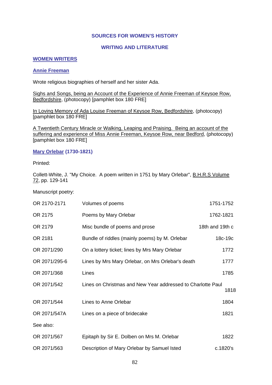#### **SOURCES FOR WOMEN'S HISTORY**

#### **WRITING AND LITERATURE**

#### **WOMEN WRITERS**

#### **Annie Freeman**

Wrote religious biographies of herself and her sister Ada.

Sighs and Songs, being an Account of the Experience of Annie Freeman of Keysoe Row, Bedfordshire, (photocopy) [pamphlet box 180 FRE]

In Loving Memory of Ada Louise Freeman of Keysoe Row, Bedfordshire, (photocopy) [pamphlet box 180 FRE]

A Twentieth Century Miracle or Walking, Leaping and Praising. Being an account of the suffering and experience of Miss Annie Freeman, Keysoe Row, near Bedford, (photocopy) [pamphlet box 180 FRE]

**Mary Orlebar (1730-1821)** 

Printed:

Collett-White, J. "My Choice. A poem written in 1751 by Mary Orlebar", B.H.R.S Volume 72, pp. 129-141

Manuscript poetry:

| OR 2170-2171  | Volumes of poems                                            | 1751-1752       |
|---------------|-------------------------------------------------------------|-----------------|
| OR 2175       | Poems by Mary Orlebar                                       | 1762-1821       |
| OR 2179       | Misc bundle of poems and prose                              | 18th and 19th c |
| OR 2181       | Bundle of riddles (mainly poems) by M. Orlebar              | 18c-19c         |
| OR 2071/290   | On a lottery ticket; lines by Mrs Mary Orlebar              | 1772            |
| OR 2071/295-6 | Lines by Mrs Mary Orlebar, on Mrs Orlebar's death           | 1777            |
| OR 2071/368   | Lines                                                       | 1785            |
| OR 2071/542   | Lines on Christmas and New Year addressed to Charlotte Paul | 1818            |
| OR 2071/544   | Lines to Anne Orlebar                                       | 1804            |
| OR 2071/547A  | Lines on a piece of bridecake                               | 1821            |
| See also:     |                                                             |                 |
| OR 2071/567   | Epitaph by Sir E. Dolben on Mrs M. Orlebar                  | 1822            |
| OR 2071/563   | Description of Mary Orlebar by Samuel Isted                 | c.1820's        |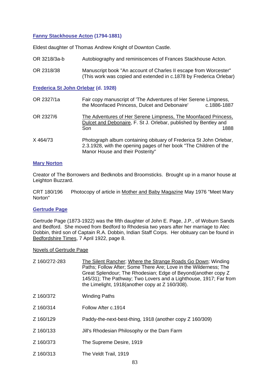### **Fanny Stackhouse Acton (1794-1881)**

Eldest daughter of Thomas Andrew Knight of Downton Castle.

- OR 3218/3a-b Autobiography and reminiscences of Frances Stackhouse Acton.
- OR 2318/38 Manuscript book "An account of Charles II escape from Worcester" (This work was copied and extended in c.1878 by Frederica Orlebar)

**Frederica St John Orlebar (d. 1928)** 

| OR 2327/1a | Fair copy manuscript of 'The Adventures of Her Serene Limpness,<br>the Moonfaced Princess, Dulcet and Debonaire'<br>c.1886-1887                                             |
|------------|-----------------------------------------------------------------------------------------------------------------------------------------------------------------------------|
| OR 2327/6  | The Adventures of Her Serene Limpness, The Moonfaced Princess,<br>Dulcet and Debonaire, F. St J. Orlebar, published by Bentley and<br>1888<br>Son                           |
| X 464/73   | Photograph album containing obituary of Frederica St John Orlebar,<br>2.3.1928, with the opening pages of her book "The Children of the<br>Manor House and their Posterity" |

#### **Mary Norton**

Creator of The Borrowers and Bedknobs and Broomsticks. Brought up in a manor house at Leighton Buzzard.

CRT 180/196 Photocopy of article in Mother and Baby Magazine May 1976 "Meet Mary Norton"

### **Gertrude Page**

Gertrude Page (1873-1922) was the fifth daughter of John E. Page, J.P., of Woburn Sands and Bedford. She moved from Bedford to Rhodesia two years after her marriage to Alec Dobbin, third son of Captain R.A. Dobbin, Indian Staff Corps. Her obituary can be found in Bedfordshire Times, 7 April 1922, page 8.

#### Novels of Gertrude Page

| Z 160/272-283 | The Silent Rancher; Where the Strange Roads Go Down; Winding<br>Paths; Follow After; Some There Are; Love in the Wilderness; The<br>Great Splendour; The Rhodesian; Edge of Beyond (another copy Z<br>145/31); The Pathway; Two Lovers and a Lighthouse, 1917; Far from<br>the Limelight, 1918(another copy at Z 160/308). |
|---------------|----------------------------------------------------------------------------------------------------------------------------------------------------------------------------------------------------------------------------------------------------------------------------------------------------------------------------|
| Z 160/372     | <b>Winding Paths</b>                                                                                                                                                                                                                                                                                                       |
| Z 160/314     | Follow After c.1914                                                                                                                                                                                                                                                                                                        |
| Z 160/129     | Paddy-the-next-best-thing, 1918 (another copy Z 160/309)                                                                                                                                                                                                                                                                   |
| Z 160/133     | Jill's Rhodesian Philosophy or the Dam Farm                                                                                                                                                                                                                                                                                |
| Z 160/373     | The Supreme Desire, 1919                                                                                                                                                                                                                                                                                                   |
| Z 160/313     | The Veldt Trail, 1919                                                                                                                                                                                                                                                                                                      |